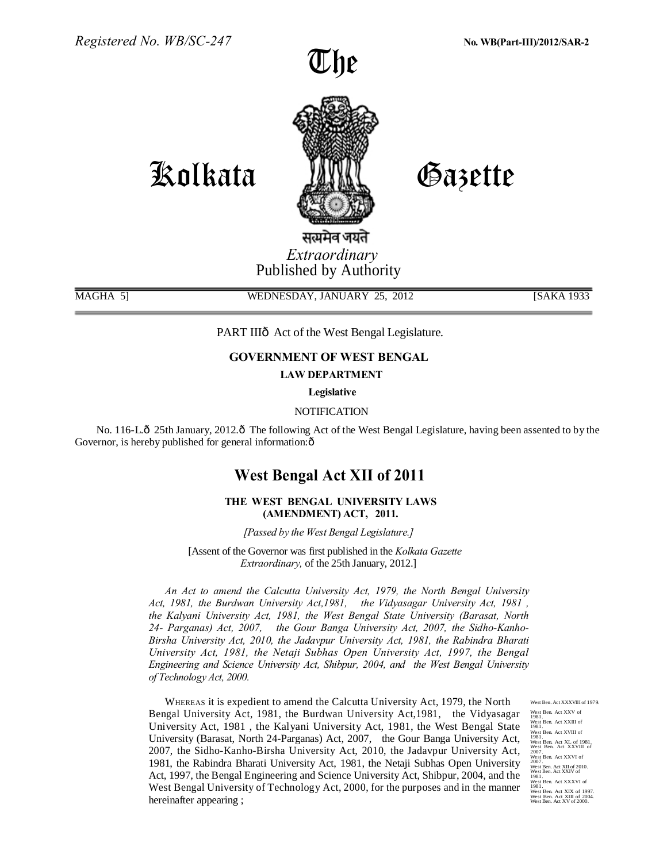



# Kolkata

Gazette

सत्यमेव जयते *Extraordinary* Published by Authority

MAGHA 5] WEDNESDAY, JANUARY 25, 2012 [SAKA 1933]

PART IIIô Act of the West Bengal Legislature.

## **GOVERNMENT OF WEST BENGAL**

**LAW DEPARTMENT** 

**Legislative** 

## **NOTIFICATION**

No. 116-L. $\hat{\text{o}}$  25th January, 2012. $\hat{\text{o}}$  The following Act of the West Bengal Legislature, having been assented to by the Governor, is hereby published for general information: $\hat{o}$ 

## **West Bengal Act XII of 2011**

## **THE WEST BENGAL UNIVERSITY LAWS (AMENDMENT) ACT, 2011.**

*[Passed by the West Bengal Legislature.]* 

[Assent of the Governor was first published in the *Kolkata Gazette Extraordinary,* of the 25th January, 2012.]

*An Act to amend the Calcutta University Act, 1979, the North Bengal University Act, 1981, the Burdwan University Act,1981, the Vidyasagar University Act, 1981 , the Kalyani University Act, 1981, the West Bengal State University (Barasat, North 24- Parganas) Act, 2007, the Gour Banga University Act, 2007, the Sidho-Kanho-Birsha University Act, 2010, the Jadavpur University Act, 1981, the Rabindra Bharati University Act, 1981, the Netaji Subhas Open University Act, 1997, the Bengal Engineering and Science University Act, Shibpur, 2004, and the West Bengal University of Technology Act, 2000.*

WHEREAS it is expedient to amend the Calcutta University Act, 1979, the North Bengal University Act, 1981, the Burdwan University Act,1981, the Vidyasagar University Act, 1981 , the Kalyani University Act, 1981, the West Bengal State University (Barasat, North 24-Parganas) Act, 2007, the Gour Banga University Act, 2007, the Sidho-Kanho-Birsha University Act, 2010, the Jadavpur University Act, 1981, the Rabindra Bharati University Act, 1981, the Netaji Subhas Open University Act, 1997, the Bengal Engineering and Science University Act, Shibpur, 2004, and the West Bengal University of Technology Act, 2000, for the purposes and in the manner hereinafter appearing ;

West Ben. Act XXXVIII of 1979. West Ben. Act XXV of 1981. West Ben. Act XXIII of 1981. West Ben. Act XVIII of 1981. West Ben. Act XL of 1981. West Ben. Act XXVIII of 2007. West Ben. Act XXVI of 2007. West Ben. Act XII of 2010. West Ben. Act XXIV of 1981. West Ben. Act XXXVI of 1981. West Ben. Act XIX of 1997. West Ben. Act XIII of 2004. West Ben. Act XV of 2000.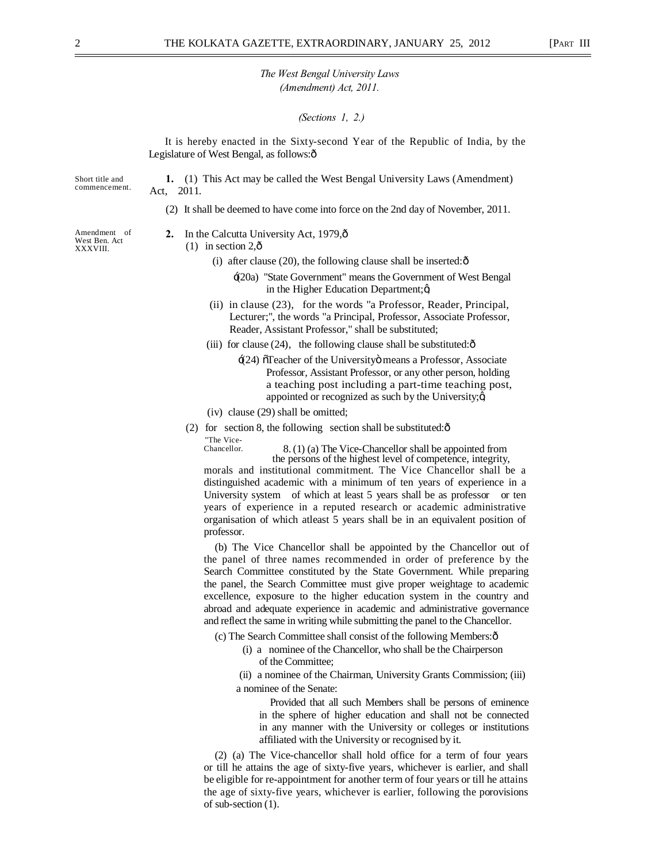#### *(Sections 1, 2.)*

It is hereby enacted in the Sixty-second Year of the Republic of India, by the Legislature of West Bengal, as follows: $\hat{o}$ 

Short title and commencement.

**1.** (1) This Act may be called the West Bengal University Laws (Amendment) Act, 2011.

(2) It shall be deemed to have come into force on the 2nd day of November, 2011.

Amendment of West Ben. Act XXXVIII.

- 2. In the Calcutta University Act, 1979, $\hat{\text{o}}$ 
	- $(1)$  in section 2, $\hat{\text{o}}$ 
		- (i) after clause  $(20)$ , the following clause shall be inserted: $\hat{\text{o}}$ 
			- '(20a) "State Government" means the Government of West Bengal in the Higher Education Department; $\alpha$
		- (ii) in clause (23), for the words "a Professor, Reader, Principal, Lecturer;", the words "a Principal, Professor, Associate Professor, Reader, Assistant Professor," shall be substituted;
		- (iii) for clause  $(24)$ , the following clause shall be substituted: $\hat{\text{o}}$ 
			- $\pm$ (24)  $\tilde{o}$ Teacher of the University $\ddot{o}$  means a Professor, Associate Professor, Assistant Professor, or any other person, holding a teaching post including a part-time teaching post, appointed or recognized as such by the University; $\alpha$
		- (iv) clause (29) shall be omitted;
	- (2) for section 8, the following section shall be substituted: $\hat{\sigma}$ "The Vice-

Chancellor. 8. (1) (a) The Vice-Chancellor shall be appointed from the persons of the highest level of competence, integrity,

morals and institutional commitment. The Vice Chancellor shall be a distinguished academic with a minimum of ten years of experience in a University system of which at least 5 years shall be as professor or ten years of experience in a reputed research or academic administrative organisation of which atleast 5 years shall be in an equivalent position of professor.

(b) The Vice Chancellor shall be appointed by the Chancellor out of the panel of three names recommended in order of preference by the Search Committee constituted by the State Government. While preparing the panel, the Search Committee must give proper weightage to academic excellence, exposure to the higher education system in the country and abroad and adequate experience in academic and administrative governance and reflect the same in writing while submitting the panel to the Chancellor.

(c) The Search Committee shall consist of the following Members:—

(i) a nominee of the Chancellor, who shall be the Chairperson of the Committee;

(ii) a nominee of the Chairman, University Grants Commission; (iii) a nominee of the Senate:

Provided that all such Members shall be persons of eminence in the sphere of higher education and shall not be connected in any manner with the University or colleges or institutions affiliated with the University or recognised by it.

(2) (a) The Vice-chancellor shall hold office for a term of four years or till he attains the age of sixty-five years, whichever is earlier, and shall be eligible for re-appointment for another term of four years or till he attains the age of sixty-five years, whichever is earlier, following the porovisions of sub-section (1).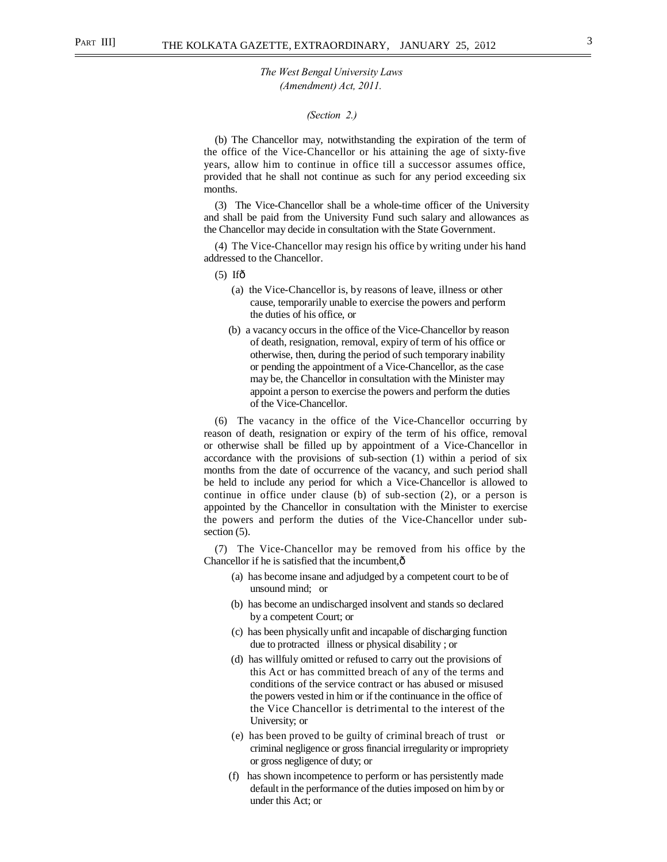#### *(Section 2.)*

(b) The Chancellor may, notwithstanding the expiration of the term of the office of the Vice-Chancellor or his attaining the age of sixty-five years, allow him to continue in office till a successor assumes office, provided that he shall not continue as such for any period exceeding six months.

(3) The Vice-Chancellor shall be a whole-time officer of the University and shall be paid from the University Fund such salary and allowances as the Chancellor may decide in consultation with the State Government.

(4) The Vice-Chancellor may resign his office by writing under his hand addressed to the Chancellor.

 $(5)$  If $\hat{\sigma}$ 

- (a) the Vice-Chancellor is, by reasons of leave, illness or other cause, temporarily unable to exercise the powers and perform the duties of his office, or
- (b) a vacancy occurs in the office of the Vice-Chancellor by reason of death, resignation, removal, expiry of term of his office or otherwise, then, during the period of such temporary inability or pending the appointment of a Vice-Chancellor, as the case may be, the Chancellor in consultation with the Minister may appoint a person to exercise the powers and perform the duties of the Vice-Chancellor.

(6) The vacancy in the office of the Vice-Chancellor occurring by reason of death, resignation or expiry of the term of his office, removal or otherwise shall be filled up by appointment of a Vice-Chancellor in accordance with the provisions of sub-section (1) within a period of six months from the date of occurrence of the vacancy, and such period shall be held to include any period for which a Vice-Chancellor is allowed to continue in office under clause (b) of sub-section (2), or a person is appointed by the Chancellor in consultation with the Minister to exercise the powers and perform the duties of the Vice-Chancellor under subsection  $(5)$ .

(7) The Vice-Chancellor may be removed from his office by the Chancellor if he is satisfied that the incumbent, $\hat{o}$ 

- (a) has become insane and adjudged by a competent court to be of unsound mind; or
- (b) has become an undischarged insolvent and stands so declared by a competent Court; or
- (c) has been physically unfit and incapable of discharging function due to protracted illness or physical disability ; or
- (d) has willfuly omitted or refused to carry out the provisions of this Act or has committed breach of any of the terms and conditions of the service contract or has abused or misused the powers vested in him or if the continuance in the office of the Vice Chancellor is detrimental to the interest of the University; or
- (e) has been proved to be guilty of criminal breach of trust or criminal negligence or gross financial irregularity or impropriety or gross negligence of duty; or
- (f) has shown incompetence to perform or has persistently made default in the performance of the duties imposed on him by or under this Act; or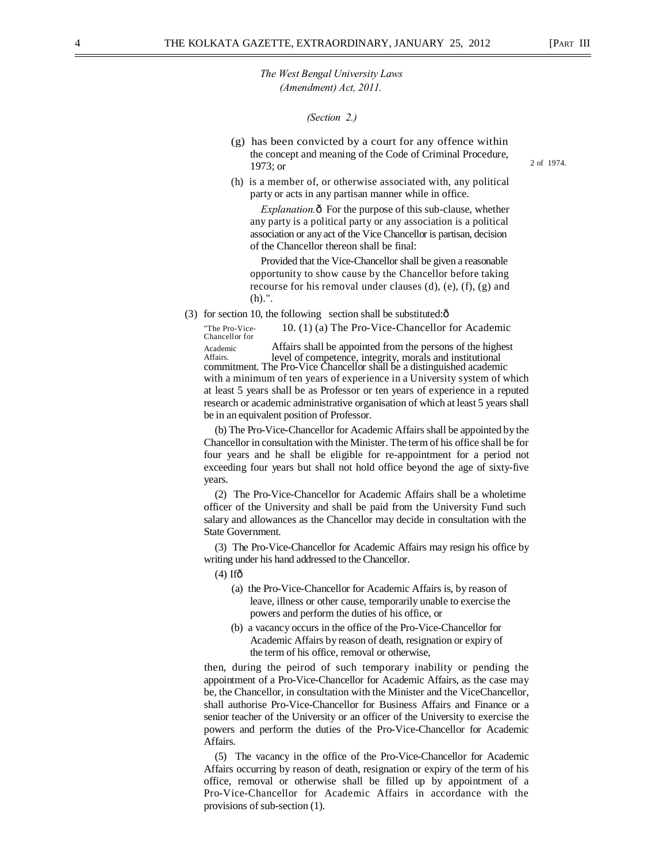2 of 1974.

*The West Bengal University Laws (Amendment) Act, 2011.* 

*(Section 2.)* 

- (g) has been convicted by a court for any offence within the concept and meaning of the Code of Criminal Procedure, 1973; or
- (h) is a member of, or otherwise associated with, any political party or acts in any partisan manner while in office.

*Explanation.* $\hat{o}$  For the purpose of this sub-clause, whether any party is a political party or any association is a political association or any act of the Vice Chancellor is partisan, decision of the Chancellor thereon shall be final:

Provided that the Vice-Chancellor shall be given a reasonable opportunity to show cause by the Chancellor before taking recourse for his removal under clauses (d), (e), (f), (g) and (h).".

(3) for section 10, the following section shall be substituted: $\hat{o}$ 

"The Pro-Vice- 10. (1) (a) The Pro-Vice-Chancellor for Academic Chancellor for

Academic Affairs shall be appointed from the persons of the highest Affairs. level of competence, integrity, morals and institutional commitment. The Pro-Vice Chancellor shall be a distinguished academic

with a minimum of ten years of experience in a University system of which at least 5 years shall be as Professor or ten years of experience in a reputed research or academic administrative organisation of which at least 5 years shall be in an equivalent position of Professor.

(b) The Pro-Vice-Chancellor for Academic Affairs shall be appointed by the Chancellor in consultation with the Minister. The term of his office shall be for four years and he shall be eligible for re-appointment for a period not exceeding four years but shall not hold office beyond the age of sixty-five years.

(2) The Pro-Vice-Chancellor for Academic Affairs shall be a wholetime officer of the University and shall be paid from the University Fund such salary and allowances as the Chancellor may decide in consultation with the State Government.

(3) The Pro-Vice-Chancellor for Academic Affairs may resign his office by writing under his hand addressed to the Chancellor.

 $(4)$  If $\hat{0}$ 

- (a) the Pro-Vice-Chancellor for Academic Affairs is, by reason of leave, illness or other cause, temporarily unable to exercise the powers and perform the duties of his office, or
- (b) a vacancy occurs in the office of the Pro-Vice-Chancellor for Academic Affairs by reason of death, resignation or expiry of the term of his office, removal or otherwise,

then, during the peirod of such temporary inability or pending the appointment of a Pro-Vice-Chancellor for Academic Affairs, as the case may be, the Chancellor, in consultation with the Minister and the ViceChancellor, shall authorise Pro-Vice-Chancellor for Business Affairs and Finance or a senior teacher of the University or an officer of the University to exercise the powers and perform the duties of the Pro-Vice-Chancellor for Academic Affairs.

(5) The vacancy in the office of the Pro-Vice-Chancellor for Academic Affairs occurring by reason of death, resignation or expiry of the term of his office, removal or otherwise shall be filled up by appointment of a Pro-Vice-Chancellor for Academic Affairs in accordance with the provisions of sub-section (1).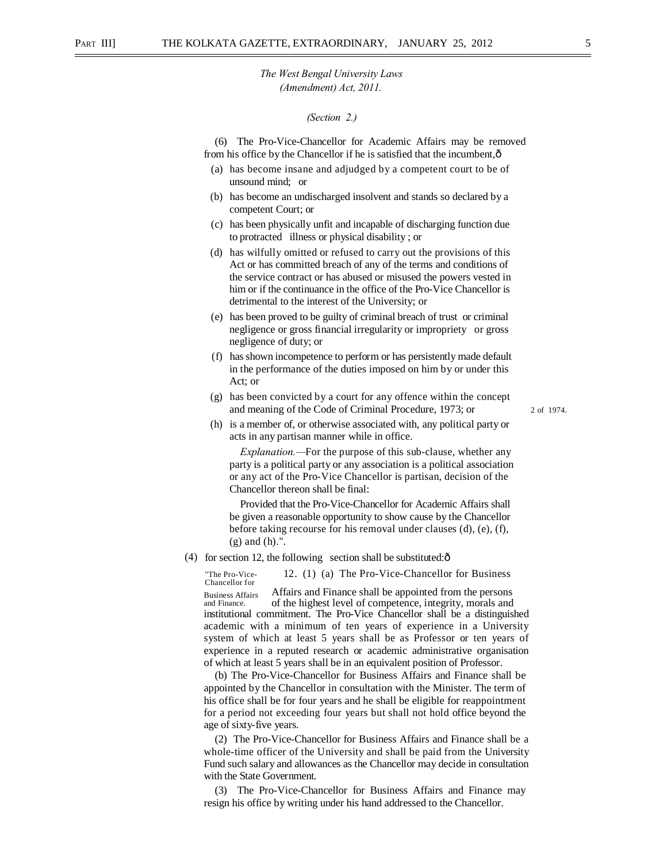#### *(Section 2.)*

(6) The Pro-Vice-Chancellor for Academic Affairs may be removed from his office by the Chancellor if he is satisfied that the incumbent,—

- (a) has become insane and adjudged by a competent court to be of unsound mind; or
- (b) has become an undischarged insolvent and stands so declared by a competent Court; or
- (c) has been physically unfit and incapable of discharging function due to protracted illness or physical disability ; or
- (d) has wilfully omitted or refused to carry out the provisions of this Act or has committed breach of any of the terms and conditions of the service contract or has abused or misused the powers vested in him or if the continuance in the office of the Pro-Vice Chancellor is detrimental to the interest of the University; or
- (e) has been proved to be guilty of criminal breach of trust or criminal negligence or gross financial irregularity or impropriety or gross negligence of duty; or
- (f) has shown incompetence to perform or has persistently made default in the performance of the duties imposed on him by or under this Act; or
- (g) has been convicted by a court for any offence within the concept and meaning of the Code of Criminal Procedure, 1973; or
- (h) is a member of, or otherwise associated with, any political party or acts in any partisan manner while in office.

2 of 1974.

*Explanation.—*For the purpose of this sub-clause, whether any party is a political party or any association is a political association or any act of the Pro-Vice Chancellor is partisan, decision of the Chancellor thereon shall be final:

Provided that the Pro-Vice-Chancellor for Academic Affairs shall be given a reasonable opportunity to show cause by the Chancellor before taking recourse for his removal under clauses (d), (e), (f), (g) and (h).".

(4) for section 12, the following section shall be substituted: $\hat{o}$ 

"The Pro-Vice- 12. (1) (a) The Pro-Vice-Chancellor for Business Chancellor for

Business Affairs Affairs and Finance shall be appointed from the persons and Finance. of the bighest level of competence integrity morals and of the highest level of competence, integrity, morals and institutional commitment. The Pro-Vice Chancellor shall be a distinguished academic with a minimum of ten years of experience in a University system of which at least 5 years shall be as Professor or ten years of experience in a reputed research or academic administrative organisation of which at least 5 years shall be in an equivalent position of Professor.

(b) The Pro-Vice-Chancellor for Business Affairs and Finance shall be appointed by the Chancellor in consultation with the Minister. The term of his office shall be for four years and he shall be eligible for reappointment for a period not exceeding four years but shall not hold office beyond the age of sixty-five years.

(2) The Pro-Vice-Chancellor for Business Affairs and Finance shall be a whole-time officer of the University and shall be paid from the University Fund such salary and allowances as the Chancellor may decide in consultation with the State Government.

(3) The Pro-Vice-Chancellor for Business Affairs and Finance may resign his office by writing under his hand addressed to the Chancellor.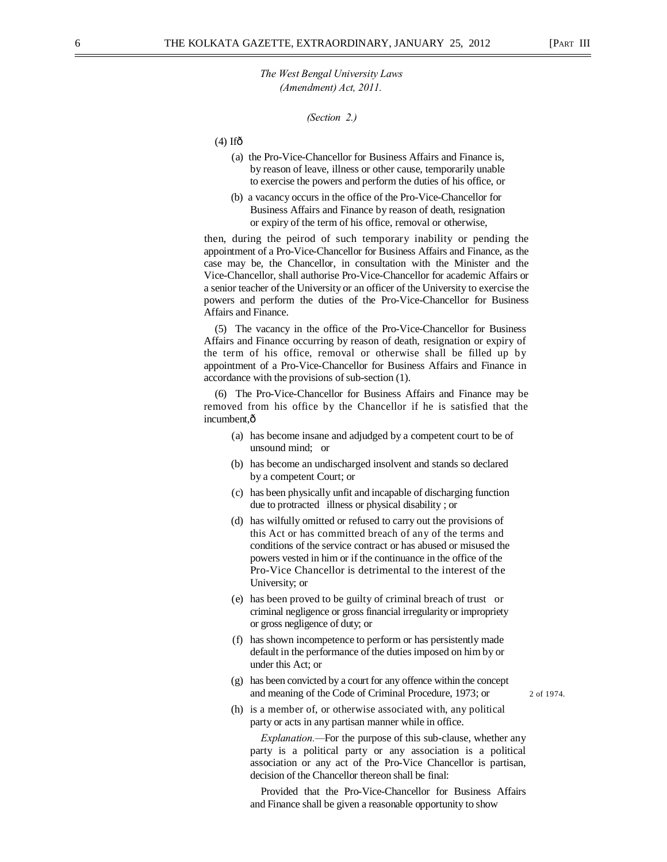*(Section 2.)* 

 $(4)$  Ifô

- (a) the Pro-Vice-Chancellor for Business Affairs and Finance is, by reason of leave, illness or other cause, temporarily unable to exercise the powers and perform the duties of his office, or
- (b) a vacancy occurs in the office of the Pro-Vice-Chancellor for Business Affairs and Finance by reason of death, resignation or expiry of the term of his office, removal or otherwise,

then, during the peirod of such temporary inability or pending the appointment of a Pro-Vice-Chancellor for Business Affairs and Finance, as the case may be, the Chancellor, in consultation with the Minister and the Vice-Chancellor, shall authorise Pro-Vice-Chancellor for academic Affairs or a senior teacher of the University or an officer of the University to exercise the powers and perform the duties of the Pro-Vice-Chancellor for Business Affairs and Finance.

(5) The vacancy in the office of the Pro-Vice-Chancellor for Business Affairs and Finance occurring by reason of death, resignation or expiry of the term of his office, removal or otherwise shall be filled up by appointment of a Pro-Vice-Chancellor for Business Affairs and Finance in accordance with the provisions of sub-section (1).

(6) The Pro-Vice-Chancellor for Business Affairs and Finance may be removed from his office by the Chancellor if he is satisfied that the incumbent,ô

- (a) has become insane and adjudged by a competent court to be of unsound mind; or
- (b) has become an undischarged insolvent and stands so declared by a competent Court; or
- (c) has been physically unfit and incapable of discharging function due to protracted illness or physical disability ; or
- (d) has wilfully omitted or refused to carry out the provisions of this Act or has committed breach of any of the terms and conditions of the service contract or has abused or misused the powers vested in him or if the continuance in the office of the Pro-Vice Chancellor is detrimental to the interest of the University; or
- (e) has been proved to be guilty of criminal breach of trust or criminal negligence or gross financial irregularity or impropriety or gross negligence of duty; or
- (f) has shown incompetence to perform or has persistently made default in the performance of the duties imposed on him by or under this Act; or
- (g) has been convicted by a court for any offence within the concept and meaning of the Code of Criminal Procedure, 1973; or 2 of 1974.
- (h) is a member of, or otherwise associated with, any political party or acts in any partisan manner while in office.

*Explanation.—*For the purpose of this sub-clause, whether any party is a political party or any association is a political association or any act of the Pro-Vice Chancellor is partisan, decision of the Chancellor thereon shall be final:

Provided that the Pro-Vice-Chancellor for Business Affairs and Finance shall be given a reasonable opportunity to show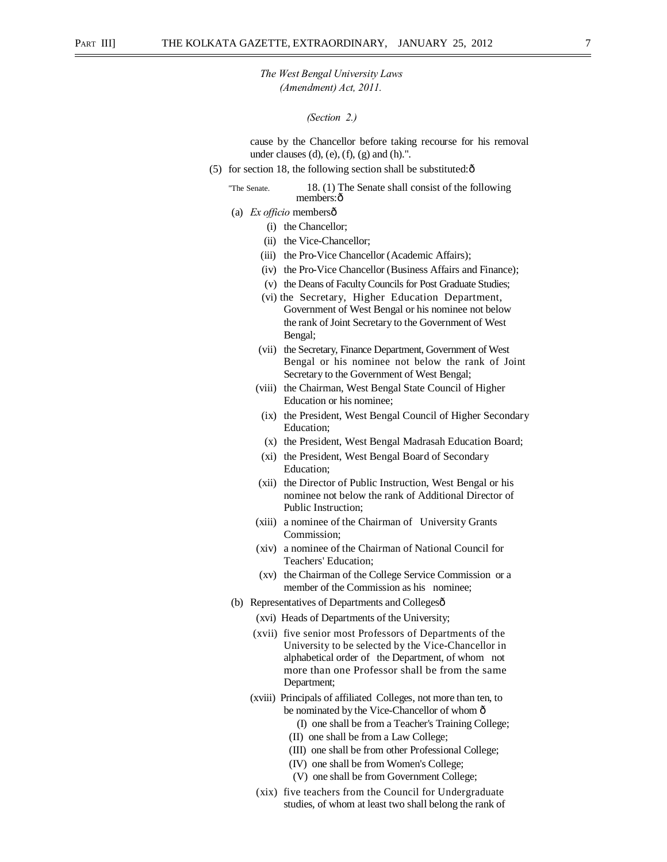#### *(Section 2.)*

cause by the Chancellor before taking recourse for his removal under clauses (d), (e), (f), (g) and (h).".

(5) for section 18, the following section shall be substituted: $\hat{\sigma}$ 

## "The Senate. 18. (1) The Senate shall consist of the following members: ô

- (a) *Ex officio* membersô
	- (i) the Chancellor;
	- (ii) the Vice-Chancellor;
	- (iii) the Pro-Vice Chancellor (Academic Affairs);
	- (iv) the Pro-Vice Chancellor (Business Affairs and Finance);
	- (v) the Deans of Faculty Councils for Post Graduate Studies;
	- (vi) the Secretary, Higher Education Department, Government of West Bengal or his nominee not below the rank of Joint Secretary to the Government of West Bengal;
	- (vii) the Secretary, Finance Department, Government of West Bengal or his nominee not below the rank of Joint Secretary to the Government of West Bengal;
	- (viii) the Chairman, West Bengal State Council of Higher Education or his nominee;
	- (ix) the President, West Bengal Council of Higher Secondary Education;
	- (x) the President, West Bengal Madrasah Education Board;
	- (xi) the President, West Bengal Board of Secondary Education;
	- (xii) the Director of Public Instruction, West Bengal or his nominee not below the rank of Additional Director of Public Instruction;
	- (xiii) a nominee of the Chairman of University Grants Commission;
	- (xiv) a nominee of the Chairman of National Council for Teachers' Education;
	- (xv) the Chairman of the College Service Commission or a member of the Commission as his nominee;
- (b) Representatives of Departments and Collegesô
	- (xvi) Heads of Departments of the University;
	- (xvii) five senior most Professors of Departments of the University to be selected by the Vice-Chancellor in alphabetical order of the Department, of whom not more than one Professor shall be from the same Department;
	- (xviii) Principals of affiliated Colleges, not more than ten, to be nominated by the Vice-Chancellor of whom  $\hat{o}$ 
		- (I) one shall be from a Teacher's Training College;
		- (II) one shall be from a Law College;
		- (III) one shall be from other Professional College;
		- (IV) one shall be from Women's College;
		- (V) one shall be from Government College;
		- (xix) five teachers from the Council for Undergraduate studies, of whom at least two shall belong the rank of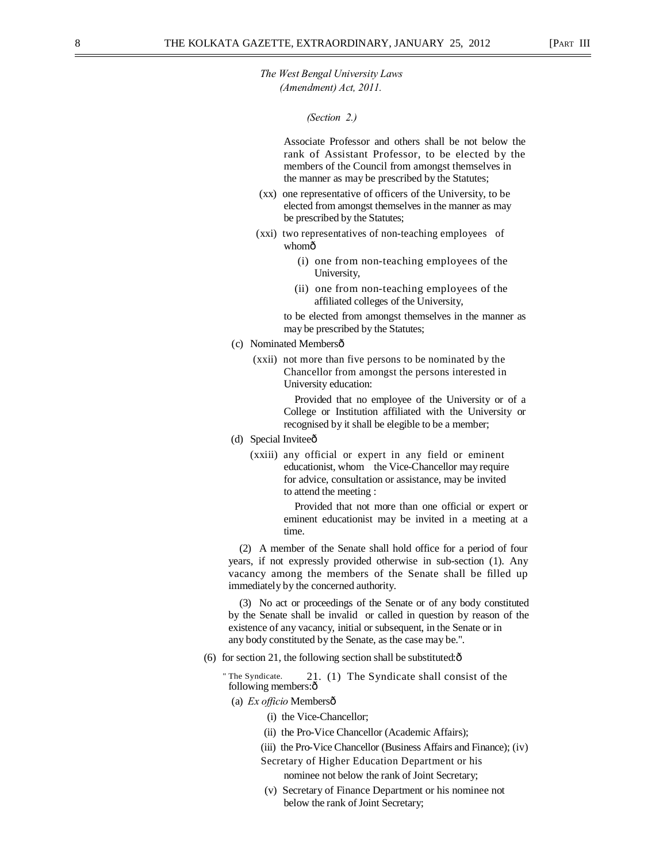*(Section 2.)* 

Associate Professor and others shall be not below the rank of Assistant Professor, to be elected by the members of the Council from amongst themselves in the manner as may be prescribed by the Statutes;

- (xx) one representative of officers of the University, to be elected from amongst themselves in the manner as may be prescribed by the Statutes;
- (xxi) two representatives of non-teaching employees of whomô
	- (i) one from non-teaching employees of the University,
	- (ii) one from non-teaching employees of the affiliated colleges of the University,

to be elected from amongst themselves in the manner as may be prescribed by the Statutes;

- (c) Nominated Membersô
	- (xxii) not more than five persons to be nominated by the Chancellor from amongst the persons interested in University education:

Provided that no employee of the University or of a College or Institution affiliated with the University or recognised by it shall be elegible to be a member;

- (d) Special Inviteeô
	- (xxiii) any official or expert in any field or eminent educationist, whom the Vice-Chancellor may require for advice, consultation or assistance, may be invited to attend the meeting :

Provided that not more than one official or expert or eminent educationist may be invited in a meeting at a time.

(2) A member of the Senate shall hold office for a period of four years, if not expressly provided otherwise in sub-section (1). Any vacancy among the members of the Senate shall be filled up immediately by the concerned authority.

(3) No act or proceedings of the Senate or of any body constituted by the Senate shall be invalid or called in question by reason of the existence of any vacancy, initial or subsequent, in the Senate or in any body constituted by the Senate, as the case may be.".

(6) for section 21, the following section shall be substituted: $\hat{o}$ 

" The Syndicate. 21. (1) The Syndicate shall consist of the following members: $\hat{0}$ 

(a) *Ex officio* Members—

- (i) the Vice-Chancellor;
- (ii) the Pro-Vice Chancellor (Academic Affairs);
- (iii) the Pro-Vice Chancellor (Business Affairs and Finance); (iv)
- Secretary of Higher Education Department or his nominee not below the rank of Joint Secretary;
- (v) Secretary of Finance Department or his nominee not below the rank of Joint Secretary;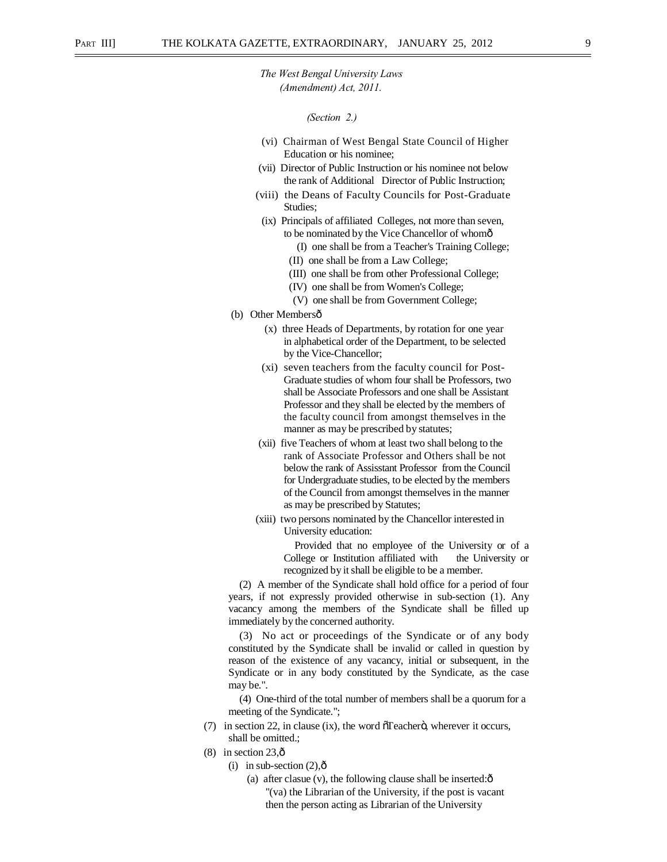#### *(Section 2.)*

- (vi) Chairman of West Bengal State Council of Higher Education or his nominee;
- (vii) Director of Public Instruction or his nominee not below the rank of Additional Director of Public Instruction;
- (viii) the Deans of Faculty Councils for Post-Graduate Studies;
- (ix) Principals of affiliated Colleges, not more than seven, to be nominated by the Vice Chancellor of whomô
	- (I) one shall be from a Teacher's Training College;
	- (II) one shall be from a Law College;
	- (III) one shall be from other Professional College;
	- (IV) one shall be from Women's College;
	- (V) one shall be from Government College;
- (b) Other Membersô
	- (x) three Heads of Departments, by rotation for one year in alphabetical order of the Department, to be selected by the Vice-Chancellor;
	- (xi) seven teachers from the faculty council for Post-Graduate studies of whom four shall be Professors, two shall be Associate Professors and one shall be Assistant Professor and they shall be elected by the members of the faculty council from amongst themselves in the manner as may be prescribed by statutes;
	- (xii) five Teachers of whom at least two shall belong to the rank of Associate Professor and Others shall be not below the rank of Assisstant Professor from the Council for Undergraduate studies, to be elected by the members of the Council from amongst themselves in the manner as may be prescribed by Statutes;
	- (xiii) two persons nominated by the Chancellor interested in University education:

Provided that no employee of the University or of a College or Institution affiliated with the University or recognized by it shall be eligible to be a member.

(2) A member of the Syndicate shall hold office for a period of four years, if not expressly provided otherwise in sub-section (1). Any vacancy among the members of the Syndicate shall be filled up immediately by the concerned authority.

(3) No act or proceedings of the Syndicate or of any body constituted by the Syndicate shall be invalid or called in question by reason of the existence of any vacancy, initial or subsequent, in the Syndicate or in any body constituted by the Syndicate, as the case may be.".

(4) One-third of the total number of members shall be a quorum for a meeting of the Syndicate.";

- (7) in section 22, in clause (ix), the word  $\tilde{\sigma}$  Teacher $\ddot{\sigma}$ , wherever it occurs, shall be omitted.;
- $(8)$  in section 23, $\hat{0}$ 
	- (i) in sub-section  $(2),\hat{0}$ 
		- (a) after clasue  $(v)$ , the following clause shall be inserted: $\hat{o}$ "(va) the Librarian of the University, if the post is vacant then the person acting as Librarian of the University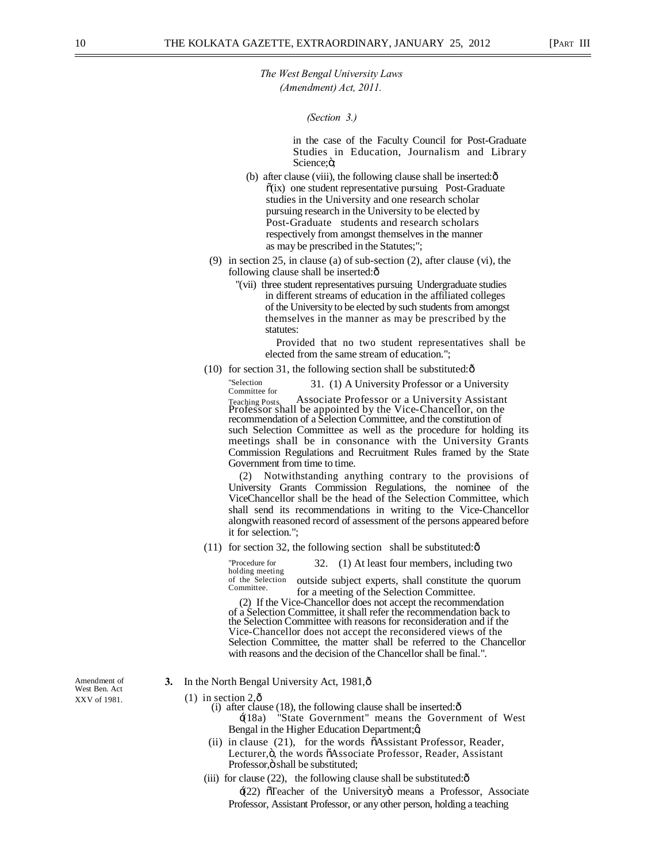*(Section 3.)* 

in the case of the Faculty Council for Post-Graduate Studies in Education, Journalism and Library Science;ö;

- (b) after clause (viii), the following clause shall be inserted: $\hat{o}$  $\tilde{o}(ix)$  one student representative pursuing Post-Graduate studies in the University and one research scholar pursuing research in the University to be elected by Post-Graduate students and research scholars respectively from amongst themselves in the manner as may be prescribed in the Statutes;";
- (9) in section 25, in clause (a) of sub-section (2), after clause (vi), the following clause shall be inserted: $\delta$ 
	- "(vii) three student representatives pursuing Undergraduate studies in different streams of education in the affiliated colleges of the University to be elected by such students from amongst themselves in the manner as may be prescribed by the statutes:

Provided that no two student representatives shall be elected from the same stream of education.";

(10) for section 31, the following section shall be substituted: $\hat{o}$ 

"Selection 31. (1) A University Professor or a University<br>
Teaching Posts. Associate Professor or a University Assistant Teaching Posts. Associate Professor or a University Assistant Professor shall be appointed by the Vice-Chancellor, on the recommendation of a Selection Committee, and the constitution of such Selection Committee as well as the procedure for holding its meetings shall be in consonance with the University Grants Commission Regulations and Recruitment Rules framed by the State Government from time to time.

Notwithstanding anything contrary to the provisions of University Grants Commission Regulations, the nominee of the ViceChancellor shall be the head of the Selection Committee, which shall send its recommendations in writing to the Vice-Chancellor alongwith reasoned record of assessment of the persons appeared before it for selection.";

(11) for section 32, the following section shall be substituted: $\delta$ 

"Procedure for 32. (1) At least four members, including two holding meeting outside subject experts, shall constitute the quorum

of the Selection<br>Committee. for a meeting of the Selection Committee.

(2) If the Vice-Chancellor does not accept the recommendation of a Selection Committee, it shall refer the recommendation back to the Selection Committee with reasons for reconsideration and if the Vice-Chancellor does not accept the reconsidered views of the Selection Committee, the matter shall be referred to the Chancellor with reasons and the decision of the Chancellor shall be final.".

West Ben. Act

- Amendment of **3.** In the North Bengal University Act, 1981, $\hat{\text{o}}$
- XXV of 1981. (1) in section  $2, \hat{0}$ 
	- (i) after clause (18), the following clause shall be inserted: $\hat{o}$ 
		- $\pm$ (18a) "State Government" means the Government of West Bengal in the Higher Education Department;ø
	- (ii) in clause (21), for the words  $\tilde{\sigma}$ Assistant Professor, Reader, Lecturer,ö, the words õAssociate Professor, Reader, Assistant Professor, ö shall be substituted;
	- (iii) for clause  $(22)$ , the following clause shall be substituted: $\hat{o}$

 $\pm$ (22)  $\sigma$ Teacher of the University means a Professor, Associate Professor, Assistant Professor, or any other person, holding a teaching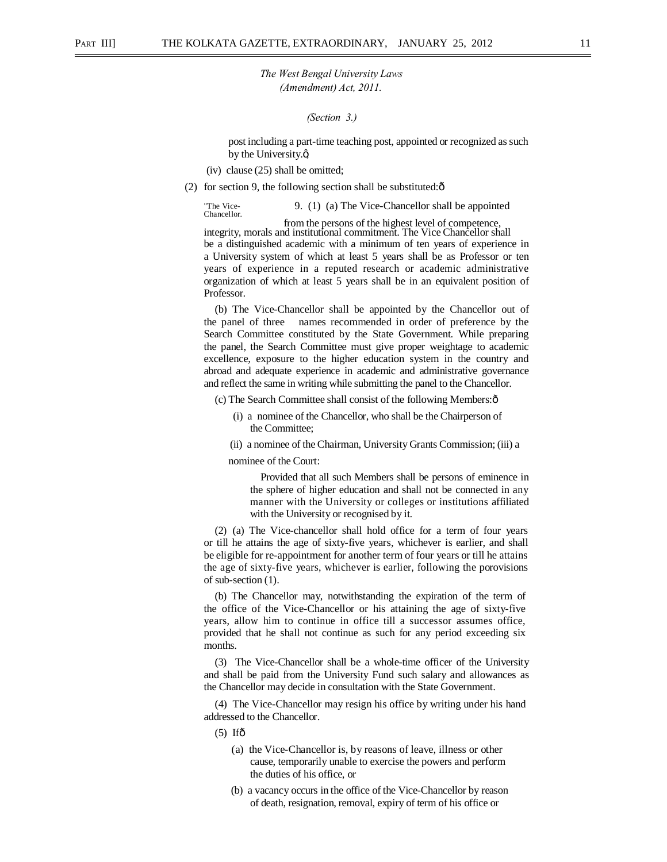*(Section 3.)* 

post including a part-time teaching post, appointed or recognized as such by the University. $\alpha$ 

- (iv) clause (25) shall be omitted;
- (2) for section 9, the following section shall be substituted: $\hat{\text{o}}$

"The Vice- 9. (1) (a) The Vice-Chancellor shall be appointed Chancellor.

integrity, morals and institutional commitment. The Vice Chancellor shall be a distinguished academic with a minimum of ten years of experience in a University system of which at least 5 years shall be as Professor or ten years of experience in a reputed research or academic administrative organization of which at least 5 years shall be in an equivalent position of Professor.

(b) The Vice-Chancellor shall be appointed by the Chancellor out of the panel of three names recommended in order of preference by the Search Committee constituted by the State Government. While preparing the panel, the Search Committee must give proper weightage to academic excellence, exposure to the higher education system in the country and abroad and adequate experience in academic and administrative governance and reflect the same in writing while submitting the panel to the Chancellor.

(c) The Search Committee shall consist of the following Members: $\hat{o}$ 

- (i) a nominee of the Chancellor, who shall be the Chairperson of the Committee;
- (ii) a nominee of the Chairman, University Grants Commission; (iii) a

nominee of the Court:

Provided that all such Members shall be persons of eminence in the sphere of higher education and shall not be connected in any manner with the University or colleges or institutions affiliated with the University or recognised by it.

(2) (a) The Vice-chancellor shall hold office for a term of four years or till he attains the age of sixty-five years, whichever is earlier, and shall be eligible for re-appointment for another term of four years or till he attains the age of sixty-five years, whichever is earlier, following the porovisions of sub-section (1).

(b) The Chancellor may, notwithstanding the expiration of the term of the office of the Vice-Chancellor or his attaining the age of sixty-five years, allow him to continue in office till a successor assumes office, provided that he shall not continue as such for any period exceeding six months.

(3) The Vice-Chancellor shall be a whole-time officer of the University and shall be paid from the University Fund such salary and allowances as the Chancellor may decide in consultation with the State Government.

(4) The Vice-Chancellor may resign his office by writing under his hand addressed to the Chancellor.

 $(5)$  Ifô

- (a) the Vice-Chancellor is, by reasons of leave, illness or other cause, temporarily unable to exercise the powers and perform the duties of his office, or
- (b) a vacancy occurs in the office of the Vice-Chancellor by reason of death, resignation, removal, expiry of term of his office or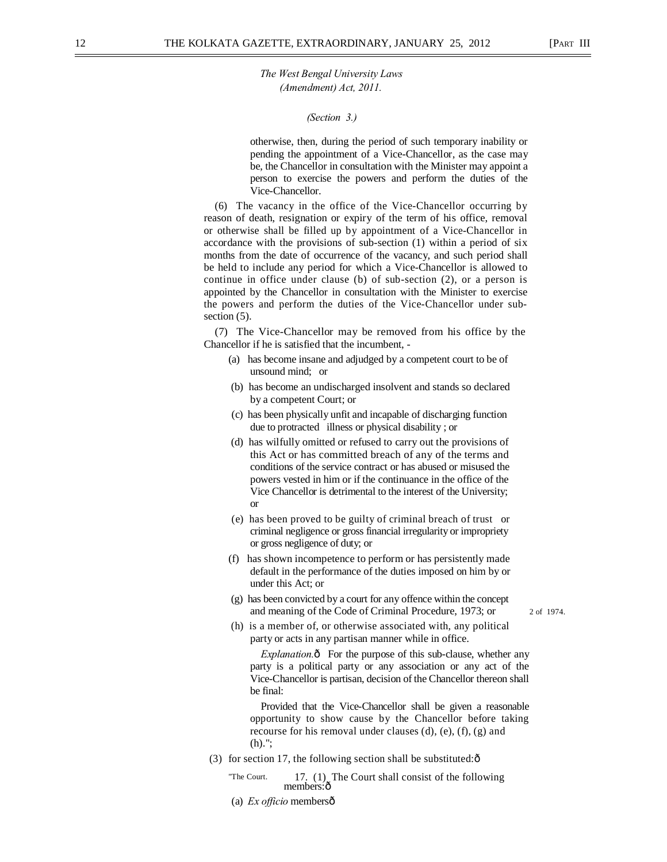*(Section 3.)* 

otherwise, then, during the period of such temporary inability or pending the appointment of a Vice-Chancellor, as the case may be, the Chancellor in consultation with the Minister may appoint a person to exercise the powers and perform the duties of the Vice-Chancellor.

(6) The vacancy in the office of the Vice-Chancellor occurring by reason of death, resignation or expiry of the term of his office, removal or otherwise shall be filled up by appointment of a Vice-Chancellor in accordance with the provisions of sub-section (1) within a period of six months from the date of occurrence of the vacancy, and such period shall be held to include any period for which a Vice-Chancellor is allowed to continue in office under clause (b) of sub-section (2), or a person is appointed by the Chancellor in consultation with the Minister to exercise the powers and perform the duties of the Vice-Chancellor under subsection  $(5)$ .

(7) The Vice-Chancellor may be removed from his office by the Chancellor if he is satisfied that the incumbent, -

- (a) has become insane and adjudged by a competent court to be of unsound mind; or
- (b) has become an undischarged insolvent and stands so declared by a competent Court; or
- (c) has been physically unfit and incapable of discharging function due to protracted illness or physical disability ; or
- (d) has wilfully omitted or refused to carry out the provisions of this Act or has committed breach of any of the terms and conditions of the service contract or has abused or misused the powers vested in him or if the continuance in the office of the Vice Chancellor is detrimental to the interest of the University; or
- (e) has been proved to be guilty of criminal breach of trust or criminal negligence or gross financial irregularity or impropriety or gross negligence of duty; or
- (f) has shown incompetence to perform or has persistently made default in the performance of the duties imposed on him by or under this Act; or
- (g) has been convicted by a court for any offence within the concept and meaning of the Code of Criminal Procedure, 1973; or 2 of 1974.

(h) is a member of, or otherwise associated with, any political party or acts in any partisan manner while in office.

*Explanation.* $\hat{o}$  For the purpose of this sub-clause, whether any party is a political party or any association or any act of the Vice-Chancellor is partisan, decision of the Chancellor thereon shall be final:

Provided that the Vice-Chancellor shall be given a reasonable opportunity to show cause by the Chancellor before taking recourse for his removal under clauses (d), (e), (f), (g) and (h).";

- (3) for section 17, the following section shall be substituted: $\hat{o}$ 
	- "The Court.  $17. (1)$  The Court shall consist of the following members: $\hat{0}$
	- (a) *Ex officio* members—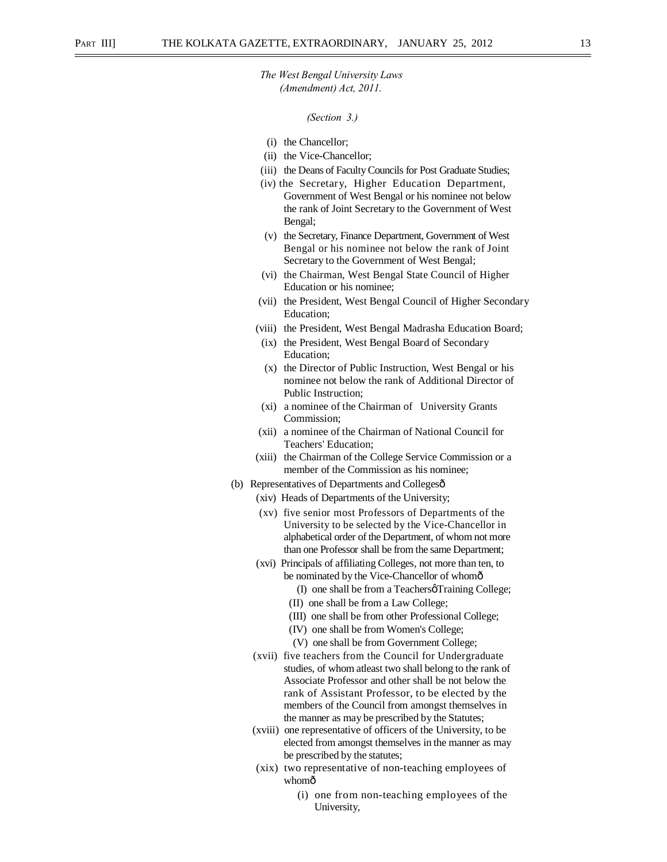*(Section 3.)*

- (i) the Chancellor;
- (ii) the Vice-Chancellor;
- (iii) the Deans of Faculty Councils for Post Graduate Studies;
- (iv) the Secretary, Higher Education Department, Government of West Bengal or his nominee not below the rank of Joint Secretary to the Government of West Bengal;
- (v) the Secretary, Finance Department, Government of West Bengal or his nominee not below the rank of Joint Secretary to the Government of West Bengal;
- (vi) the Chairman, West Bengal State Council of Higher Education or his nominee;
- (vii) the President, West Bengal Council of Higher Secondary Education;
- (viii) the President, West Bengal Madrasha Education Board;
- (ix) the President, West Bengal Board of Secondary Education;
- (x) the Director of Public Instruction, West Bengal or his nominee not below the rank of Additional Director of Public Instruction;
- (xi) a nominee of the Chairman of University Grants Commission;
- (xii) a nominee of the Chairman of National Council for Teachers' Education;
- (xiii) the Chairman of the College Service Commission or a member of the Commission as his nominee;
- (b) Representatives of Departments and Collegesô
	- (xiv) Heads of Departments of the University;
	- (xv) five senior most Professors of Departments of the University to be selected by the Vice-Chancellor in alphabetical order of the Department, of whom not more than one Professor shall be from the same Department;
	- (xvi) Principals of affiliating Colleges, not more than ten, to be nominated by the Vice-Chancellor of whomô
		- $(I)$  one shall be from a Teachers  $\beta$  Training College;
		- (II) one shall be from a Law College;
		- (III) one shall be from other Professional College;
		- (IV) one shall be from Women's College;
		- (V) one shall be from Government College;
	- (xvii) five teachers from the Council for Undergraduate studies, of whom atleast two shall belong to the rank of Associate Professor and other shall be not below the rank of Assistant Professor, to be elected by the members of the Council from amongst themselves in the manner as may be prescribed by the Statutes;
	- (xviii) one representative of officers of the University, to be elected from amongst themselves in the manner as may be prescribed by the statutes;
	- (xix) two representative of non-teaching employees of whomô
		- (i) one from non-teaching employees of the University,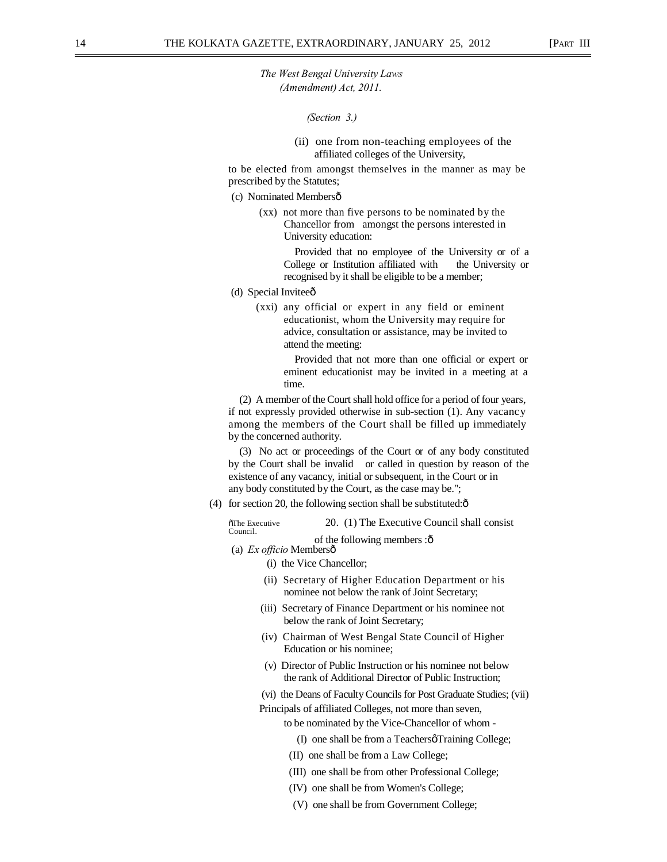*(Section 3.)* 

(ii) one from non-teaching employees of the affiliated colleges of the University,

to be elected from amongst themselves in the manner as may be prescribed by the Statutes;

- (c) Nominated Membersô
	- (xx) not more than five persons to be nominated by the Chancellor from amongst the persons interested in University education:

Provided that no employee of the University or of a College or Institution affiliated with the University or recognised by it shall be eligible to be a member;

- (d) Special Inviteeô
	- (xxi) any official or expert in any field or eminent educationist, whom the University may require for advice, consultation or assistance, may be invited to attend the meeting:

Provided that not more than one official or expert or eminent educationist may be invited in a meeting at a time.

(2) A member of the Court shall hold office for a period of four years, if not expressly provided otherwise in sub-section (1). Any vacancy among the members of the Court shall be filled up immediately by the concerned authority.

(3) No act or proceedings of the Court or of any body constituted by the Court shall be invalid or called in question by reason of the existence of any vacancy, initial or subsequent, in the Court or in any body constituted by the Court, as the case may be.";

(4) for section 20, the following section shall be substituted: $\hat{o}$ 

The Executive 20. (1) The Executive Council shall consist Council.

of the following members :  $\hat{o}$ 

(a) *Ex officio* Members—

- (i) the Vice Chancellor;
- (ii) Secretary of Higher Education Department or his nominee not below the rank of Joint Secretary;
- (iii) Secretary of Finance Department or his nominee not below the rank of Joint Secretary;
- (iv) Chairman of West Bengal State Council of Higher Education or his nominee;
- (v) Director of Public Instruction or his nominee not below the rank of Additional Director of Public Instruction;
- (vi) the Deans of Faculty Councils for Post Graduate Studies; (vii)

Principals of affiliated Colleges, not more than seven,

to be nominated by the Vice-Chancellor of whom -

- (I) one shall be from a Teachers  $\beta$  Training College;
- (II) one shall be from a Law College;
- (III) one shall be from other Professional College;
- (IV) one shall be from Women's College;
- (V) one shall be from Government College;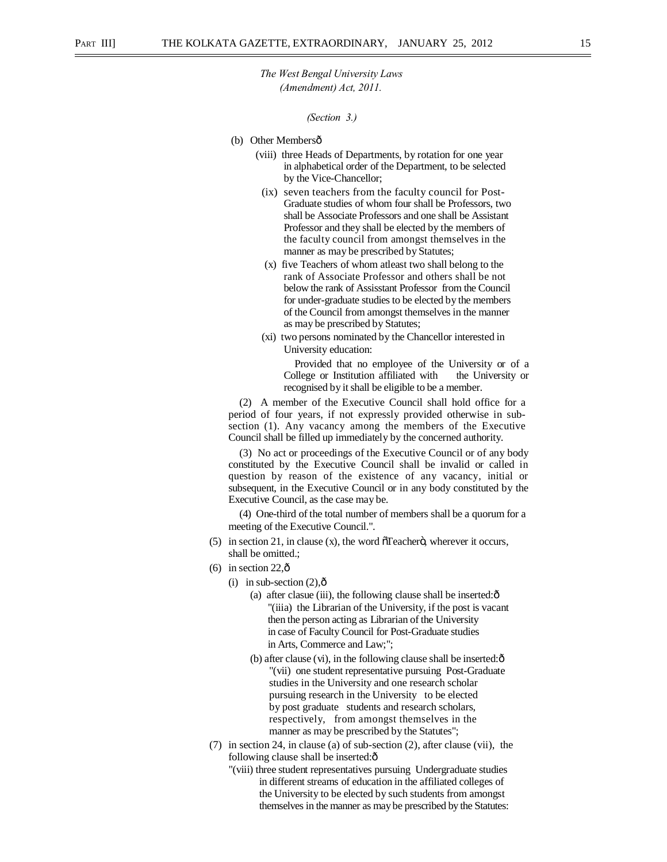*(Section 3.)* 

- (b) Other Membersô
	- (viii) three Heads of Departments, by rotation for one year in alphabetical order of the Department, to be selected by the Vice-Chancellor;
	- (ix) seven teachers from the faculty council for Post-Graduate studies of whom four shall be Professors, two shall be Associate Professors and one shall be Assistant Professor and they shall be elected by the members of the faculty council from amongst themselves in the manner as may be prescribed by Statutes;
	- (x) five Teachers of whom atleast two shall belong to the rank of Associate Professor and others shall be not below the rank of Assisstant Professor from the Council for under-graduate studies to be elected by the members of the Council from amongst themselves in the manner as may be prescribed by Statutes;
	- (xi) two persons nominated by the Chancellor interested in University education:

Provided that no employee of the University or of a College or Institution affiliated with the University or recognised by it shall be eligible to be a member.

(2) A member of the Executive Council shall hold office for a period of four years, if not expressly provided otherwise in subsection (1). Any vacancy among the members of the Executive Council shall be filled up immediately by the concerned authority.

(3) No act or proceedings of the Executive Council or of any body constituted by the Executive Council shall be invalid or called in question by reason of the existence of any vacancy, initial or subsequent, in the Executive Council or in any body constituted by the Executive Council, as the case may be.

(4) One-third of the total number of members shall be a quorum for a meeting of the Executive Council.".

- (5) in section 21, in clause (x), the word  $\tilde{C}$  and  $\tilde{C}$  and  $\tilde{C}$  wherever it occurs, shall be omitted.;
- (6) in section 22, $\hat{\text{o}}$ 
	- (i) in sub-section  $(2)$ , $\hat{0}$ 
		- (a) after clasue (iii), the following clause shall be inserted: $\hat{o}$ "(iiia) the Librarian of the University, if the post is vacant then the person acting as Librarian of the University in case of Faculty Council for Post-Graduate studies in Arts, Commerce and Law;";
		- (b) after clause (vi), in the following clause shall be inserted: $\hat{o}$ "(vii) one student representative pursuing Post-Graduate studies in the University and one research scholar pursuing research in the University to be elected by post graduate students and research scholars, respectively, from amongst themselves in the manner as may be prescribed by the Statutes";
- (7) in section 24, in clause (a) of sub-section (2), after clause (vii), the following clause shall be inserted: $\delta$ 
	- "(viii) three student representatives pursuing Undergraduate studies in different streams of education in the affiliated colleges of the University to be elected by such students from amongst themselves in the manner as may be prescribed by the Statutes: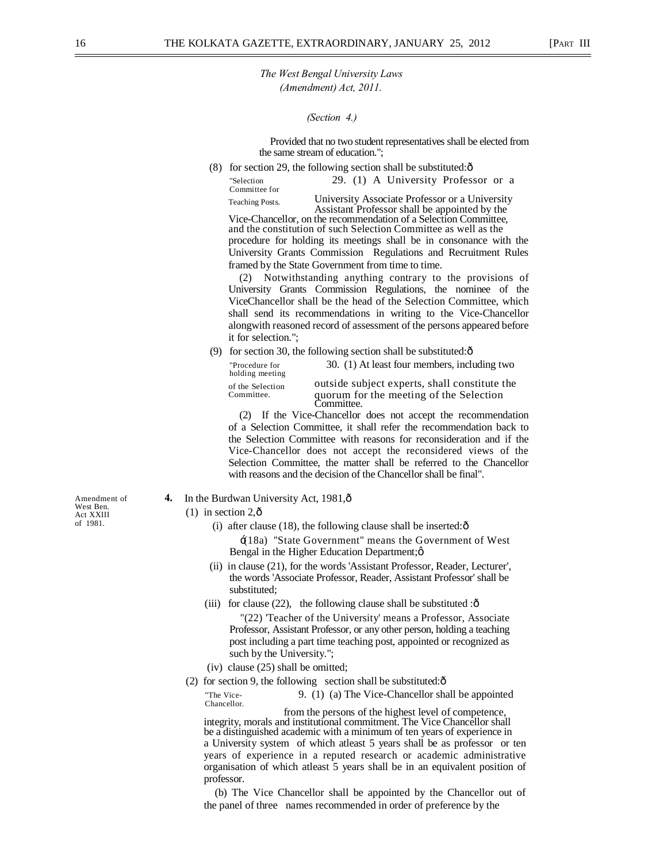#### *(Section 4.)*

Provided that no two student representatives shall be elected from the same stream of education.";

(8) for section 29, the following section shall be substituted: $\hat{o}$ 

"Selection 29. (1) A University Professor or a Committee for

Teaching Posts. University Associate Professor or a University Vice-Chancellor, on the recommendation of a Selection Committee,

and the constitution of such Selection Committee as well as the procedure for holding its meetings shall be in consonance with the University Grants Commission Regulations and Recruitment Rules framed by the State Government from time to time.

(2) Notwithstanding anything contrary to the provisions of University Grants Commission Regulations, the nominee of the ViceChancellor shall be the head of the Selection Committee, which shall send its recommendations in writing to the Vice-Chancellor alongwith reasoned record of assessment of the persons appeared before it for selection.";

(9) for section 30, the following section shall be substituted: $\hat{\text{o}}$ 

| "Procedure for<br>holding meeting | 30. (1) At least four members, including two                                                           |
|-----------------------------------|--------------------------------------------------------------------------------------------------------|
| of the Selection<br>Committee.    | outside subject experts, shall constitute the<br>quorum for the meeting of the Selection<br>Committee. |

(2) If the Vice-Chancellor does not accept the recommendation of a Selection Committee, it shall refer the recommendation back to the Selection Committee with reasons for reconsideration and if the Vice-Chancellor does not accept the reconsidered views of the Selection Committee, the matter shall be referred to the Chancellor with reasons and the decision of the Chancellor shall be final".

- **4.** In the Burdwan University Act, 1981,  $\hat{\theta}$ 
	- $(1)$  in section 2, $\hat{\text{o}}$ 
		- (i) after clause (18), the following clause shall be inserted: $\hat{o}$

'(18a) "State Government" means the Government of West Bengal in the Higher Education Department; $\phi$ 

- (ii) in clause (21), for the words 'Assistant Professor, Reader, Lecturer', the words 'Associate Professor, Reader, Assistant Professor' shall be substituted;
- (iii) for clause  $(22)$ , the following clause shall be substituted : $\hat{\text{o}}$

"(22) 'Teacher of the University' means a Professor, Associate Professor, Assistant Professor, or any other person, holding a teaching post including a part time teaching post, appointed or recognized as such by the University.";

- (iv) clause (25) shall be omitted;
- (2) for section 9, the following section shall be substituted: $\hat{o}$

"The Vice- 9. (1) (a) The Vice-Chancellor shall be appointed Chancellor.

from the persons of the highest level of competence, integrity, morals and institutional commitment. The Vice Chancellor shall be a distinguished academic with a minimum of ten years of experience in a University system of which atleast 5 years shall be as professor or ten years of experience in a reputed research or academic administrative organisation of which atleast 5 years shall be in an equivalent position of professor.

(b) The Vice Chancellor shall be appointed by the Chancellor out of the panel of three names recommended in order of preference by the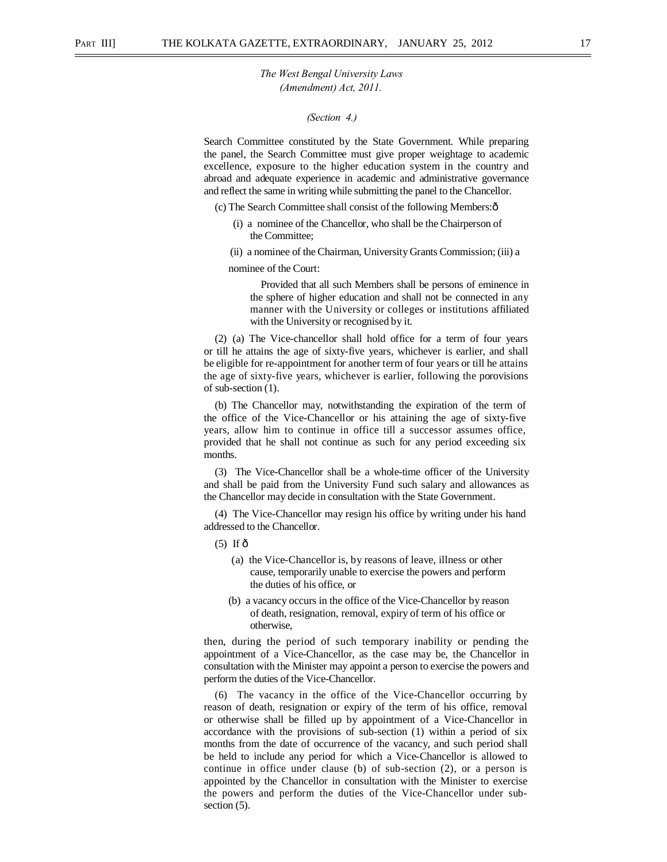*(Section 4.)* 

Search Committee constituted by the State Government. While preparing the panel, the Search Committee must give proper weightage to academic excellence, exposure to the higher education system in the country and abroad and adequate experience in academic and administrative governance and reflect the same in writing while submitting the panel to the Chancellor.

(c) The Search Committee shall consist of the following Members:—

- (i) a nominee of the Chancellor, who shall be the Chairperson of the Committee;
- (ii) a nominee of the Chairman, University Grants Commission; (iii) a

nominee of the Court:

Provided that all such Members shall be persons of eminence in the sphere of higher education and shall not be connected in any manner with the University or colleges or institutions affiliated with the University or recognised by it.

(2) (a) The Vice-chancellor shall hold office for a term of four years or till he attains the age of sixty-five years, whichever is earlier, and shall be eligible for re-appointment for another term of four years or till he attains the age of sixty-five years, whichever is earlier, following the porovisions of sub-section (1).

(b) The Chancellor may, notwithstanding the expiration of the term of the office of the Vice-Chancellor or his attaining the age of sixty-five years, allow him to continue in office till a successor assumes office, provided that he shall not continue as such for any period exceeding six months.

(3) The Vice-Chancellor shall be a whole-time officer of the University and shall be paid from the University Fund such salary and allowances as the Chancellor may decide in consultation with the State Government.

(4) The Vice-Chancellor may resign his office by writing under his hand addressed to the Chancellor.

- $(5)$  If  $\hat{\sigma}$ 
	- (a) the Vice-Chancellor is, by reasons of leave, illness or other cause, temporarily unable to exercise the powers and perform the duties of his office, or
	- (b) a vacancy occurs in the office of the Vice-Chancellor by reason of death, resignation, removal, expiry of term of his office or otherwise,

then, during the period of such temporary inability or pending the appointment of a Vice-Chancellor, as the case may be, the Chancellor in consultation with the Minister may appoint a person to exercise the powers and perform the duties of the Vice-Chancellor.

(6) The vacancy in the office of the Vice-Chancellor occurring by reason of death, resignation or expiry of the term of his office, removal or otherwise shall be filled up by appointment of a Vice-Chancellor in accordance with the provisions of sub-section (1) within a period of six months from the date of occurrence of the vacancy, and such period shall be held to include any period for which a Vice-Chancellor is allowed to continue in office under clause (b) of sub-section (2), or a person is appointed by the Chancellor in consultation with the Minister to exercise the powers and perform the duties of the Vice-Chancellor under subsection  $(5)$ .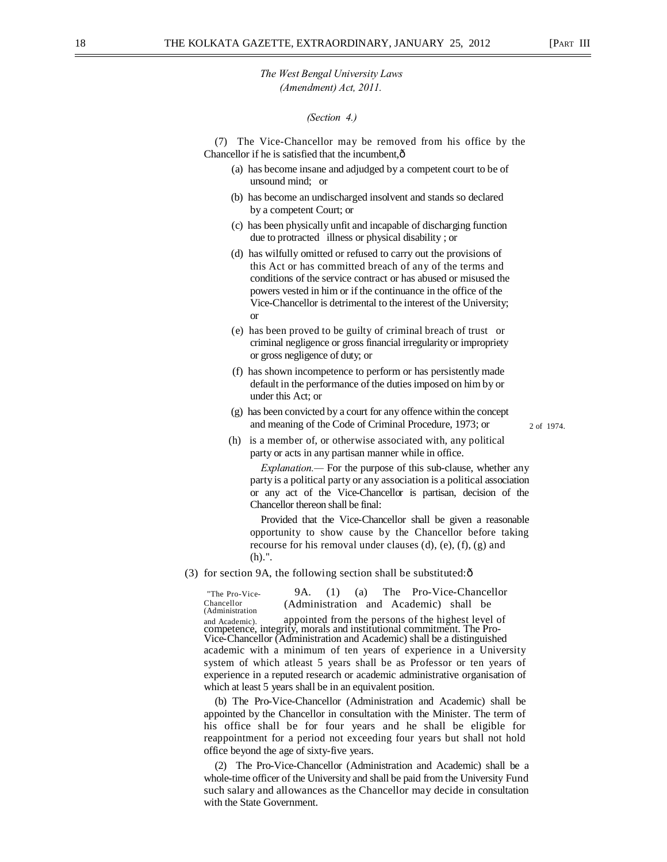#### *(Section 4.)*

(7) The Vice-Chancellor may be removed from his office by the Chancellor if he is satisfied that the incumbent, $\hat{o}$ 

- (a) has become insane and adjudged by a competent court to be of unsound mind; or
- (b) has become an undischarged insolvent and stands so declared by a competent Court; or
- (c) has been physically unfit and incapable of discharging function due to protracted illness or physical disability ; or
- (d) has wilfully omitted or refused to carry out the provisions of this Act or has committed breach of any of the terms and conditions of the service contract or has abused or misused the powers vested in him or if the continuance in the office of the Vice-Chancellor is detrimental to the interest of the University; or
- (e) has been proved to be guilty of criminal breach of trust or criminal negligence or gross financial irregularity or impropriety or gross negligence of duty; or
- (f) has shown incompetence to perform or has persistently made default in the performance of the duties imposed on him by or under this Act; or
- (g) has been convicted by a court for any offence within the concept and meaning of the Code of Criminal Procedure, 1973; or  $\qquad \qquad$  2 of 1974.

(h) is a member of, or otherwise associated with, any political party or acts in any partisan manner while in office.

*Explanation.—* For the purpose of this sub-clause, whether any party is a political party or any association is a political association or any act of the Vice-Chancellor is partisan, decision of the Chancellor thereon shall be final:

Provided that the Vice-Chancellor shall be given a reasonable opportunity to show cause by the Chancellor before taking recourse for his removal under clauses (d), (e), (f), (g) and (h).".

(3) for section 9A, the following section shall be substituted: $\hat{o}$ 

"The Pro-Vice- 9A. (1) (a) The Pro-Vice-Chancellor Chancellor (Administration and Academic) shall be (Administration and Academic). appointed from the persons of the highest level of competence, integrity, morals and institutional commitment. The Pro- Vice-Chancellor (Administration and Academic) shall be a distinguished academic with a minimum of ten years of experience in a University system of which atleast 5 years shall be as Professor or ten years of experience in a reputed research or academic administrative organisation of which at least 5 years shall be in an equivalent position.

(b) The Pro-Vice-Chancellor (Administration and Academic) shall be appointed by the Chancellor in consultation with the Minister. The term of his office shall be for four years and he shall be eligible for reappointment for a period not exceeding four years but shall not hold office beyond the age of sixty-five years.

(2) The Pro-Vice-Chancellor (Administration and Academic) shall be a whole-time officer of the University and shall be paid from the University Fund such salary and allowances as the Chancellor may decide in consultation with the State Government.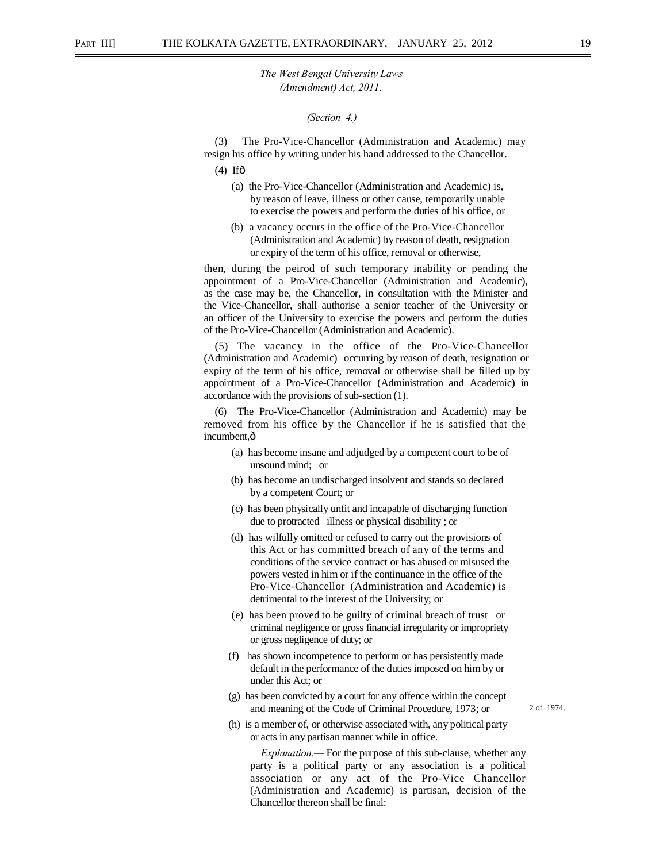#### *(Section 4.)*

(3) The Pro-Vice-Chancellor (Administration and Academic) may resign his office by writing under his hand addressed to the Chancellor.

- $(4)$  Ifô
	- (a) the Pro-Vice-Chancellor (Administration and Academic) is, by reason of leave, illness or other cause, temporarily unable to exercise the powers and perform the duties of his office, or
	- (b) a vacancy occurs in the office of the Pro-Vice-Chancellor (Administration and Academic) by reason of death, resignation or expiry of the term of his office, removal or otherwise,

then, during the peirod of such temporary inability or pending the appointment of a Pro-Vice-Chancellor (Administration and Academic), as the case may be, the Chancellor, in consultation with the Minister and the Vice-Chancellor, shall authorise a senior teacher of the University or an officer of the University to exercise the powers and perform the duties of the Pro-Vice-Chancellor (Administration and Academic).

(5) The vacancy in the office of the Pro-Vice-Chancellor (Administration and Academic) occurring by reason of death, resignation or expiry of the term of his office, removal or otherwise shall be filled up by appointment of a Pro-Vice-Chancellor (Administration and Academic) in accordance with the provisions of sub-section (1).

(6) The Pro-Vice-Chancellor (Administration and Academic) may be removed from his office by the Chancellor if he is satisfied that the incumbent,ô

- (a) has become insane and adjudged by a competent court to be of unsound mind; or
- (b) has become an undischarged insolvent and stands so declared by a competent Court; or
- (c) has been physically unfit and incapable of discharging function due to protracted illness or physical disability ; or
- (d) has wilfully omitted or refused to carry out the provisions of this Act or has committed breach of any of the terms and conditions of the service contract or has abused or misused the powers vested in him or if the continuance in the office of the Pro-Vice-Chancellor (Administration and Academic) is detrimental to the interest of the University; or
- (e) has been proved to be guilty of criminal breach of trust or criminal negligence or gross financial irregularity or impropriety or gross negligence of duty; or
- (f) has shown incompetence to perform or has persistently made default in the performance of the duties imposed on him by or under this Act; or
- (g) has been convicted by a court for any offence within the concept and meaning of the Code of Criminal Procedure, 1973; or 2 of 1974.

(h) is a member of, or otherwise associated with, any political party or acts in any partisan manner while in office.

*Explanation.—* For the purpose of this sub-clause, whether any party is a political party or any association is a political association or any act of the Pro-Vice Chancellor (Administration and Academic) is partisan, decision of the Chancellor thereon shall be final: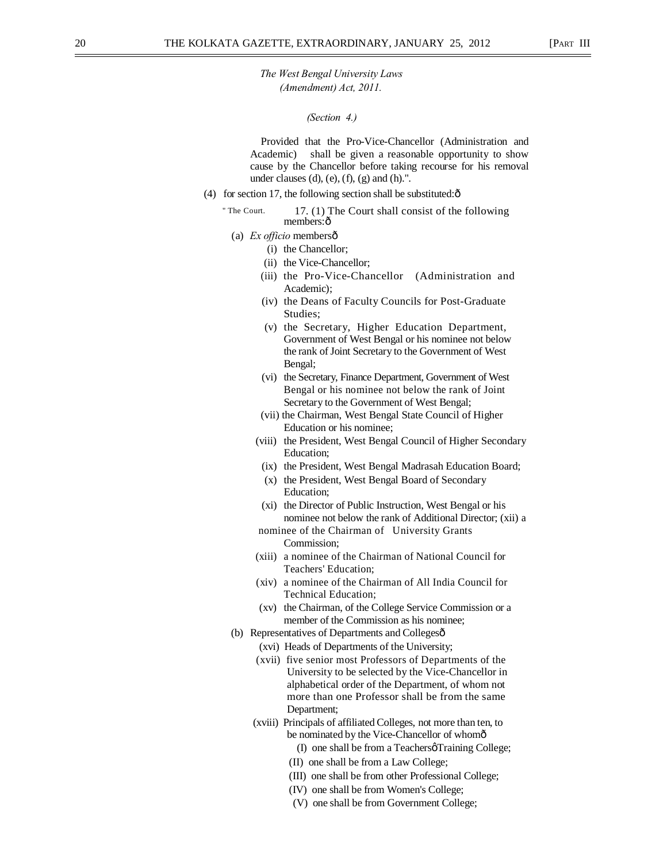*(Section 4.)* 

Provided that the Pro-Vice-Chancellor (Administration and Academic) shall be given a reasonable opportunity to show cause by the Chancellor before taking recourse for his removal under clauses  $(d)$ ,  $(e)$ ,  $(f)$ ,  $(g)$  and  $(h)$ .".

- (4) for section 17, the following section shall be substituted: $\hat{\sigma}$ 
	- " The Court. 17. (1) The Court shall consist of the following members: ô
		- (a) *Ex officio* membersô
			- (i) the Chancellor;
			- (ii) the Vice-Chancellor;
			- (iii) the Pro-Vice-Chancellor (Administration and Academic);
			- (iv) the Deans of Faculty Councils for Post-Graduate Studies;
			- (v) the Secretary, Higher Education Department, Government of West Bengal or his nominee not below the rank of Joint Secretary to the Government of West Bengal;
			- (vi) the Secretary, Finance Department, Government of West Bengal or his nominee not below the rank of Joint Secretary to the Government of West Bengal;
			- (vii) the Chairman, West Bengal State Council of Higher Education or his nominee;
			- (viii) the President, West Bengal Council of Higher Secondary Education;
			- (ix) the President, West Bengal Madrasah Education Board;
			- (x) the President, West Bengal Board of Secondary Education;
			- (xi) the Director of Public Instruction, West Bengal or his nominee not below the rank of Additional Director; (xii) a
			- nominee of the Chairman of University Grants Commission;
			- (xiii) a nominee of the Chairman of National Council for Teachers' Education;
			- (xiv) a nominee of the Chairman of All India Council for Technical Education;
			- (xv) the Chairman, of the College Service Commission or a member of the Commission as his nominee;
		- (b) Representatives of Departments and Collegesô
			- (xvi) Heads of Departments of the University;
			- (xvii) five senior most Professors of Departments of the University to be selected by the Vice-Chancellor in alphabetical order of the Department, of whom not more than one Professor shall be from the same Department;
			- (xviii) Principals of affiliated Colleges, not more than ten, to be nominated by the Vice-Chancellor of whomô
				- (I) one shall be from a Teachers  $\sigma$  Training College;
				- (II) one shall be from a Law College;
				- (III) one shall be from other Professional College;
				- (IV) one shall be from Women's College;
				- (V) one shall be from Government College;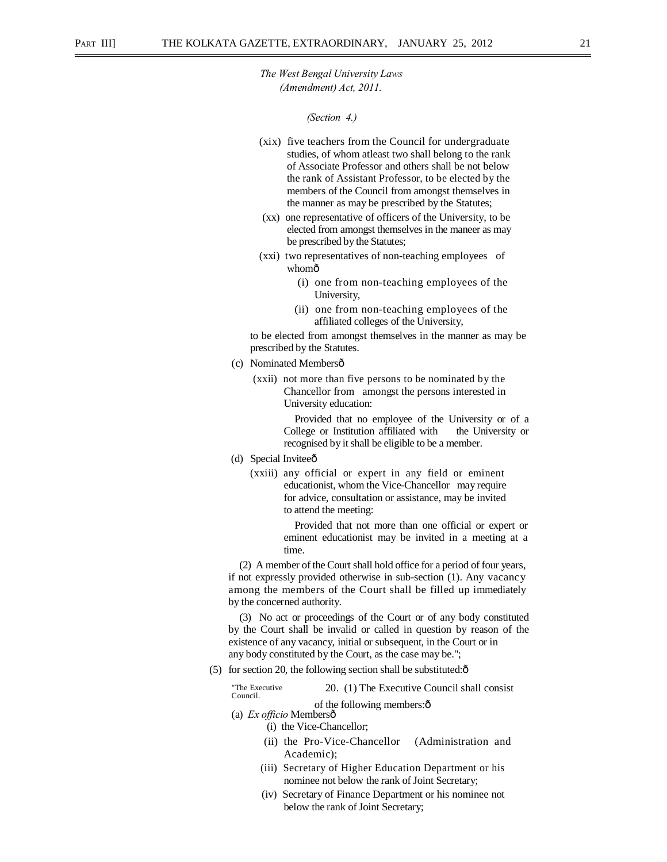#### *(Section 4.)*

- (xix) five teachers from the Council for undergraduate studies, of whom atleast two shall belong to the rank of Associate Professor and others shall be not below the rank of Assistant Professor, to be elected by the members of the Council from amongst themselves in the manner as may be prescribed by the Statutes;
- (xx) one representative of officers of the University, to be elected from amongst themselves in the maneer as may be prescribed by the Statutes;
- (xxi) two representatives of non-teaching employees of whomô
	- (i) one from non-teaching employees of the University,
	- (ii) one from non-teaching employees of the affiliated colleges of the University,

to be elected from amongst themselves in the manner as may be prescribed by the Statutes.

- (c) Nominated Membersô
	- (xxii) not more than five persons to be nominated by the Chancellor from amongst the persons interested in University education:

Provided that no employee of the University or of a College or Institution affiliated with the University or recognised by it shall be eligible to be a member.

- (d) Special Inviteeô
	- (xxiii) any official or expert in any field or eminent educationist, whom the Vice-Chancellor may require for advice, consultation or assistance, may be invited to attend the meeting:

Provided that not more than one official or expert or eminent educationist may be invited in a meeting at a time.

(2) A member of the Court shall hold office for a period of four years, if not expressly provided otherwise in sub-section (1). Any vacancy among the members of the Court shall be filled up immediately by the concerned authority.

(3) No act or proceedings of the Court or of any body constituted by the Court shall be invalid or called in question by reason of the existence of any vacancy, initial or subsequent, in the Court or in any body constituted by the Court, as the case may be.";

(5) for section 20, the following section shall be substituted: $\hat{o}$ 

"The Executive 20. (1) The Executive Council shall consist Council.

of the following members: $\hat{o}$ (a) *Ex officio* Membersô

(i) the Vice-Chancellor;

- (ii) the Pro-Vice-Chancellor (Administration and Academic);
- (iii) Secretary of Higher Education Department or his nominee not below the rank of Joint Secretary;
- (iv) Secretary of Finance Department or his nominee not below the rank of Joint Secretary;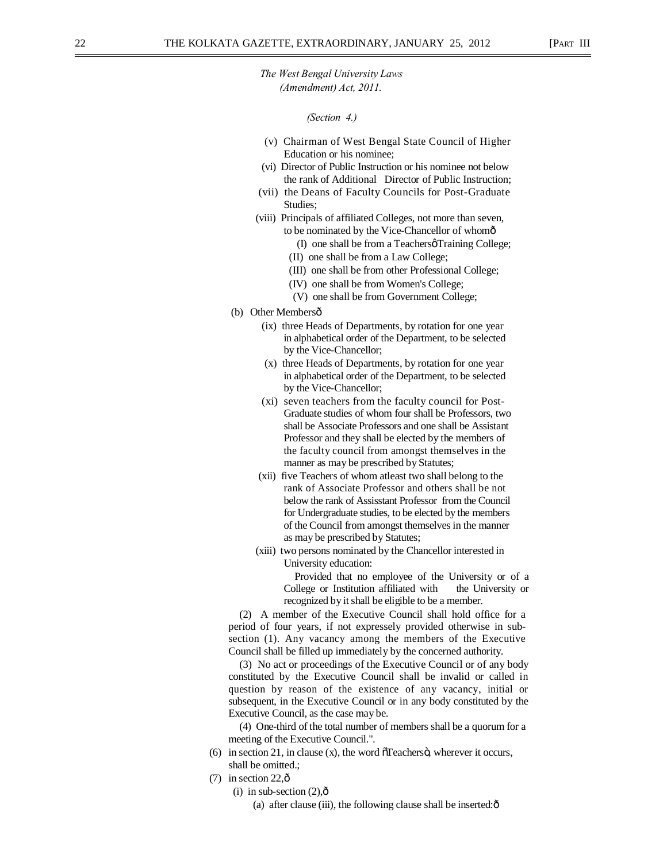#### *(Section 4.)*

- (v) Chairman of West Bengal State Council of Higher Education or his nominee;
- (vi) Director of Public Instruction or his nominee not below the rank of Additional Director of Public Instruction;
- (vii) the Deans of Faculty Councils for Post-Graduate Studies;
- (viii) Principals of affiliated Colleges, not more than seven, to be nominated by the Vice-Chancellor of whomô
	- (I) one shall be from a Teachers Training College; (II) one shall be from a Law College;
	- (III) one shall be from other Professional College;
	- (IV) one shall be from Women's College;
	- (V) one shall be from Government College;
- (b) Other Membersô
	- (ix) three Heads of Departments, by rotation for one year in alphabetical order of the Department, to be selected by the Vice-Chancellor;
	- (x) three Heads of Departments, by rotation for one year in alphabetical order of the Department, to be selected by the Vice-Chancellor;
	- (xi) seven teachers from the faculty council for Post-Graduate studies of whom four shall be Professors, two shall be Associate Professors and one shall be Assistant Professor and they shall be elected by the members of the faculty council from amongst themselves in the manner as may be prescribed by Statutes;
	- (xii) five Teachers of whom atleast two shall belong to the rank of Associate Professor and others shall be not below the rank of Assisstant Professor from the Council for Undergraduate studies, to be elected by the members of the Council from amongst themselves in the manner as may be prescribed by Statutes;
	- (xiii) two persons nominated by the Chancellor interested in University education:

Provided that no employee of the University or of a College or Institution affiliated with the University or recognized by it shall be eligible to be a member.

(2) A member of the Executive Council shall hold office for a period of four years, if not expressely provided otherwise in subsection (1). Any vacancy among the members of the Executive Council shall be filled up immediately by the concerned authority.

(3) No act or proceedings of the Executive Council or of any body constituted by the Executive Council shall be invalid or called in question by reason of the existence of any vacancy, initial or subsequent, in the Executive Council or in any body constituted by the Executive Council, as the case may be.

(4) One-third of the total number of members shall be a quorum for a meeting of the Executive Council.".

- (6) in section 21, in clause (x), the word  $\tilde{\sigma}$  Teachers $\ddot{\sigma}$ , wherever it occurs, shall be omitted.:
- $(7)$  in section 22, $\hat{\text{o}}$ 
	- (i) in sub-section  $(2)$ , $\hat{0}$ 
		- (a) after clause (iii), the following clause shall be inserted: $\hat{o}$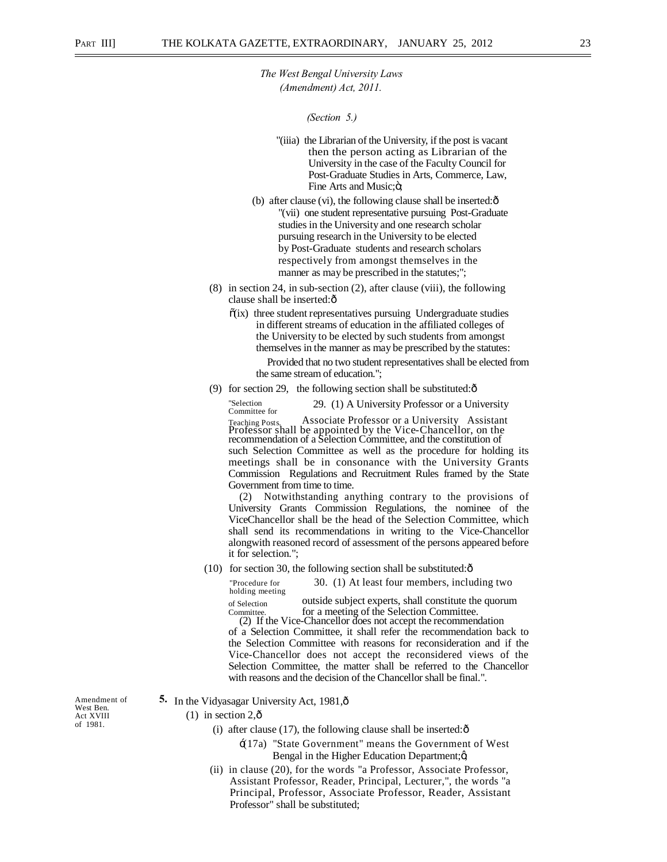*(Section 5.)* 

- "(iiia) the Librarian of the University, if the post is vacant then the person acting as Librarian of the University in the case of the Faculty Council for Post-Graduate Studies in Arts, Commerce, Law, Fine Arts and Music;  $\ddot{\text{o}}$ ;
- (b) after clause (vi), the following clause shall be inserted: $\hat{o}$ "(vii) one student representative pursuing Post-Graduate studies in the University and one research scholar pursuing research in the University to be elected by Post-Graduate students and research scholars respectively from amongst themselves in the manner as may be prescribed in the statutes;";
- (8) in section 24, in sub-section (2), after clause (viii), the following clause shall be inserted: $\hat{o}$ 
	- $\tilde{o}(ix)$  three student representatives pursuing Undergraduate studies in different streams of education in the affiliated colleges of the University to be elected by such students from amongst themselves in the manner as may be prescribed by the statutes:

Provided that no two student representatives shall be elected from the same stream of education.";

(9) for section 29, the following section shall be substituted: $\hat{o}$ 

"Selection 29. (1) A University Professor or a University<br>
Committee for<br>
Teaching Posts Associate Professor or a University Assistant Teaching Posts. Associate Professor or a University Assistant Professor shall be appointed by the Vice-Chancellor, on the recommendation of a Selection Committee, and the constitution of such Selection Committee as well as the procedure for holding its meetings shall be in consonance with the University Grants Commission Regulations and Recruitment Rules framed by the State Government from time to time.

(2) Notwithstanding anything contrary to the provisions of University Grants Commission Regulations, the nominee of the ViceChancellor shall be the head of the Selection Committee, which shall send its recommendations in writing to the Vice-Chancellor alongwith reasoned record of assessment of the persons appeared before it for selection.";

 $(10)$  for section 30, the following section shall be substituted: $\hat{\text{o}}$ 

"Procedure for 30. (1) At least four members, including two holding meeting

of Selection outside subject experts, shall constitute the quorum Committee.<br>
for a meeting of the Selection Committee.

(2) If the Vice-Chancellor does not accept the recommendation of a Selection Committee, it shall refer the recommendation back to the Selection Committee with reasons for reconsideration and if the Vice-Chancellor does not accept the reconsidered views of the Selection Committee, the matter shall be referred to the Chancellor with reasons and the decision of the Chancellor shall be final.".

5. In the Vidyasagar University Act, 1981, $\hat{\sigma}$ 

 $(1)$  in section 2, $\hat{\text{o}}$ 

- (i) after clause (17), the following clause shall be inserted: $\hat{o}$ 
	- $\pm$ (17a) "State Government" means the Government of West Bengal in the Higher Education Department; $\alpha$
- (ii) in clause (20), for the words "a Professor, Associate Professor, Assistant Professor, Reader, Principal, Lecturer,", the words "a Principal, Professor, Associate Professor, Reader, Assistant Professor" shall be substituted;

Amendment of **5.** West Ben. Act XVIII of 1981.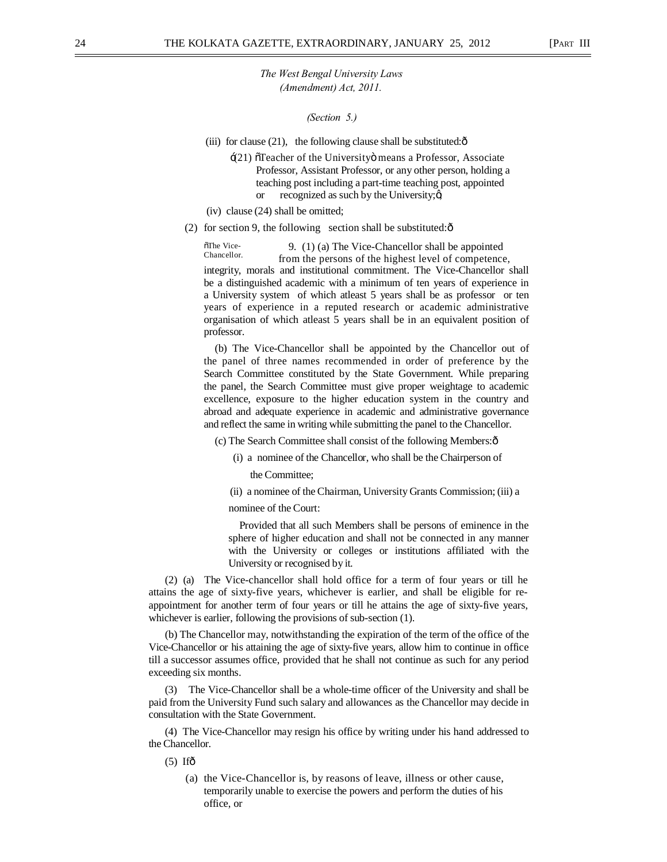*(Section 5.)* 

(iii) for clause (21), the following clause shall be substituted: $\hat{o}$ 

- $\div$ (21)  $\sigma$ Teacher of the University means a Professor, Associate Professor, Assistant Professor, or any other person, holding a teaching post including a part-time teaching post, appointed or recognized as such by the University; $\alpha$
- (iv) clause (24) shall be omitted;
- (2) for section 9, the following section shall be substituted: $\hat{o}$

 $\frac{5 \text{The Vice}}{\text{Change of the Time}}$  (1) (a) The Vice-Chancellor shall be appointed Chancellor. from the persons of the highest level of competence, integrity, morals and institutional commitment. The Vice-Chancellor shall be a distinguished academic with a minimum of ten years of experience in a University system of which atleast 5 years shall be as professor or ten years of experience in a reputed research or academic administrative organisation of which atleast 5 years shall be in an equivalent position of professor.

(b) The Vice-Chancellor shall be appointed by the Chancellor out of the panel of three names recommended in order of preference by the Search Committee constituted by the State Government. While preparing the panel, the Search Committee must give proper weightage to academic excellence, exposure to the higher education system in the country and abroad and adequate experience in academic and administrative governance and reflect the same in writing while submitting the panel to the Chancellor.

(c) The Search Committee shall consist of the following Members:—

(i) a nominee of the Chancellor, who shall be the Chairperson of

the Committee;

(ii) a nominee of the Chairman, University Grants Commission; (iii) a

nominee of the Court:

Provided that all such Members shall be persons of eminence in the sphere of higher education and shall not be connected in any manner with the University or colleges or institutions affiliated with the University or recognised by it.

(2) (a) The Vice-chancellor shall hold office for a term of four years or till he attains the age of sixty-five years, whichever is earlier, and shall be eligible for reappointment for another term of four years or till he attains the age of sixty-five years, whichever is earlier, following the provisions of sub-section (1).

(b) The Chancellor may, notwithstanding the expiration of the term of the office of the Vice-Chancellor or his attaining the age of sixty-five years, allow him to continue in office till a successor assumes office, provided that he shall not continue as such for any period exceeding six months.

(3) The Vice-Chancellor shall be a whole-time officer of the University and shall be paid from the University Fund such salary and allowances as the Chancellor may decide in consultation with the State Government.

(4) The Vice-Chancellor may resign his office by writing under his hand addressed to the Chancellor.

 $(5)$  Ifô

(a) the Vice-Chancellor is, by reasons of leave, illness or other cause, temporarily unable to exercise the powers and perform the duties of his office, or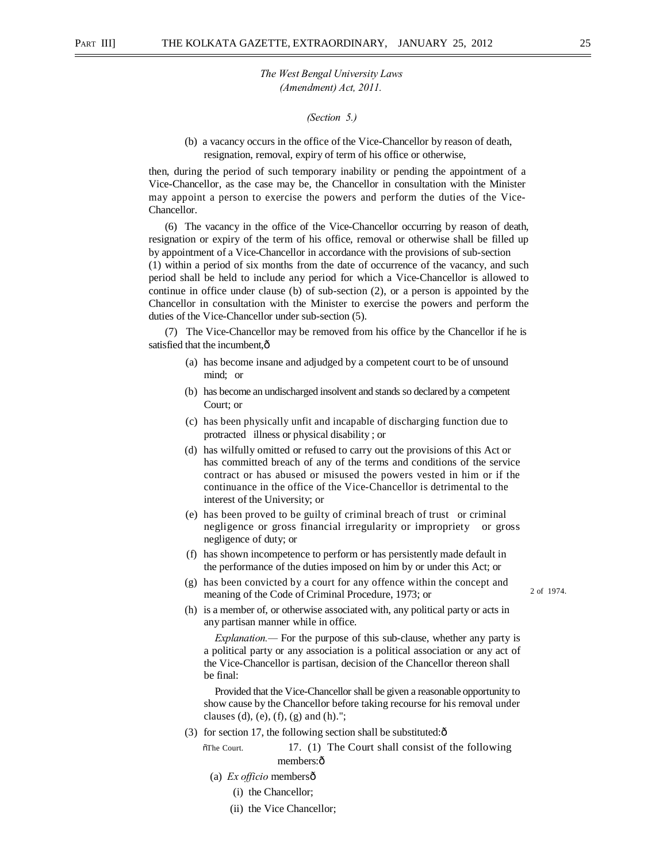#### *(Section 5.)*

(b) a vacancy occurs in the office of the Vice-Chancellor by reason of death, resignation, removal, expiry of term of his office or otherwise,

then, during the period of such temporary inability or pending the appointment of a Vice-Chancellor, as the case may be, the Chancellor in consultation with the Minister may appoint a person to exercise the powers and perform the duties of the Vice-Chancellor.

(6) The vacancy in the office of the Vice-Chancellor occurring by reason of death, resignation or expiry of the term of his office, removal or otherwise shall be filled up by appointment of a Vice-Chancellor in accordance with the provisions of sub-section (1) within a period of six months from the date of occurrence of the vacancy, and such period shall be held to include any period for which a Vice-Chancellor is allowed to continue in office under clause (b) of sub-section (2), or a person is appointed by the Chancellor in consultation with the Minister to exercise the powers and perform the duties of the Vice-Chancellor under sub-section (5).

(7) The Vice-Chancellor may be removed from his office by the Chancellor if he is satisfied that the incumbent. $\hat{o}$ 

- (a) has become insane and adjudged by a competent court to be of unsound mind; or
- (b) has become an undischarged insolvent and stands so declared by a competent Court; or
- (c) has been physically unfit and incapable of discharging function due to protracted illness or physical disability ; or
- (d) has wilfully omitted or refused to carry out the provisions of this Act or has committed breach of any of the terms and conditions of the service contract or has abused or misused the powers vested in him or if the continuance in the office of the Vice-Chancellor is detrimental to the interest of the University; or
- (e) has been proved to be guilty of criminal breach of trust or criminal negligence or gross financial irregularity or impropriety or gross negligence of duty; or
- (f) has shown incompetence to perform or has persistently made default in the performance of the duties imposed on him by or under this Act; or
- (g) has been convicted by a court for any offence within the concept and meaning of the Code of Criminal Procedure, 1973; or
- 2 of 1974.
- (h) is a member of, or otherwise associated with, any political party or acts in any partisan manner while in office.

*Explanation.—* For the purpose of this sub-clause, whether any party is a political party or any association is a political association or any act of the Vice-Chancellor is partisan, decision of the Chancellor thereon shall be final:

Provided that the Vice-Chancellor shall be given a reasonable opportunity to show cause by the Chancellor before taking recourse for his removal under clauses (d), (e), (f), (g) and (h).";

(3) for section 17, the following section shall be substituted: $\hat{\text{o}}$ 

 $\delta$ The Court. 17. (1) The Court shall consist of the following members:ô

- (a) *Ex officio* members—
	- (i) the Chancellor;
	- (ii) the Vice Chancellor;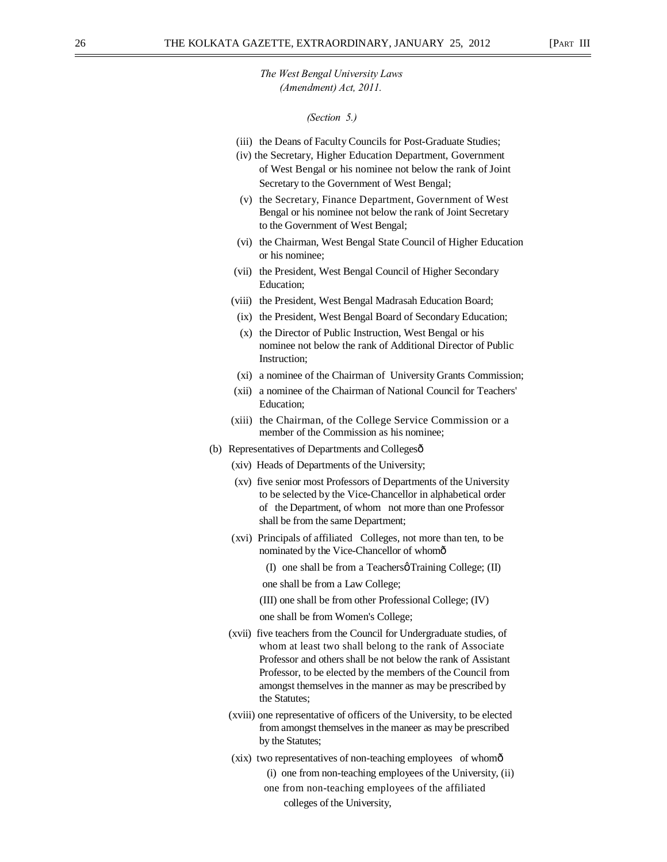#### *(Section 5.)*

- (iii) the Deans of Faculty Councils for Post-Graduate Studies;
- (iv) the Secretary, Higher Education Department, Government of West Bengal or his nominee not below the rank of Joint Secretary to the Government of West Bengal;
- (v) the Secretary, Finance Department, Government of West Bengal or his nominee not below the rank of Joint Secretary to the Government of West Bengal;
- (vi) the Chairman, West Bengal State Council of Higher Education or his nominee;
- (vii) the President, West Bengal Council of Higher Secondary Education;
- (viii) the President, West Bengal Madrasah Education Board;
- (ix) the President, West Bengal Board of Secondary Education;
- (x) the Director of Public Instruction, West Bengal or his nominee not below the rank of Additional Director of Public Instruction;
- (xi) a nominee of the Chairman of University Grants Commission;
- (xii) a nominee of the Chairman of National Council for Teachers' Education;
- (xiii) the Chairman, of the College Service Commission or a member of the Commission as his nominee;
- (b) Representatives of Departments and Collegesô
	- (xiv) Heads of Departments of the University;
	- (xv) five senior most Professors of Departments of the University to be selected by the Vice-Chancellor in alphabetical order of the Department, of whom not more than one Professor shall be from the same Department;
	- (xvi) Principals of affiliated Colleges, not more than ten, to be nominated by the Vice-Chancellor of whom—
		- (I) one shall be from a Teachers  $\varphi$  Training College; (II)
		- one shall be from a Law College;
		- (III) one shall be from other Professional College; (IV)
		- one shall be from Women's College;
	- (xvii) five teachers from the Council for Undergraduate studies, of whom at least two shall belong to the rank of Associate Professor and others shall be not below the rank of Assistant Professor, to be elected by the members of the Council from amongst themselves in the manner as may be prescribed by the Statutes;
	- (xviii) one representative of officers of the University, to be elected from amongst themselves in the maneer as may be prescribed by the Statutes;
	- (xix) two representatives of non-teaching employees of whom—
		- (i) one from non-teaching employees of the University, (ii)
		- one from non-teaching employees of the affiliated colleges of the University,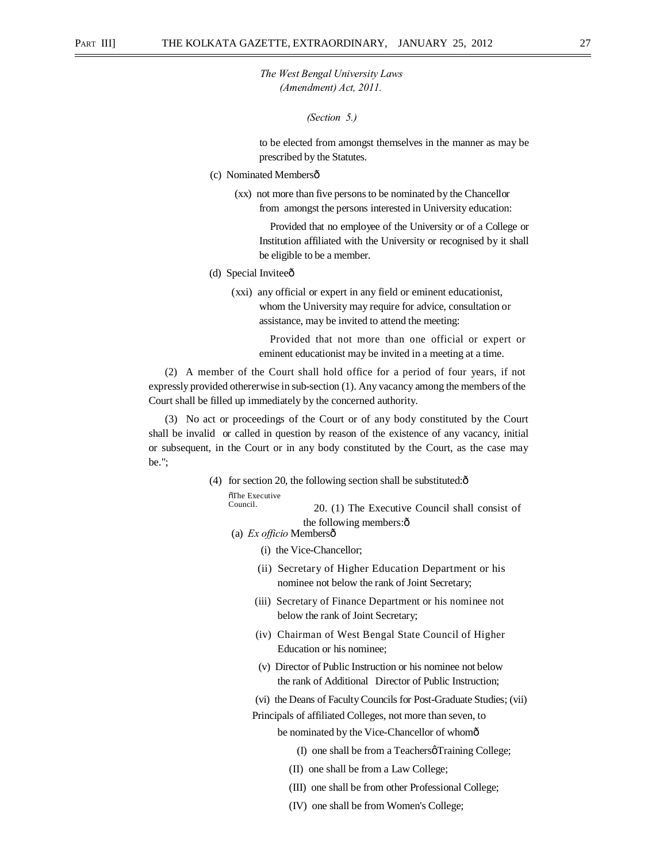#### *(Section 5.)*

to be elected from amongst themselves in the manner as may be prescribed by the Statutes.

- (c) Nominated Membersô
	- (xx) not more than five persons to be nominated by the Chancellor from amongst the persons interested in University education:

Provided that no employee of the University or of a College or Institution affiliated with the University or recognised by it shall be eligible to be a member.

- (d) Special Inviteeô
	- (xxi) any official or expert in any field or eminent educationist, whom the University may require for advice, consultation or assistance, may be invited to attend the meeting:

Provided that not more than one official or expert or eminent educationist may be invited in a meeting at a time.

(2) A member of the Court shall hold office for a period of four years, if not expressly provided othererwise in sub-section (1). Any vacancy among the members of the Court shall be filled up immediately by the concerned authority.

(3) No act or proceedings of the Court or of any body constituted by the Court shall be invalid or called in question by reason of the existence of any vacancy, initial or subsequent, in the Court or in any body constituted by the Court, as the case may be.";

> (4) for section 20, the following section shall be substituted: $\hat{o}$  $\delta$ The Executive

Council. 20. (1) The Executive Council shall consist of the following members: $\hat{o}$ 

- (a) *Ex officio* Members—
	- (i) the Vice-Chancellor;
	- (ii) Secretary of Higher Education Department or his nominee not below the rank of Joint Secretary;
	- (iii) Secretary of Finance Department or his nominee not below the rank of Joint Secretary;
	- (iv) Chairman of West Bengal State Council of Higher Education or his nominee;
	- (v) Director of Public Instruction or his nominee not below the rank of Additional Director of Public Instruction;
	- (vi) the Deans of Faculty Councils for Post-Graduate Studies; (vii)

Principals of affiliated Colleges, not more than seven, to

be nominated by the Vice-Chancellor of whomô

- (I) one shall be from a Teachers $\varphi$  Training College;
- (II) one shall be from a Law College;
- (III) one shall be from other Professional College;
- (IV) one shall be from Women's College;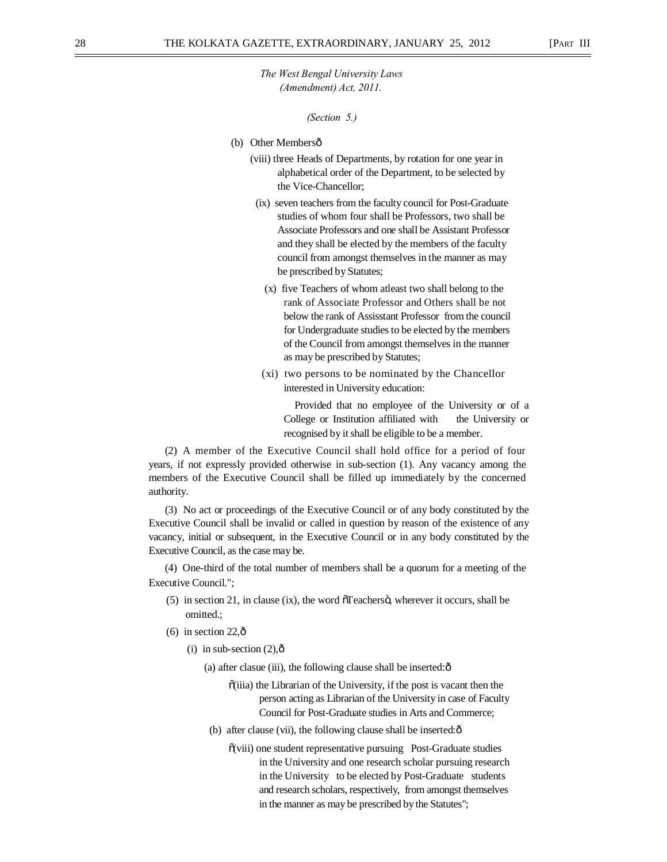*(Section 5.)* 

- (b) Other Membersô
	- (viii) three Heads of Departments, by rotation for one year in alphabetical order of the Department, to be selected by the Vice-Chancellor;
	- (ix) seven teachers from the faculty council for Post-Graduate studies of whom four shall be Professors, two shall be Associate Professors and one shall be Assistant Professor and they shall be elected by the members of the faculty council from amongst themselves in the manner as may be prescribed by Statutes;
		- (x) five Teachers of whom atleast two shall belong to the rank of Associate Professor and Others shall be not below the rank of Assisstant Professor from the council for Undergraduate studies to be elected by the members of the Council from amongst themselves in the manner as may be prescribed by Statutes;
	- (xi) two persons to be nominated by the Chancellor interested in University education:

Provided that no employee of the University or of a College or Institution affiliated with the University or recognised by it shall be eligible to be a member.

(2) A member of the Executive Council shall hold office for a period of four years, if not expressly provided otherwise in sub-section (1). Any vacancy among the members of the Executive Council shall be filled up immediately by the concerned authority.

(3) No act or proceedings of the Executive Council or of any body constituted by the Executive Council shall be invalid or called in question by reason of the existence of any vacancy, initial or subsequent, in the Executive Council or in any body constituted by the Executive Council, as the case may be.

(4) One-third of the total number of members shall be a quorum for a meeting of the Executive Council.";

- $(5)$  in section 21, in clause (ix), the word  $\tilde{O}$  Teachers $\ddot{o}$ , wherever it occurs, shall be omitted.;
- $(6)$  in section 22, $\hat{0}$ 
	- (i) in sub-section  $(2),\hat{0}$ 
		- (a) after clasue (iii), the following clause shall be inserted: $\hat{o}$ 
			- $\tilde{\text{o}}$ (iiia) the Librarian of the University, if the post is vacant then the person acting as Librarian of the University in case of Faculty Council for Post-Graduate studies in Arts and Commerce;
		- (b) after clause (vii), the following clause shall be inserted: $\hat{o}$ 
			- $\tilde{\text{o}}$ (viii) one student representative pursuing Post-Graduate studies in the University and one research scholar pursuing research in the University to be elected by Post-Graduate students and research scholars, respectively, from amongst themselves in the manner as may be prescribed by the Statutes";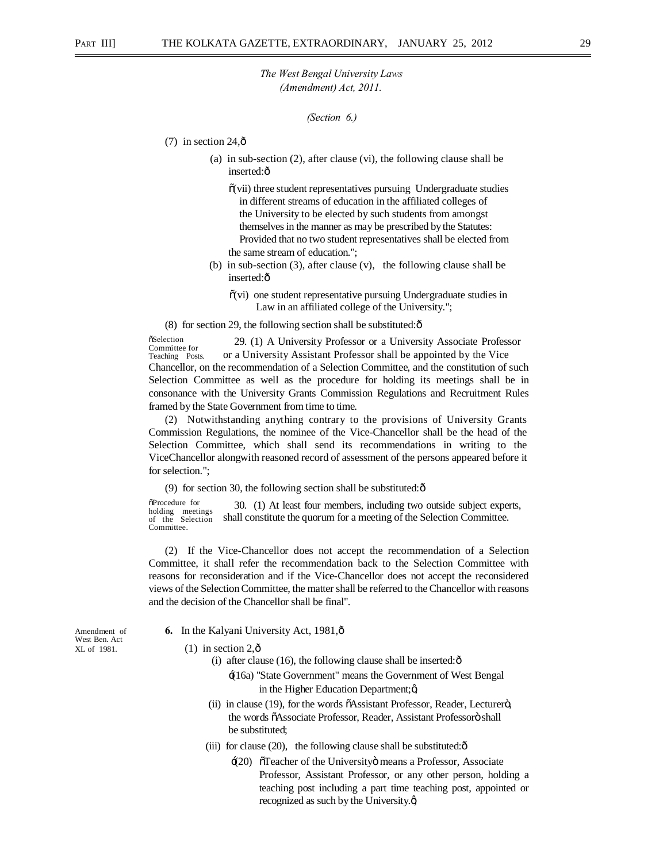```
(Section 6.)
```
- (7) in section  $24, \hat{o}$ 
	- (a) in sub-section (2), after clause (vi), the following clause shall be inserted:ô
		- $\tilde{\mathbf{o}}$ (vii) three student representatives pursuing Undergraduate studies in different streams of education in the affiliated colleges of the University to be elected by such students from amongst themselves in the manner as may be prescribed by the Statutes: Provided that no two student representatives shall be elected from the same stream of education.";
	- (b) in sub-section (3), after clause (v), the following clause shall be inserted:ô
		- $\tilde{o}(vi)$  one student representative pursuing Undergraduate studies in Law in an affiliated college of the University.";

(8) for section 29, the following section shall be substituted: $\hat{\text{o}}$ 

**öSelection** Committee for Teaching Posts. 29. (1) A University Professor or a University Associate Professor or a University Assistant Professor shall be appointed by the Vice Chancellor, on the recommendation of a Selection Committee, and the constitution of such Selection Committee as well as the procedure for holding its meetings shall be in consonance with the University Grants Commission Regulations and Recruitment Rules framed by the State Government from time to time.

(2) Notwithstanding anything contrary to the provisions of University Grants Commission Regulations, the nominee of the Vice-Chancellor shall be the head of the Selection Committee, which shall send its recommendations in writing to the ViceChancellor alongwith reasoned record of assessment of the persons appeared before it for selection.";

(9) for section 30, the following section shall be substituted: $\hat{\sigma}$ 

 $\delta$ Procedure for holding meetings of the Selection Committee. 30. (1) At least four members, including two outside subject experts, shall constitute the quorum for a meeting of the Selection Committee.

(2) If the Vice-Chancellor does not accept the recommendation of a Selection Committee, it shall refer the recommendation back to the Selection Committee with reasons for reconsideration and if the Vice-Chancellor does not accept the reconsidered views of the Selection Committee, the matter shall be referred to the Chancellor with reasons and the decision of the Chancellor shall be final".

West Ben. Act

- Amendment of **6.** In the Kalyani University Act, 1981,  $\hat{\text{o}}$
- $KL$  of 1981. (1) in section 2, $\hat{0}$ 
	- (i) after clause (16), the following clause shall be inserted: $\hat{\sigma}$ 
		- '(16a) "State Government" means the Government of West Bengal in the Higher Education Department; $\alpha$
	- $(ii)$  in clause (19), for the words  $\tilde{o}$ Assistant Professor, Reader, Lecturer $\tilde{o}$ , the words õAssociate Professor, Reader, Assistant Professorö shall be substituted;
	- (iii) for clause (20), the following clause shall be substituted: $\hat{o}$ 
		- $\div(20)$  Teacher of the University means a Professor, Associate Professor, Assistant Professor, or any other person, holding a teaching post including a part time teaching post, appointed or recognized as such by the University. $\alpha$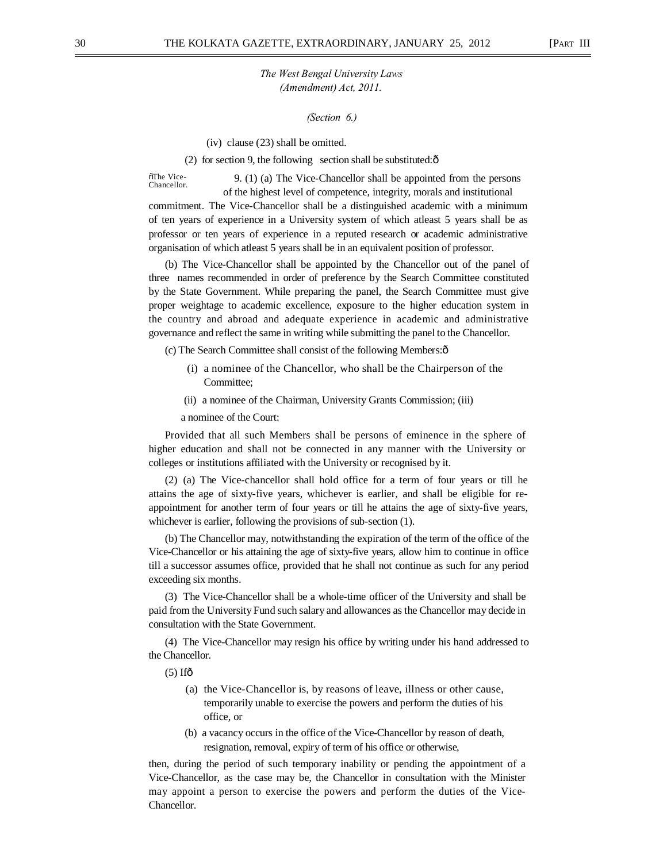*(Section 6.)* 

(iv) clause (23) shall be omitted.

(2) for section 9, the following section shall be substituted: $\hat{o}$ 

õThe Vice-<br>Chancellor 9.  $(1)$  (a) The Vice-Chancellor shall be appointed from the persons of the highest level of competence, integrity, morals and institutional

commitment. The Vice-Chancellor shall be a distinguished academic with a minimum of ten years of experience in a University system of which atleast 5 years shall be as professor or ten years of experience in a reputed research or academic administrative organisation of which atleast 5 years shall be in an equivalent position of professor.

(b) The Vice-Chancellor shall be appointed by the Chancellor out of the panel of three names recommended in order of preference by the Search Committee constituted by the State Government. While preparing the panel, the Search Committee must give proper weightage to academic excellence, exposure to the higher education system in the country and abroad and adequate experience in academic and administrative governance and reflect the same in writing while submitting the panel to the Chancellor.

(c) The Search Committee shall consist of the following Members:—

- (i) a nominee of the Chancellor, who shall be the Chairperson of the Committee;
- (ii) a nominee of the Chairman, University Grants Commission; (iii)

a nominee of the Court:

Provided that all such Members shall be persons of eminence in the sphere of higher education and shall not be connected in any manner with the University or colleges or institutions affiliated with the University or recognised by it.

(2) (a) The Vice-chancellor shall hold office for a term of four years or till he attains the age of sixty-five years, whichever is earlier, and shall be eligible for reappointment for another term of four years or till he attains the age of sixty-five years, whichever is earlier, following the provisions of sub-section (1).

(b) The Chancellor may, notwithstanding the expiration of the term of the office of the Vice-Chancellor or his attaining the age of sixty-five years, allow him to continue in office till a successor assumes office, provided that he shall not continue as such for any period exceeding six months.

(3) The Vice-Chancellor shall be a whole-time officer of the University and shall be paid from the University Fund such salary and allowances as the Chancellor may decide in consultation with the State Government.

(4) The Vice-Chancellor may resign his office by writing under his hand addressed to the Chancellor.

 $(5)$  Ifô

- (a) the Vice-Chancellor is, by reasons of leave, illness or other cause, temporarily unable to exercise the powers and perform the duties of his office, or
- (b) a vacancy occurs in the office of the Vice-Chancellor by reason of death, resignation, removal, expiry of term of his office or otherwise,

then, during the period of such temporary inability or pending the appointment of a Vice-Chancellor, as the case may be, the Chancellor in consultation with the Minister may appoint a person to exercise the powers and perform the duties of the Vice-Chancellor.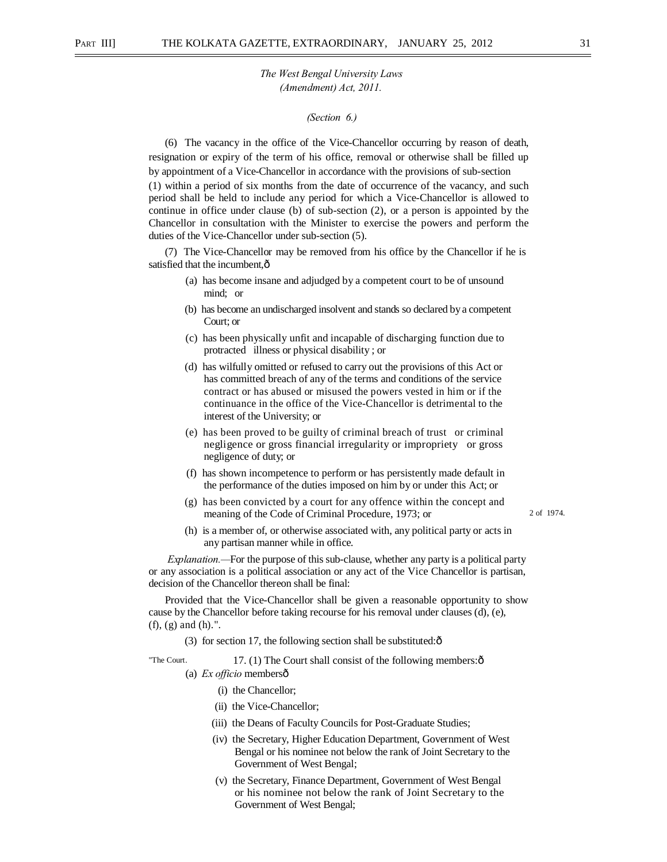#### *(Section 6.)*

(6) The vacancy in the office of the Vice-Chancellor occurring by reason of death, resignation or expiry of the term of his office, removal or otherwise shall be filled up by appointment of a Vice-Chancellor in accordance with the provisions of sub-section (1) within a period of six months from the date of occurrence of the vacancy, and such period shall be held to include any period for which a Vice-Chancellor is allowed to continue in office under clause (b) of sub-section (2), or a person is appointed by the Chancellor in consultation with the Minister to exercise the powers and perform the duties of the Vice-Chancellor under sub-section (5).

(7) The Vice-Chancellor may be removed from his office by the Chancellor if he is satisfied that the incumbent, $\hat{o}$ 

- (a) has become insane and adjudged by a competent court to be of unsound mind; or
- (b) has become an undischarged insolvent and stands so declared by a competent Court; or
- (c) has been physically unfit and incapable of discharging function due to protracted illness or physical disability ; or
- (d) has wilfully omitted or refused to carry out the provisions of this Act or has committed breach of any of the terms and conditions of the service contract or has abused or misused the powers vested in him or if the continuance in the office of the Vice-Chancellor is detrimental to the interest of the University; or
- (e) has been proved to be guilty of criminal breach of trust or criminal negligence or gross financial irregularity or impropriety or gross negligence of duty; or
- (f) has shown incompetence to perform or has persistently made default in the performance of the duties imposed on him by or under this Act; or
- (g) has been convicted by a court for any offence within the concept and meaning of the Code of Criminal Procedure, 1973; or 2 of 1974.
- (h) is a member of, or otherwise associated with, any political party or acts in any partisan manner while in office.

*Explanation.—*For the purpose of this sub-clause, whether any party is a political party or any association is a political association or any act of the Vice Chancellor is partisan, decision of the Chancellor thereon shall be final:

Provided that the Vice-Chancellor shall be given a reasonable opportunity to show cause by the Chancellor before taking recourse for his removal under clauses (d), (e), (f), (g) and (h).".

(3) for section 17, the following section shall be substituted: $\hat{\text{o}}$ 

"The Court.  $17. (1)$  The Court shall consist of the following members: $\hat{\text{o}}$ (a) *Ex officio* members—

- (i) the Chancellor;
- (ii) the Vice-Chancellor;
- (iii) the Deans of Faculty Councils for Post-Graduate Studies;
- (iv) the Secretary, Higher Education Department, Government of West Bengal or his nominee not below the rank of Joint Secretary to the Government of West Bengal;
- (v) the Secretary, Finance Department, Government of West Bengal or his nominee not below the rank of Joint Secretary to the Government of West Bengal;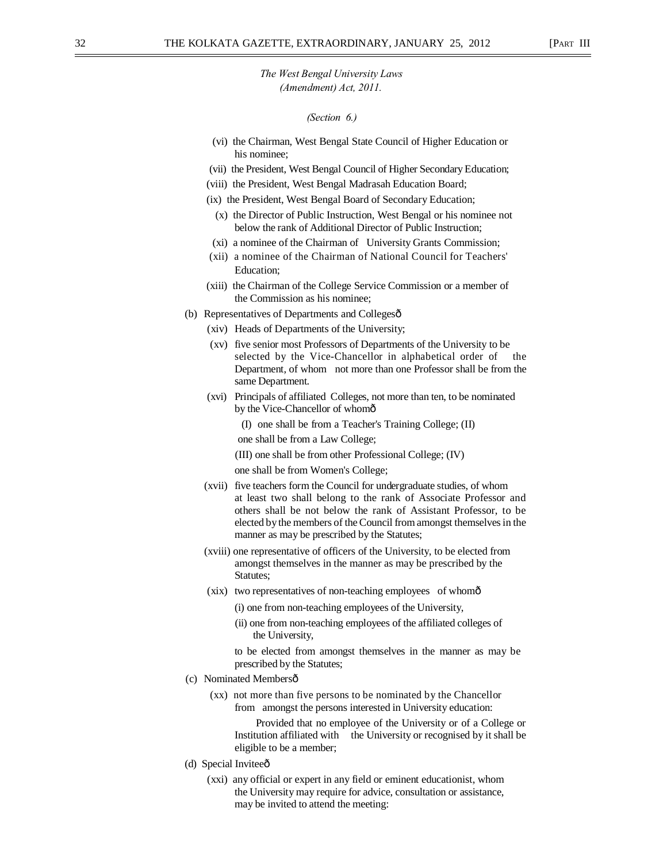#### *(Section 6.)*

- (vi) the Chairman, West Bengal State Council of Higher Education or his nominee;
- (vii) the President, West Bengal Council of Higher Secondary Education;
- (viii) the President, West Bengal Madrasah Education Board;
- (ix) the President, West Bengal Board of Secondary Education;
	- (x) the Director of Public Instruction, West Bengal or his nominee not below the rank of Additional Director of Public Instruction;
- (xi) a nominee of the Chairman of University Grants Commission;
- (xii) a nominee of the Chairman of National Council for Teachers' Education;
- (xiii) the Chairman of the College Service Commission or a member of the Commission as his nominee;
- (b) Representatives of Departments and Collegesô
	- (xiv) Heads of Departments of the University;
	- (xv) five senior most Professors of Departments of the University to be selected by the Vice-Chancellor in alphabetical order of the Department, of whom not more than one Professor shall be from the same Department.
	- (xvi) Principals of affiliated Colleges, not more than ten, to be nominated by the Vice-Chancellor of whomô

(I) one shall be from a Teacher's Training College; (II)

one shall be from a Law College;

(III) one shall be from other Professional College; (IV)

one shall be from Women's College;

- (xvii) five teachers form the Council for undergraduate studies, of whom at least two shall belong to the rank of Associate Professor and others shall be not below the rank of Assistant Professor, to be elected by the members of the Council from amongst themselves in the manner as may be prescribed by the Statutes;
- (xviii) one representative of officers of the University, to be elected from amongst themselves in the manner as may be prescribed by the Statutes;
- (xix) two representatives of non-teaching employees of whomô
	- (i) one from non-teaching employees of the University,
	- (ii) one from non-teaching employees of the affiliated colleges of the University,

to be elected from amongst themselves in the manner as may be prescribed by the Statutes;

- (c) Nominated Membersô
	- (xx) not more than five persons to be nominated by the Chancellor from amongst the persons interested in University education:

Provided that no employee of the University or of a College or Institution affiliated with the University or recognised by it shall be eligible to be a member;

- (d) Special Inviteeô
	- (xxi) any official or expert in any field or eminent educationist, whom the University may require for advice, consultation or assistance, may be invited to attend the meeting: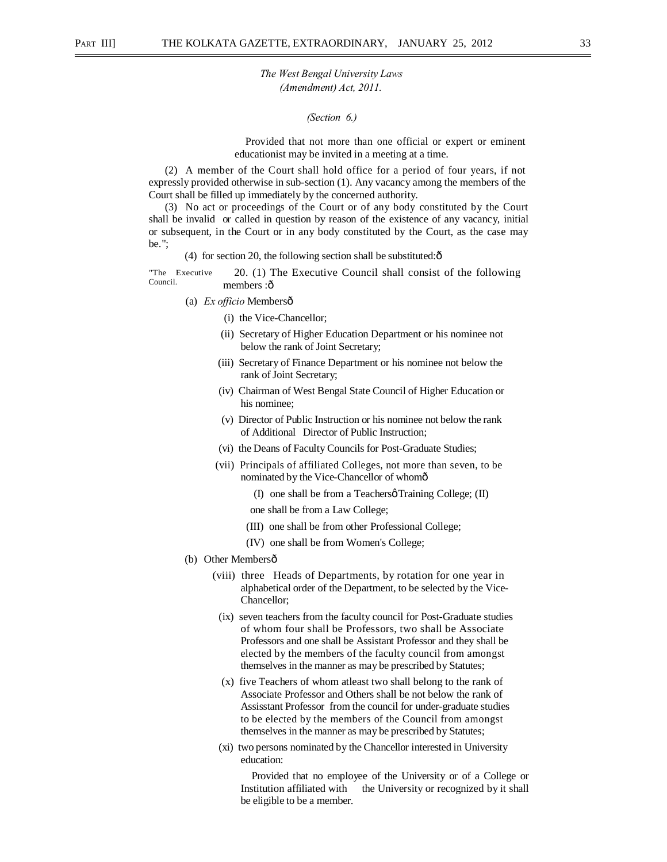*(Section 6.)* 

Provided that not more than one official or expert or eminent educationist may be invited in a meeting at a time.

(2) A member of the Court shall hold office for a period of four years, if not expressly provided otherwise in sub-section (1). Any vacancy among the members of the Court shall be filled up immediately by the concerned authority.

(3) No act or proceedings of the Court or of any body constituted by the Court shall be invalid or called in question by reason of the existence of any vacancy, initial or subsequent, in the Court or in any body constituted by the Court, as the case may be.";

(4) for section 20, the following section shall be substituted: $\hat{\text{o}}$ 

"The Executive Council. 20. (1) The Executive Council shall consist of the following members :ô

- (a) *Ex officio* Membersô
	- (i) the Vice-Chancellor;
	- (ii) Secretary of Higher Education Department or his nominee not below the rank of Joint Secretary;
	- (iii) Secretary of Finance Department or his nominee not below the rank of Joint Secretary;
	- (iv) Chairman of West Bengal State Council of Higher Education or his nominee;
	- (v) Director of Public Instruction or his nominee not below the rank of Additional Director of Public Instruction;
	- (vi) the Deans of Faculty Councils for Post-Graduate Studies;
	- (vii) Principals of affiliated Colleges, not more than seven, to be nominated by the Vice-Chancellor of whom—
		- (I) one shall be from a Teachers Training College; (II)
		- one shall be from a Law College;
		- (III) one shall be from other Professional College;
		- (IV) one shall be from Women's College;
- (b) Other Membersô
	- (viii) three Heads of Departments, by rotation for one year in alphabetical order of the Department, to be selected by the Vice-Chancellor;
	- (ix) seven teachers from the faculty council for Post-Graduate studies of whom four shall be Professors, two shall be Associate Professors and one shall be Assistant Professor and they shall be elected by the members of the faculty council from amongst themselves in the manner as may be prescribed by Statutes;
	- (x) five Teachers of whom atleast two shall belong to the rank of Associate Professor and Others shall be not below the rank of Assisstant Professor from the council for under-graduate studies to be elected by the members of the Council from amongst themselves in the manner as may be prescribed by Statutes;
	- (xi) two persons nominated by the Chancellor interested in University education:

Provided that no employee of the University or of a College or Institution affiliated with the University or recognized by it shall be eligible to be a member.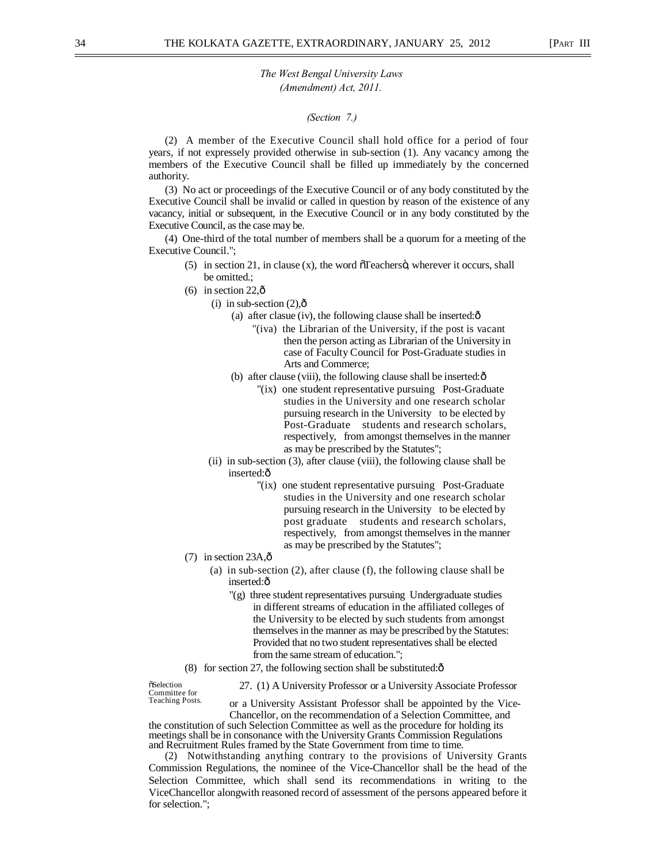#### *(Section 7.)*

(2) A member of the Executive Council shall hold office for a period of four years, if not expressely provided otherwise in sub-section (1). Any vacancy among the members of the Executive Council shall be filled up immediately by the concerned authority.

(3) No act or proceedings of the Executive Council or of any body constituted by the Executive Council shall be invalid or called in question by reason of the existence of any vacancy, initial or subsequent, in the Executive Council or in any body constituted by the Executive Council, as the case may be.

(4) One-third of the total number of members shall be a quorum for a meeting of the Executive Council.";

- $(5)$  in section 21, in clause (x), the word  $\tilde{c}$  Teachers $\ddot{o}$ , wherever it occurs, shall be omitted.;
- $(6)$  in section 22. $\hat{0}$ 
	- (i) in sub-section  $(2)$ , $\hat{0}$ 
		- (a) after clasue (iv), the following clause shall be inserted: $\hat{o}$ 
			- "(iva) the Librarian of the University, if the post is vacant then the person acting as Librarian of the University in case of Faculty Council for Post-Graduate studies in Arts and Commerce;
		- (b) after clause (viii), the following clause shall be inserted: $\hat{o}$ 
			- "(ix) one student representative pursuing Post-Graduate studies in the University and one research scholar pursuing research in the University to be elected by Post-Graduate students and research scholars, respectively, from amongst themselves in the manner as may be prescribed by the Statutes";
		- (ii) in sub-section (3), after clause (viii), the following clause shall be inserted:ô
			- "(ix) one student representative pursuing Post-Graduate studies in the University and one research scholar pursuing research in the University to be elected by post graduate students and research scholars, respectively, from amongst themselves in the manner as may be prescribed by the Statutes";
- $(7)$  in section 23A, $\hat{\text{o}}$ 
	- (a) in sub-section (2), after clause (f), the following clause shall be inserted:ô
		- "(g) three student representatives pursuing Undergraduate studies in different streams of education in the affiliated colleges of the University to be elected by such students from amongst themselves in the manner as may be prescribed by the Statutes: Provided that no two student representatives shall be elected from the same stream of education.";
- (8) for section 27, the following section shall be substituted: $\hat{o}$

Selection 27. (1) A University Professor or a University Associate Professor<br>Committee for a Liniversity Assistant Professor shall be appointed by the Vice

or a University Assistant Professor shall be appointed by the Vice-Chancellor, on the recommendation of a Selection Committee, and

the constitution of such Selection Committee as well as the procedure for holding its meetings shall be in consonance with the University Grants Commission Regulations and Recruitment Rules framed by the State Government from time to time.

(2) Notwithstanding anything contrary to the provisions of University Grants Commission Regulations, the nominee of the Vice-Chancellor shall be the head of the Selection Committee, which shall send its recommendations in writing to the ViceChancellor alongwith reasoned record of assessment of the persons appeared before it for selection.";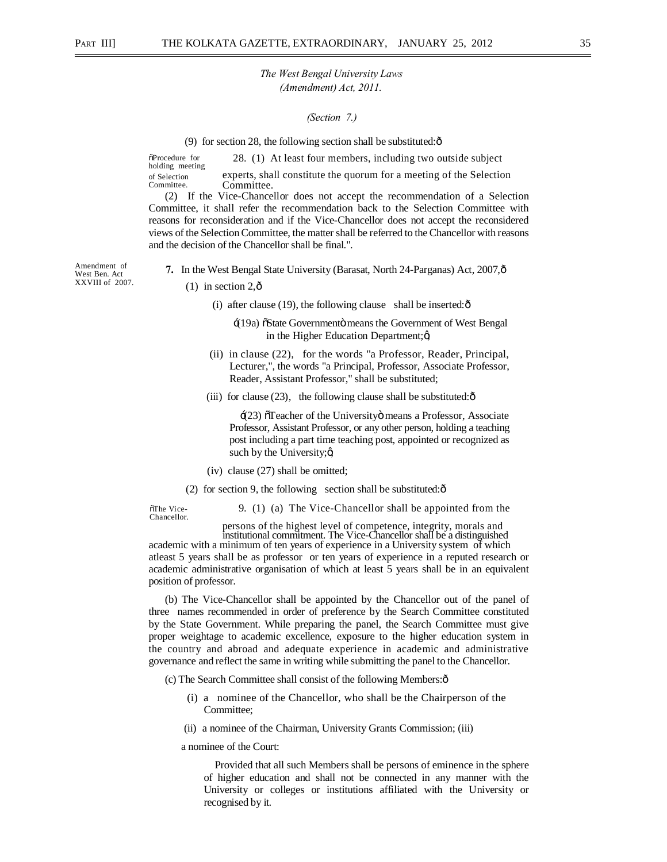#### *(Section 7.)*

(9) for section 28, the following section shall be substituted: $\hat{\text{o}}$ 

 $\delta$ Procedure for 28. (1) At least four members, including two outside subject holding meeting of Selection experts, shall constitute the quorum for a meeting of the Selection Committee.

(2) If the Vice-Chancellor does not accept the recommendation of a Selection Committee, it shall refer the recommendation back to the Selection Committee with reasons for reconsideration and if the Vice-Chancellor does not accept the reconsidered views of the Selection Committee, the matter shall be referred to the Chancellor with reasons and the decision of the Chancellor shall be final.".

Amendment of West Ben. Act XXVIII of 2007.

- **7.** In the West Bengal State University (Barasat, North 24-Parganas) Act, 2007, ô
	- $(1)$  in section 2, $\hat{\text{o}}$ 
		- (i) after clause (19), the following clause shall be inserted: $\hat{o}$ 
			- '(19a) "State Government" means the Government of West Bengal in the Higher Education Department; $\alpha$
		- (ii) in clause (22), for the words "a Professor, Reader, Principal, Lecturer,", the words "a Principal, Professor, Associate Professor, Reader, Assistant Professor," shall be substituted;
		- (iii) for clause  $(23)$ , the following clause shall be substituted: $\hat{o}$

 $\pm$ (23)  $\sigma$ Teacher of the University means a Professor, Associate Professor, Assistant Professor, or any other person, holding a teaching post including a part time teaching post, appointed or recognized as such by the University; $\alpha$ 

(iv) clause (27) shall be omitted;

(2) for section 9, the following section shall be substituted: $\hat{\text{o}}$ 

Chancellor.

 $\delta$ The Vice- 9. (1) (a) The Vice-Chancellor shall be appointed from the

persons of the highest level of competence, integrity, morals and

academic with a minimum of ten years of experience in a University system of which atleast 5 years shall be as professor or ten years of experience in a reputed research or academic administrative organisation of which at least 5 years shall be in an equivalent position of professor.

(b) The Vice-Chancellor shall be appointed by the Chancellor out of the panel of three names recommended in order of preference by the Search Committee constituted by the State Government. While preparing the panel, the Search Committee must give proper weightage to academic excellence, exposure to the higher education system in the country and abroad and adequate experience in academic and administrative governance and reflect the same in writing while submitting the panel to the Chancellor.

(c) The Search Committee shall consist of the following Members:—

- (i) a nominee of the Chancellor, who shall be the Chairperson of the Committee;
- (ii) a nominee of the Chairman, University Grants Commission; (iii)

a nominee of the Court:

Provided that all such Members shall be persons of eminence in the sphere of higher education and shall not be connected in any manner with the University or colleges or institutions affiliated with the University or recognised by it.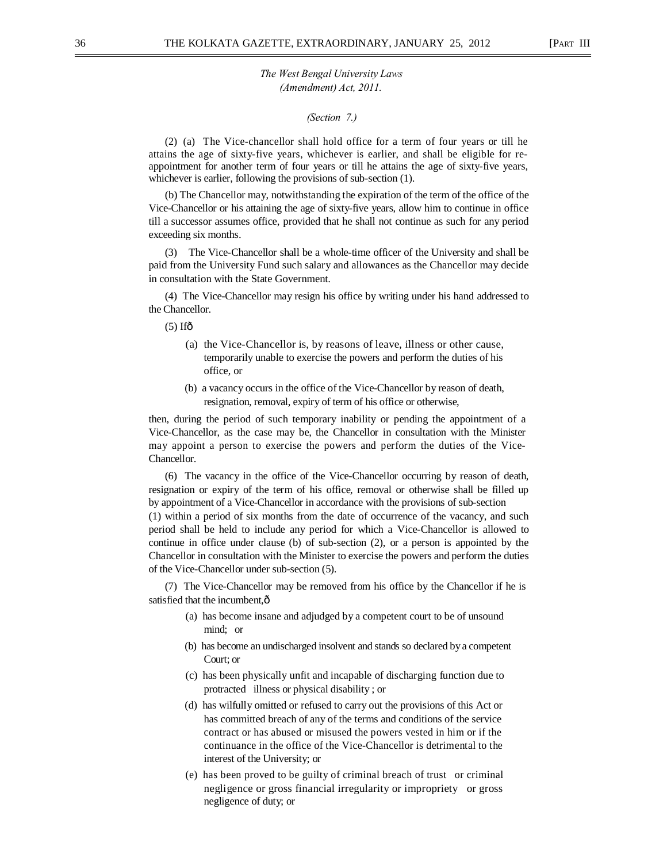#### *(Section 7.)*

(2) (a) The Vice-chancellor shall hold office for a term of four years or till he attains the age of sixty-five years, whichever is earlier, and shall be eligible for reappointment for another term of four years or till he attains the age of sixty-five years, whichever is earlier, following the provisions of sub-section (1).

(b) The Chancellor may, notwithstanding the expiration of the term of the office of the Vice-Chancellor or his attaining the age of sixty-five years, allow him to continue in office till a successor assumes office, provided that he shall not continue as such for any period exceeding six months.

(3) The Vice-Chancellor shall be a whole-time officer of the University and shall be paid from the University Fund such salary and allowances as the Chancellor may decide in consultation with the State Government.

(4) The Vice-Chancellor may resign his office by writing under his hand addressed to the Chancellor.

 $(5)$  If $\hat{0}$ 

- (a) the Vice-Chancellor is, by reasons of leave, illness or other cause, temporarily unable to exercise the powers and perform the duties of his office, or
- (b) a vacancy occurs in the office of the Vice-Chancellor by reason of death, resignation, removal, expiry of term of his office or otherwise,

then, during the period of such temporary inability or pending the appointment of a Vice-Chancellor, as the case may be, the Chancellor in consultation with the Minister may appoint a person to exercise the powers and perform the duties of the Vice-Chancellor.

(6) The vacancy in the office of the Vice-Chancellor occurring by reason of death, resignation or expiry of the term of his office, removal or otherwise shall be filled up by appointment of a Vice-Chancellor in accordance with the provisions of sub-section (1) within a period of six months from the date of occurrence of the vacancy, and such period shall be held to include any period for which a Vice-Chancellor is allowed to continue in office under clause (b) of sub-section (2), or a person is appointed by the Chancellor in consultation with the Minister to exercise the powers and perform the duties of the Vice-Chancellor under sub-section (5).

(7) The Vice-Chancellor may be removed from his office by the Chancellor if he is satisfied that the incumbent,  $\hat{o}$ 

- (a) has become insane and adjudged by a competent court to be of unsound mind; or
- (b) has become an undischarged insolvent and stands so declared by a competent Court; or
- (c) has been physically unfit and incapable of discharging function due to protracted illness or physical disability ; or
- (d) has wilfully omitted or refused to carry out the provisions of this Act or has committed breach of any of the terms and conditions of the service contract or has abused or misused the powers vested in him or if the continuance in the office of the Vice-Chancellor is detrimental to the interest of the University; or
- (e) has been proved to be guilty of criminal breach of trust or criminal negligence or gross financial irregularity or impropriety or gross negligence of duty; or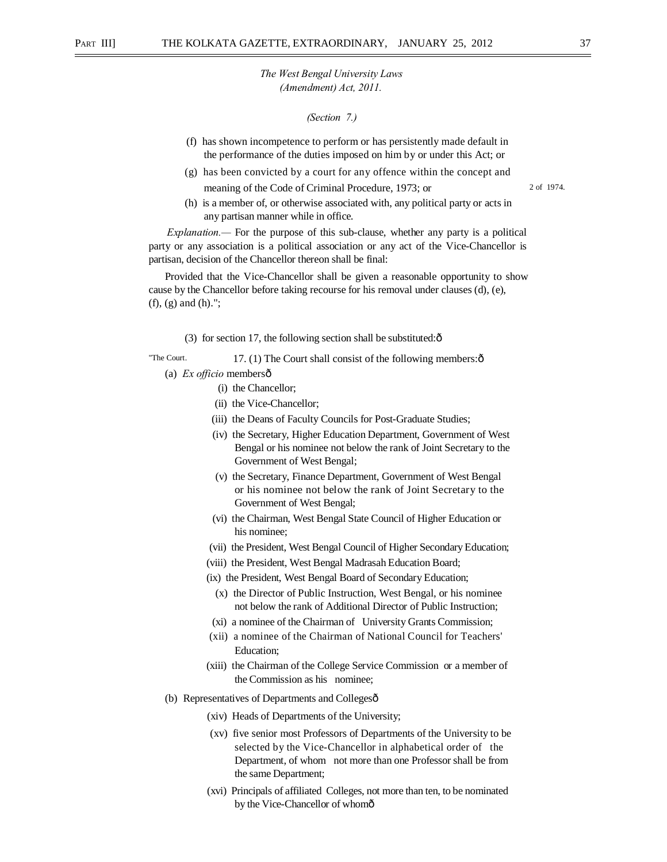#### *(Section 7.)*

- (f) has shown incompetence to perform or has persistently made default in the performance of the duties imposed on him by or under this Act; or
- (g) has been convicted by a court for any offence within the concept and meaning of the Code of Criminal Procedure, 1973; or 2 of 1974.

(h) is a member of, or otherwise associated with, any political party or acts in any partisan manner while in office.

*Explanation.—* For the purpose of this sub-clause, whether any party is a political party or any association is a political association or any act of the Vice-Chancellor is partisan, decision of the Chancellor thereon shall be final:

Provided that the Vice-Chancellor shall be given a reasonable opportunity to show cause by the Chancellor before taking recourse for his removal under clauses (d), (e), (f), (g) and (h).";

(3) for section 17, the following section shall be substituted: $\hat{\sigma}$ 

"The Court. 17. (1) The Court shall consist of the following members: $\hat{o}$ (a) *Ex officio* membersô

- (i) the Chancellor;
- (ii) the Vice-Chancellor;
- (iii) the Deans of Faculty Councils for Post-Graduate Studies;
- (iv) the Secretary, Higher Education Department, Government of West Bengal or his nominee not below the rank of Joint Secretary to the Government of West Bengal;
- (v) the Secretary, Finance Department, Government of West Bengal or his nominee not below the rank of Joint Secretary to the Government of West Bengal;
- (vi) the Chairman, West Bengal State Council of Higher Education or his nominee;
- (vii) the President, West Bengal Council of Higher Secondary Education;
- (viii) the President, West Bengal Madrasah Education Board;
- (ix) the President, West Bengal Board of Secondary Education;
	- (x) the Director of Public Instruction, West Bengal, or his nominee not below the rank of Additional Director of Public Instruction;
- (xi) a nominee of the Chairman of University Grants Commission;
- (xii) a nominee of the Chairman of National Council for Teachers' Education;
- (xiii) the Chairman of the College Service Commission or a member of the Commission as his nominee;
- (b) Representatives of Departments and Collegesô
	- (xiv) Heads of Departments of the University;
	- (xv) five senior most Professors of Departments of the University to be selected by the Vice-Chancellor in alphabetical order of the Department, of whom not more than one Professor shall be from the same Department;
	- (xvi) Principals of affiliated Colleges, not more than ten, to be nominated by the Vice-Chancellor of whomô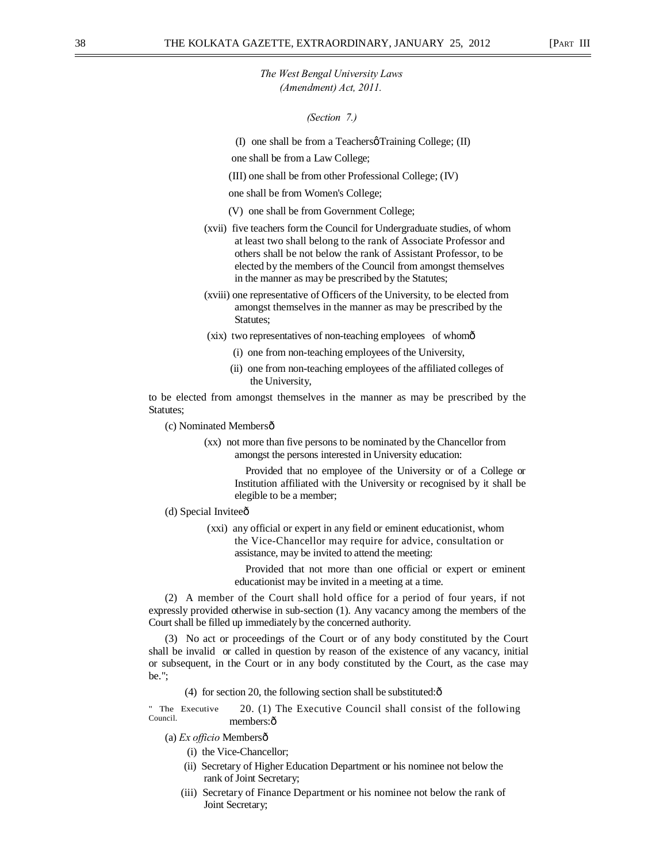*(Section 7.)* 

(I) one shall be from a Teachers  $\varphi$  Training College; (II)

- one shall be from a Law College;
- (III) one shall be from other Professional College; (IV)

one shall be from Women's College;

- (V) one shall be from Government College;
- (xvii) five teachers form the Council for Undergraduate studies, of whom at least two shall belong to the rank of Associate Professor and others shall be not below the rank of Assistant Professor, to be elected by the members of the Council from amongst themselves in the manner as may be prescribed by the Statutes;
- (xviii) one representative of Officers of the University, to be elected from amongst themselves in the manner as may be prescribed by the Statutes;
- (xix) two representatives of non-teaching employees of whom—
	- (i) one from non-teaching employees of the University,
	- (ii) one from non-teaching employees of the affiliated colleges of the University,

to be elected from amongst themselves in the manner as may be prescribed by the Statutes;

- (c) Nominated Membersô
	- (xx) not more than five persons to be nominated by the Chancellor from amongst the persons interested in University education:

Provided that no employee of the University or of a College or Institution affiliated with the University or recognised by it shall be elegible to be a member;

- (d) Special Inviteeô
	- (xxi) any official or expert in any field or eminent educationist, whom the Vice-Chancellor may require for advice, consultation or assistance, may be invited to attend the meeting:

Provided that not more than one official or expert or eminent educationist may be invited in a meeting at a time.

(2) A member of the Court shall hold office for a period of four years, if not expressly provided otherwise in sub-section (1). Any vacancy among the members of the Court shall be filled up immediately by the concerned authority.

(3) No act or proceedings of the Court or of any body constituted by the Court shall be invalid or called in question by reason of the existence of any vacancy, initial or subsequent, in the Court or in any body constituted by the Court, as the case may be.";

(4) for section 20, the following section shall be substituted: $\hat{\text{o}}$ 

" The Executive Council. 20. (1) The Executive Council shall consist of the following members:ô

(a) *Ex officio* Members—

- (i) the Vice-Chancellor;
- (ii) Secretary of Higher Education Department or his nominee not below the rank of Joint Secretary;
- (iii) Secretary of Finance Department or his nominee not below the rank of Joint Secretary;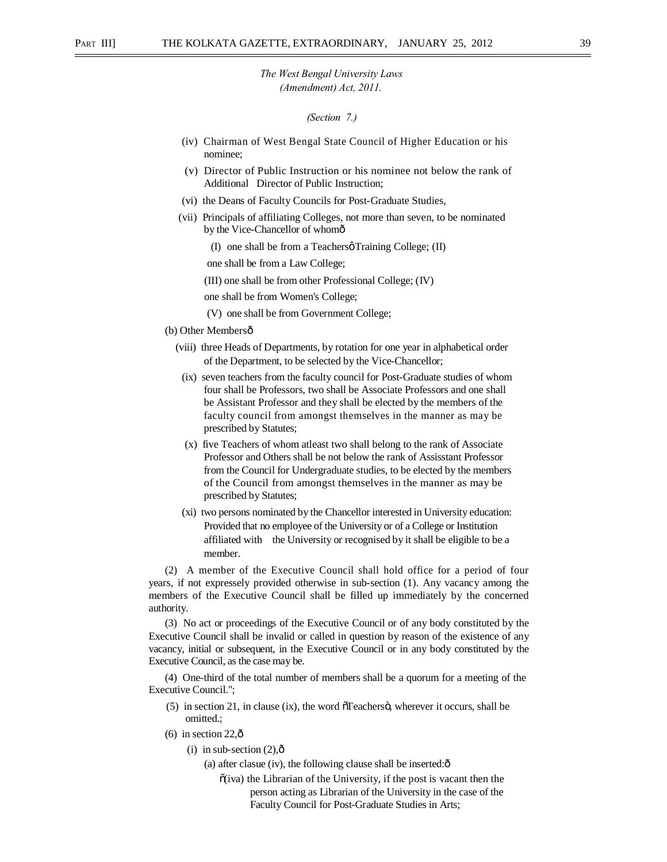*(Section 7.)* 

- (iv) Chairman of West Bengal State Council of Higher Education or his nominee;
- (v) Director of Public Instruction or his nominee not below the rank of Additional Director of Public Instruction;
- (vi) the Deans of Faculty Councils for Post-Graduate Studies,
- (vii) Principals of affiliating Colleges, not more than seven, to be nominated by the Vice-Chancellor of whomô
	- (I) one shall be from a Teachers  $\alpha$  Training College; (II)

one shall be from a Law College;

(III) one shall be from other Professional College; (IV)

one shall be from Women's College;

- (V) one shall be from Government College;
- (b) Other Membersô
	- (viii) three Heads of Departments, by rotation for one year in alphabetical order of the Department, to be selected by the Vice-Chancellor;
	- (ix) seven teachers from the faculty council for Post-Graduate studies of whom four shall be Professors, two shall be Associate Professors and one shall be Assistant Professor and they shall be elected by the members of the faculty council from amongst themselves in the manner as may be prescribed by Statutes;
	- (x) five Teachers of whom atleast two shall belong to the rank of Associate Professor and Others shall be not below the rank of Assisstant Professor from the Council for Undergraduate studies, to be elected by the members of the Council from amongst themselves in the manner as may be prescribed by Statutes;
	- (xi) two persons nominated by the Chancellor interested in University education: Provided that no employee of the University or of a College or Institution affiliated with the University or recognised by it shall be eligible to be a member.

(2) A member of the Executive Council shall hold office for a period of four years, if not expressely provided otherwise in sub-section (1). Any vacancy among the members of the Executive Council shall be filled up immediately by the concerned authority.

(3) No act or proceedings of the Executive Council or of any body constituted by the Executive Council shall be invalid or called in question by reason of the existence of any vacancy, initial or subsequent, in the Executive Council or in any body constituted by the Executive Council, as the case may be.

(4) One-third of the total number of members shall be a quorum for a meeting of the Executive Council.";

- $(5)$  in section 21, in clause (ix), the word  $\tilde{O}$  Teachers $\ddot{O}$ , wherever it occurs, shall be omitted.;
- $(6)$  in section 22, $\hat{0}$ 
	- (i) in sub-section  $(2),\hat{0}$ 
		- (a) after clasue (iv), the following clause shall be inserted: $\hat{o}$ 
			- $\tilde{o}(iva)$  the Librarian of the University, if the post is vacant then the person acting as Librarian of the University in the case of the Faculty Council for Post-Graduate Studies in Arts;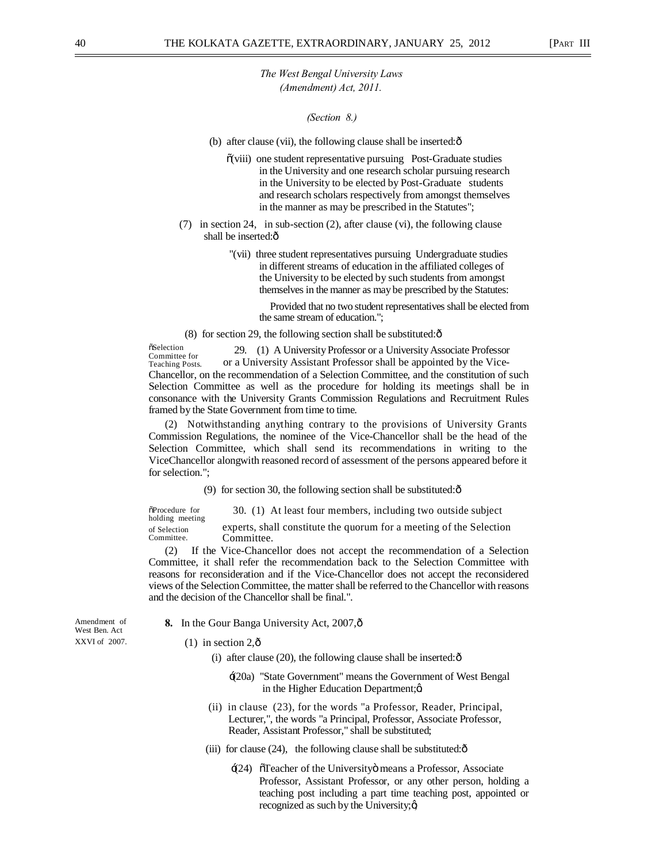*(Section 8.)* 

- (b) after clause (vii), the following clause shall be inserted: $\hat{o}$ 
	- $\tilde{o}$ (viii) one student representative pursuing Post-Graduate studies in the University and one research scholar pursuing research in the University to be elected by Post-Graduate students and research scholars respectively from amongst themselves in the manner as may be prescribed in the Statutes";
- (7) in section 24, in sub-section (2), after clause (vi), the following clause shall be inserted: $\hat{o}$ 
	- "(vii) three student representatives pursuing Undergraduate studies in different streams of education in the affiliated colleges of the University to be elected by such students from amongst themselves in the manner as may be prescribed by the Statutes:

Provided that no two student representatives shall be elected from the same stream of education.";

(8) for section 29, the following section shall be substituted: $\delta$ 

**öSelection** Committee for Teaching Posts. 29. (1) A University Professor or a University Associate Professor or a University Assistant Professor shall be appointed by the Vice-Chancellor, on the recommendation of a Selection Committee, and the constitution of such Selection Committee as well as the procedure for holding its meetings shall be in consonance with the University Grants Commission Regulations and Recruitment Rules framed by the State Government from time to time.

(2) Notwithstanding anything contrary to the provisions of University Grants Commission Regulations, the nominee of the Vice-Chancellor shall be the head of the Selection Committee, which shall send its recommendations in writing to the ViceChancellor alongwith reasoned record of assessment of the persons appeared before it for selection.";

(9) for section 30, the following section shall be substituted: $\hat{\sigma}$ 

 $\delta$ Procedure for 30. (1) At least four members, including two outside subject holding meeting of Selection experts, shall constitute the quorum for a meeting of the Selection Committee. Committee. Committee.

(2) If the Vice-Chancellor does not accept the recommendation of a Selection Committee, it shall refer the recommendation back to the Selection Committee with reasons for reconsideration and if the Vice-Chancellor does not accept the reconsidered views of the Selection Committee, the matter shall be referred to the Chancellor with reasons and the decision of the Chancellor shall be final.".

West Ben. Act

- Amendment of **8.** In the Gour Banga University Act, 2007,  $\hat{\text{o}}$
- XXVI of 2007. (1) in section  $2,\hat{0}$

(i) after clause (20), the following clause shall be inserted: $\hat{o}$ 

- '(20a) "State Government" means the Government of West Bengal in the Higher Education Department;  $\alpha$
- (ii) in clause (23), for the words "a Professor, Reader, Principal, Lecturer,", the words "a Principal, Professor, Associate Professor, Reader, Assistant Professor," shall be substituted;
- (iii) for clause  $(24)$ , the following clause shall be substituted: $\hat{\text{o}}$ 
	- : (24) öTeacher of the Universityö means a Professor, Associate Professor, Assistant Professor, or any other person, holding a teaching post including a part time teaching post, appointed or recognized as such by the University; $\alpha$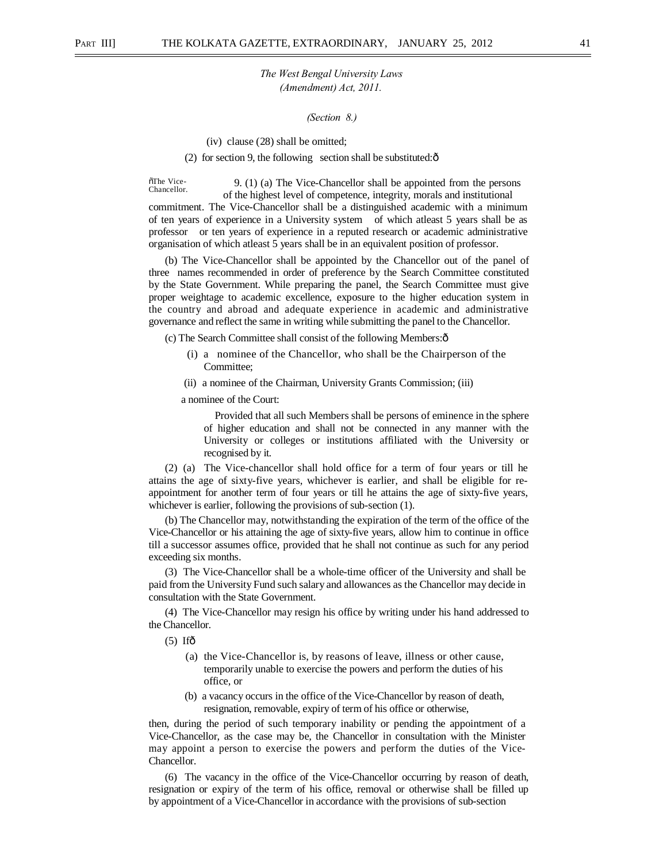*(Section 8.)* 

(iv) clause (28) shall be omitted;

(2) for section 9, the following section shall be substituted: $\hat{o}$ 

õThe Vice-<br>Chancellor. 9. (1) (a) The Vice-Chancellor shall be appointed from the persons of the highest level of competence, integrity, morals and institutional

commitment. The Vice-Chancellor shall be a distinguished academic with a minimum of ten years of experience in a University system of which atleast 5 years shall be as professor or ten years of experience in a reputed research or academic administrative organisation of which atleast 5 years shall be in an equivalent position of professor.

(b) The Vice-Chancellor shall be appointed by the Chancellor out of the panel of three names recommended in order of preference by the Search Committee constituted by the State Government. While preparing the panel, the Search Committee must give proper weightage to academic excellence, exposure to the higher education system in the country and abroad and adequate experience in academic and administrative governance and reflect the same in writing while submitting the panel to the Chancellor.

(c) The Search Committee shall consist of the following Members:—

- (i) a nominee of the Chancellor, who shall be the Chairperson of the Committee;
- (ii) a nominee of the Chairman, University Grants Commission; (iii)

a nominee of the Court:

Provided that all such Members shall be persons of eminence in the sphere of higher education and shall not be connected in any manner with the University or colleges or institutions affiliated with the University or recognised by it.

(2) (a) The Vice-chancellor shall hold office for a term of four years or till he attains the age of sixty-five years, whichever is earlier, and shall be eligible for reappointment for another term of four years or till he attains the age of sixty-five years, whichever is earlier, following the provisions of sub-section (1).

(b) The Chancellor may, notwithstanding the expiration of the term of the office of the Vice-Chancellor or his attaining the age of sixty-five years, allow him to continue in office till a successor assumes office, provided that he shall not continue as such for any period exceeding six months.

(3) The Vice-Chancellor shall be a whole-time officer of the University and shall be paid from the University Fund such salary and allowances as the Chancellor may decide in consultation with the State Government.

(4) The Vice-Chancellor may resign his office by writing under his hand addressed to the Chancellor.

 $(5)$  Ifô

- (a) the Vice-Chancellor is, by reasons of leave, illness or other cause, temporarily unable to exercise the powers and perform the duties of his office, or
- (b) a vacancy occurs in the office of the Vice-Chancellor by reason of death, resignation, removable, expiry of term of his office or otherwise,

then, during the period of such temporary inability or pending the appointment of a Vice-Chancellor, as the case may be, the Chancellor in consultation with the Minister may appoint a person to exercise the powers and perform the duties of the Vice-Chancellor.

(6) The vacancy in the office of the Vice-Chancellor occurring by reason of death, resignation or expiry of the term of his office, removal or otherwise shall be filled up by appointment of a Vice-Chancellor in accordance with the provisions of sub-section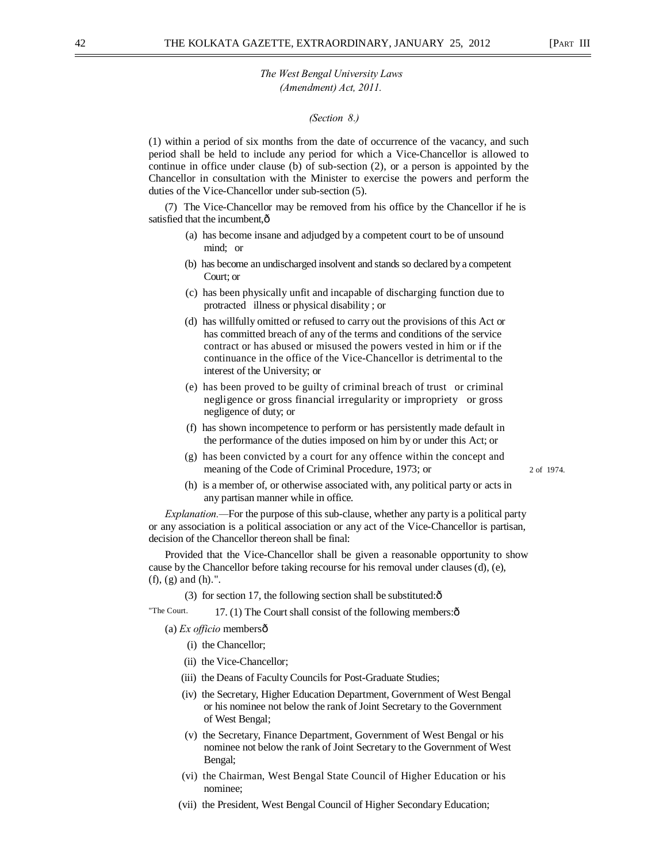## *(Section 8.)*

(1) within a period of six months from the date of occurrence of the vacancy, and such period shall be held to include any period for which a Vice-Chancellor is allowed to continue in office under clause (b) of sub-section (2), or a person is appointed by the Chancellor in consultation with the Minister to exercise the powers and perform the duties of the Vice-Chancellor under sub-section (5).

(7) The Vice-Chancellor may be removed from his office by the Chancellor if he is satisfied that the incumbent, $\hat{o}$ 

- (a) has become insane and adjudged by a competent court to be of unsound mind; or
- (b) has become an undischarged insolvent and stands so declared by a competent Court; or
- (c) has been physically unfit and incapable of discharging function due to protracted illness or physical disability ; or
- (d) has willfully omitted or refused to carry out the provisions of this Act or has committed breach of any of the terms and conditions of the service contract or has abused or misused the powers vested in him or if the continuance in the office of the Vice-Chancellor is detrimental to the interest of the University; or
- (e) has been proved to be guilty of criminal breach of trust or criminal negligence or gross financial irregularity or impropriety or gross negligence of duty; or
- (f) has shown incompetence to perform or has persistently made default in the performance of the duties imposed on him by or under this Act; or
- (g) has been convicted by a court for any offence within the concept and meaning of the Code of Criminal Procedure, 1973; or 2 of 1974.

(h) is a member of, or otherwise associated with, any political party or acts in any partisan manner while in office.

*Explanation.—*For the purpose of this sub-clause, whether any party is a political party or any association is a political association or any act of the Vice-Chancellor is partisan, decision of the Chancellor thereon shall be final:

Provided that the Vice-Chancellor shall be given a reasonable opportunity to show cause by the Chancellor before taking recourse for his removal under clauses (d), (e), (f), (g) and (h).".

(3) for section 17, the following section shall be substituted: $\hat{\text{o}}$ 

"The Court.  $17. (1)$  The Court shall consist of the following members: $\hat{\text{o}}$ 

(a) *Ex officio* members—

- (i) the Chancellor;
- (ii) the Vice-Chancellor;
- (iii) the Deans of Faculty Councils for Post-Graduate Studies;
- (iv) the Secretary, Higher Education Department, Government of West Bengal or his nominee not below the rank of Joint Secretary to the Government of West Bengal;
- (v) the Secretary, Finance Department, Government of West Bengal or his nominee not below the rank of Joint Secretary to the Government of West Bengal;
- (vi) the Chairman, West Bengal State Council of Higher Education or his nominee;
- (vii) the President, West Bengal Council of Higher Secondary Education;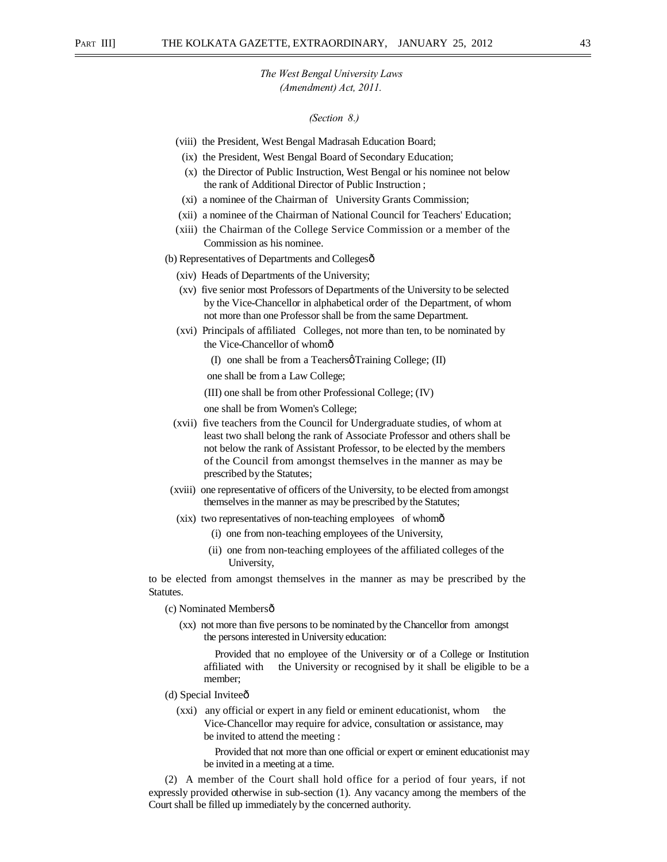## *(Section 8.)*

- (viii) the President, West Bengal Madrasah Education Board;
- (ix) the President, West Bengal Board of Secondary Education;
- (x) the Director of Public Instruction, West Bengal or his nominee not below the rank of Additional Director of Public Instruction ;
- (xi) a nominee of the Chairman of University Grants Commission;
- (xii) a nominee of the Chairman of National Council for Teachers' Education;
- (xiii) the Chairman of the College Service Commission or a member of the Commission as his nominee.

(b) Representatives of Departments and Collegesô

- (xiv) Heads of Departments of the University;
- (xv) five senior most Professors of Departments of the University to be selected by the Vice-Chancellor in alphabetical order of the Department, of whom not more than one Professor shall be from the same Department.
- (xvi) Principals of affiliated Colleges, not more than ten, to be nominated by the Vice-Chancellor of whomô
	- (I) one shall be from a Teachers  $\alpha$  Training College; (II)

one shall be from a Law College;

(III) one shall be from other Professional College; (IV)

one shall be from Women's College;

- (xvii) five teachers from the Council for Undergraduate studies, of whom at least two shall belong the rank of Associate Professor and others shall be not below the rank of Assistant Professor, to be elected by the members of the Council from amongst themselves in the manner as may be prescribed by the Statutes;
- (xviii) one representative of officers of the University, to be elected from amongst themselves in the manner as may be prescribed by the Statutes;
- (xix) two representatives of non-teaching employees of whomô
	- (i) one from non-teaching employees of the University,
	- (ii) one from non-teaching employees of the affiliated colleges of the University,

to be elected from amongst themselves in the manner as may be prescribed by the Statutes.

(c) Nominated Membersô

(xx) not more than five persons to be nominated by the Chancellor from amongst the persons interested in University education:

Provided that no employee of the University or of a College or Institution affiliated with the University or recognised by it shall be eligible to be a member;

- (d) Special Inviteeô
	- (xxi) any official or expert in any field or eminent educationist, whom the Vice-Chancellor may require for advice, consultation or assistance, may be invited to attend the meeting :

Provided that not more than one official or expert or eminent educationist may be invited in a meeting at a time.

(2) A member of the Court shall hold office for a period of four years, if not expressly provided otherwise in sub-section (1). Any vacancy among the members of the Court shall be filled up immediately by the concerned authority.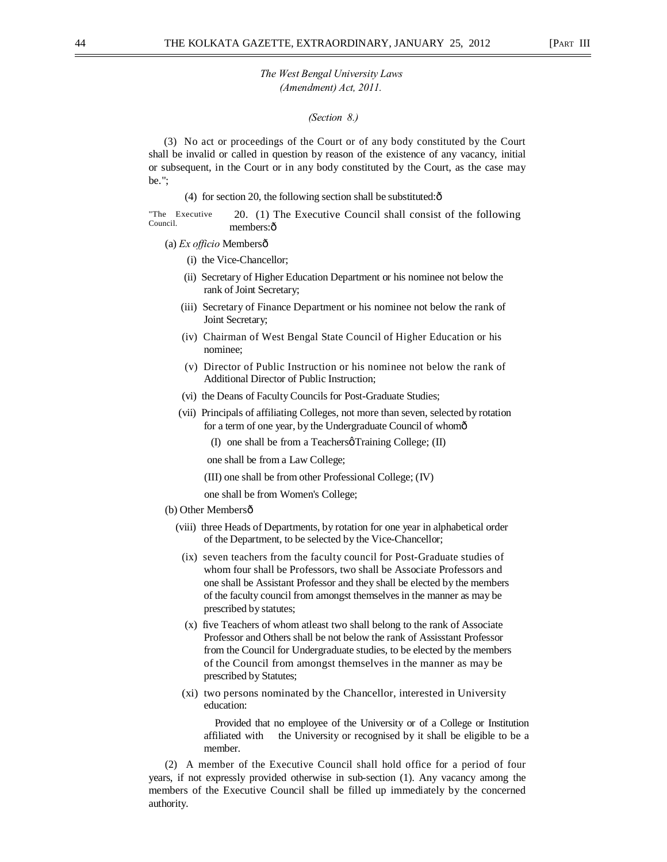#### *(Section 8.)*

(3) No act or proceedings of the Court or of any body constituted by the Court shall be invalid or called in question by reason of the existence of any vacancy, initial or subsequent, in the Court or in any body constituted by the Court, as the case may be.";

(4) for section 20, the following section shall be substituted: $\hat{\text{o}}$ 

"The Executive Council. 20. (1) The Executive Council shall consist of the following members:ô

- (a) *Ex officio* Members—
	- (i) the Vice-Chancellor;
	- (ii) Secretary of Higher Education Department or his nominee not below the rank of Joint Secretary;
	- (iii) Secretary of Finance Department or his nominee not below the rank of Joint Secretary;
	- (iv) Chairman of West Bengal State Council of Higher Education or his nominee;
	- (v) Director of Public Instruction or his nominee not below the rank of Additional Director of Public Instruction;
	- (vi) the Deans of Faculty Councils for Post-Graduate Studies;
	- (vii) Principals of affiliating Colleges, not more than seven, selected by rotation for a term of one year, by the Undergraduate Council of whomô
		- (I) one shall be from a Teachers  $\varphi$  Training College; (II)

one shall be from a Law College;

- (III) one shall be from other Professional College; (IV)
- one shall be from Women's College;
- (b) Other Membersô
	- (viii) three Heads of Departments, by rotation for one year in alphabetical order of the Department, to be selected by the Vice-Chancellor;
	- (ix) seven teachers from the faculty council for Post-Graduate studies of whom four shall be Professors, two shall be Associate Professors and one shall be Assistant Professor and they shall be elected by the members of the faculty council from amongst themselves in the manner as may be prescribed by statutes;
	- (x) five Teachers of whom atleast two shall belong to the rank of Associate Professor and Others shall be not below the rank of Assisstant Professor from the Council for Undergraduate studies, to be elected by the members of the Council from amongst themselves in the manner as may be prescribed by Statutes;
	- (xi) two persons nominated by the Chancellor, interested in University education:

Provided that no employee of the University or of a College or Institution affiliated with the University or recognised by it shall be eligible to be a member.

(2) A member of the Executive Council shall hold office for a period of four years, if not expressly provided otherwise in sub-section (1). Any vacancy among the members of the Executive Council shall be filled up immediately by the concerned authority.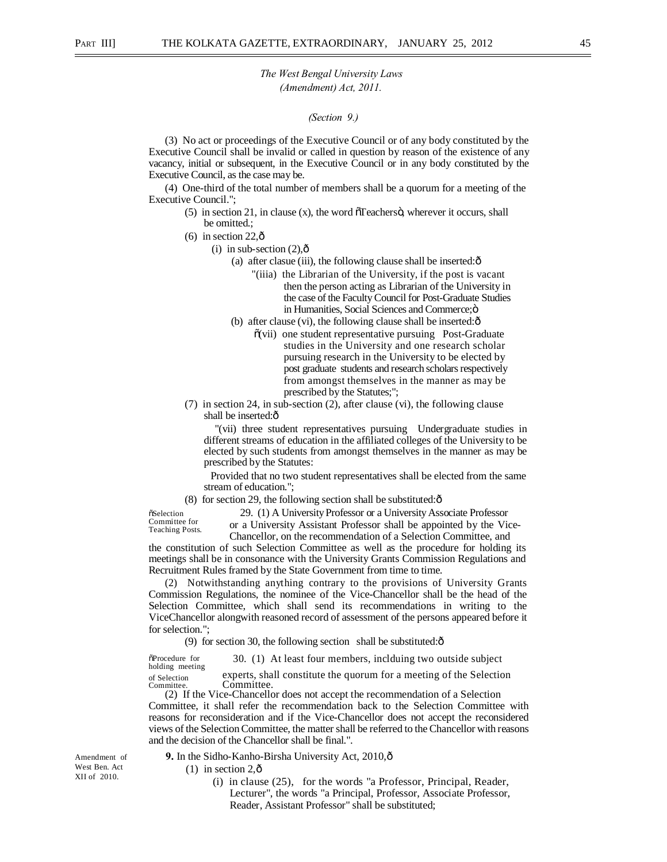*(Section 9.)* 

(3) No act or proceedings of the Executive Council or of any body constituted by the Executive Council shall be invalid or called in question by reason of the existence of any vacancy, initial or subsequent, in the Executive Council or in any body constituted by the Executive Council, as the case may be.

(4) One-third of the total number of members shall be a quorum for a meeting of the Executive Council.";

- $(5)$  in section 21, in clause (x), the word  $\tilde{O}$  reachers  $\ddot{O}$ , wherever it occurs, shall be omitted.;
- (6) in section  $22.\hat{\sigma}$ 
	- (i) in sub-section  $(2),\hat{0}$ 
		- (a) after clasue (iii), the following clause shall be inserted: $\hat{o}$ 
			- "(iiia) the Librarian of the University, if the post is vacant then the person acting as Librarian of the University in the case of the Faculty Council for Post-Graduate Studies in Humanities, Social Sciences and Commerce; $\ddot{\text{o}}$
		- (b) after clause (vi), the following clause shall be inserted: $\delta$ 
			- $\tilde{o}$ (vii) one student representative pursuing Post-Graduate studies in the University and one research scholar pursuing research in the University to be elected by post graduate students and research scholars respectively from amongst themselves in the manner as may be prescribed by the Statutes;";
- (7) in section 24, in sub-section (2), after clause (vi), the following clause shall be inserted: $\hat{o}$

"(vii) three student representatives pursuing Undergraduate studies in different streams of education in the affiliated colleges of the University to be elected by such students from amongst themselves in the manner as may be prescribed by the Statutes:

Provided that no two student representatives shall be elected from the same stream of education.";

 $(8)$  for section 29, the following section shall be substituted: $\hat{\text{o}}$ 

**öSelection** Committee for Teaching Posts.

29. (1) A University Professor or a University Associate Professor or a University Assistant Professor shall be appointed by the Vice-Chancellor, on the recommendation of a Selection Committee, and

the constitution of such Selection Committee as well as the procedure for holding its meetings shall be in consonance with the University Grants Commission Regulations and Recruitment Rules framed by the State Government from time to time.

(2) Notwithstanding anything contrary to the provisions of University Grants Commission Regulations, the nominee of the Vice-Chancellor shall be the head of the Selection Committee, which shall send its recommendations in writing to the ViceChancellor alongwith reasoned record of assessment of the persons appeared before it for selection.";

(9) for section 30, the following section shall be substituted: $\hat{\text{o}}$ 

 $\delta$ Procedure for 30. (1) At least four members, inclduing two outside subject holding meeting

of Selection experts, shall constitute the quorum for a meeting of the Selection Committee. Committee. Committee.

(2) If the Vice-Chancellor does not accept the recommendation of a Selection Committee, it shall refer the recommendation back to the Selection Committee with reasons for reconsideration and if the Vice-Chancellor does not accept the reconsidered views of the Selection Committee, the matter shall be referred to the Chancellor with reasons and the decision of the Chancellor shall be final.".

**9.** In the Sidho-Kanho-Birsha University Act, 2010,—

 $(1)$  in section 2, $\hat{\text{o}}$ 

(i) in clause (25), for the words "a Professor, Principal, Reader, Lecturer", the words "a Principal, Professor, Associate Professor, Reader, Assistant Professor" shall be substituted;

Amendment of West Ben. Act XII of 2010.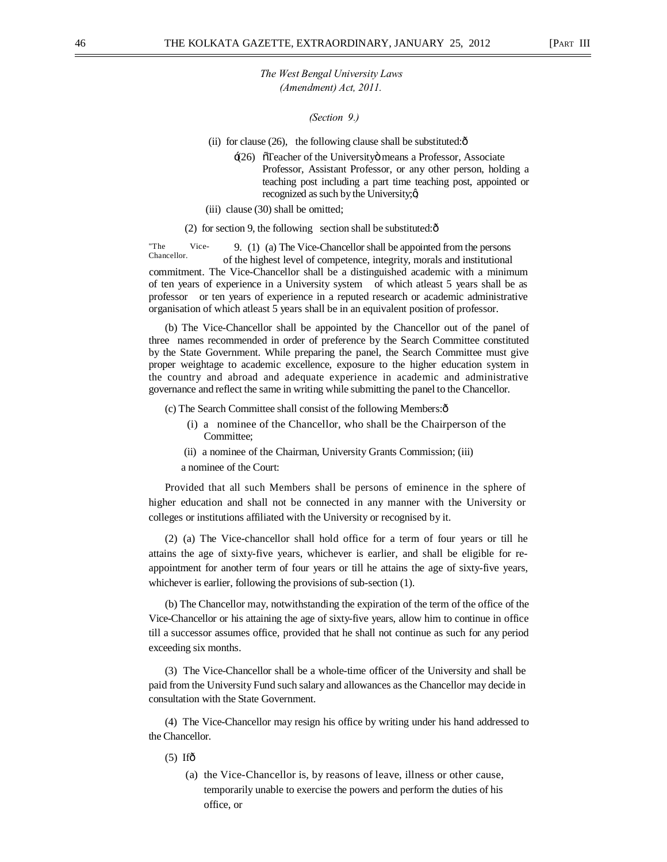*(Section 9.)* 

(ii) for clause  $(26)$ , the following clause shall be substituted: $\hat{o}$ 

- $\div(26)$   $\tilde{O}$  Teacher of the University means a Professor, Associate Professor, Assistant Professor, or any other person, holding a teaching post including a part time teaching post, appointed or recognized as such by the University;  $\alpha$
- (iii) clause (30) shall be omitted;

(2) for section 9, the following section shall be substituted: $\hat{\text{o}}$ 

"The Vice-Chancellor. 9. (1) (a) The Vice-Chancellor shall be appointed from the persons of the highest level of competence, integrity, morals and institutional commitment. The Vice-Chancellor shall be a distinguished academic with a minimum of ten years of experience in a University system of which atleast 5 years shall be as professor or ten years of experience in a reputed research or academic administrative organisation of which atleast 5 years shall be in an equivalent position of professor.

(b) The Vice-Chancellor shall be appointed by the Chancellor out of the panel of three names recommended in order of preference by the Search Committee constituted by the State Government. While preparing the panel, the Search Committee must give proper weightage to academic excellence, exposure to the higher education system in the country and abroad and adequate experience in academic and administrative governance and reflect the same in writing while submitting the panel to the Chancellor.

(c) The Search Committee shall consist of the following Members:—

- (i) a nominee of the Chancellor, who shall be the Chairperson of the Committee;
- (ii) a nominee of the Chairman, University Grants Commission; (iii)
- a nominee of the Court:

Provided that all such Members shall be persons of eminence in the sphere of higher education and shall not be connected in any manner with the University or colleges or institutions affiliated with the University or recognised by it.

(2) (a) The Vice-chancellor shall hold office for a term of four years or till he attains the age of sixty-five years, whichever is earlier, and shall be eligible for reappointment for another term of four years or till he attains the age of sixty-five years, whichever is earlier, following the provisions of sub-section (1).

(b) The Chancellor may, notwithstanding the expiration of the term of the office of the Vice-Chancellor or his attaining the age of sixty-five years, allow him to continue in office till a successor assumes office, provided that he shall not continue as such for any period exceeding six months.

(3) The Vice-Chancellor shall be a whole-time officer of the University and shall be paid from the University Fund such salary and allowances as the Chancellor may decide in consultation with the State Government.

(4) The Vice-Chancellor may resign his office by writing under his hand addressed to the Chancellor.

 $(5)$  If $\hat{0}$ 

(a) the Vice-Chancellor is, by reasons of leave, illness or other cause, temporarily unable to exercise the powers and perform the duties of his office, or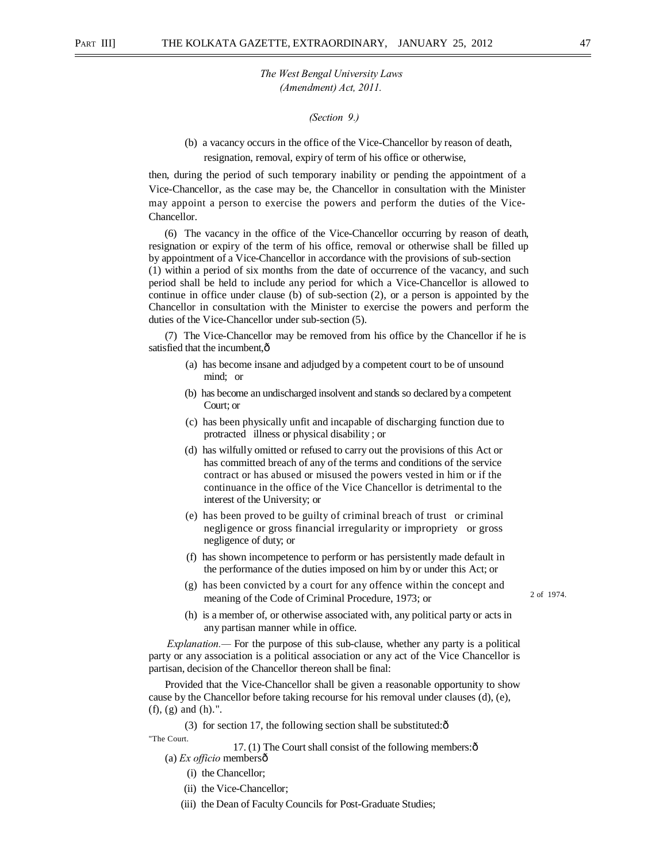*(Section 9.)* 

(b) a vacancy occurs in the office of the Vice-Chancellor by reason of death, resignation, removal, expiry of term of his office or otherwise,

then, during the period of such temporary inability or pending the appointment of a Vice-Chancellor, as the case may be, the Chancellor in consultation with the Minister may appoint a person to exercise the powers and perform the duties of the Vice-Chancellor.

(6) The vacancy in the office of the Vice-Chancellor occurring by reason of death, resignation or expiry of the term of his office, removal or otherwise shall be filled up by appointment of a Vice-Chancellor in accordance with the provisions of sub-section (1) within a period of six months from the date of occurrence of the vacancy, and such period shall be held to include any period for which a Vice-Chancellor is allowed to continue in office under clause (b) of sub-section (2), or a person is appointed by the Chancellor in consultation with the Minister to exercise the powers and perform the duties of the Vice-Chancellor under sub-section (5).

(7) The Vice-Chancellor may be removed from his office by the Chancellor if he is satisfied that the incumbent, $\hat{o}$ 

- (a) has become insane and adjudged by a competent court to be of unsound mind; or
- (b) has become an undischarged insolvent and stands so declared by a competent Court; or
- (c) has been physically unfit and incapable of discharging function due to protracted illness or physical disability ; or
- (d) has wilfully omitted or refused to carry out the provisions of this Act or has committed breach of any of the terms and conditions of the service contract or has abused or misused the powers vested in him or if the continuance in the office of the Vice Chancellor is detrimental to the interest of the University; or
- (e) has been proved to be guilty of criminal breach of trust or criminal negligence or gross financial irregularity or impropriety or gross negligence of duty; or
- (f) has shown incompetence to perform or has persistently made default in the performance of the duties imposed on him by or under this Act; or
- (g) has been convicted by a court for any offence within the concept and meaning of the Code of Criminal Procedure, 1973; or
- (h) is a member of, or otherwise associated with, any political party or acts in

2 of 1974.

any partisan manner while in office. *Explanation.—* For the purpose of this sub-clause, whether any party is a political

party or any association is a political association or any act of the Vice Chancellor is partisan, decision of the Chancellor thereon shall be final:

Provided that the Vice-Chancellor shall be given a reasonable opportunity to show cause by the Chancellor before taking recourse for his removal under clauses (d), (e), (f), (g) and (h).".

(3) for section 17, the following section shall be substituted: $\hat{\text{o}}$ 

"The Court.

17. (1) The Court shall consist of the following members: $\hat{o}$ (a) *Ex officio* members—

- (i) the Chancellor;
- (ii) the Vice-Chancellor;
- (iii) the Dean of Faculty Councils for Post-Graduate Studies;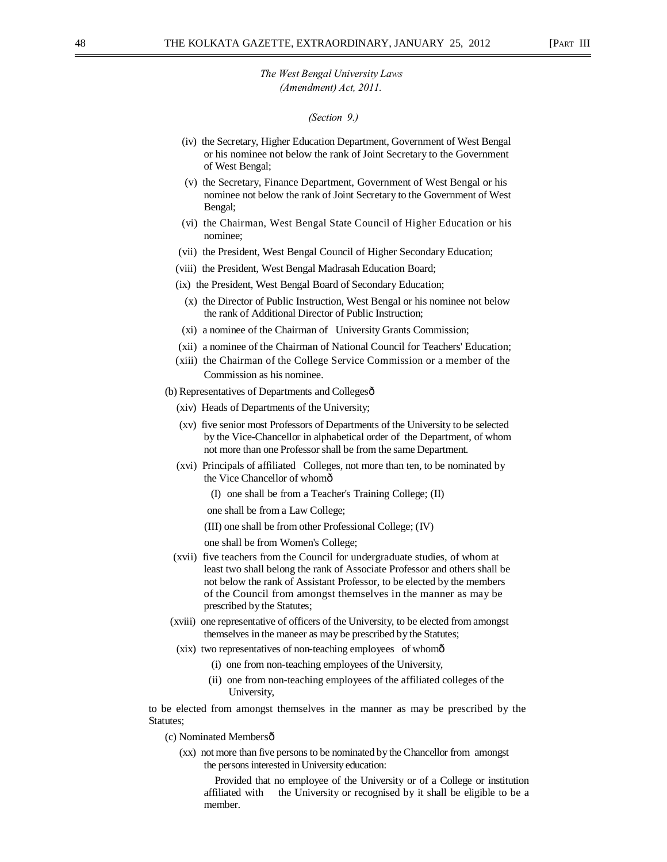#### *(Section 9.)*

- (iv) the Secretary, Higher Education Department, Government of West Bengal or his nominee not below the rank of Joint Secretary to the Government of West Bengal;
- (v) the Secretary, Finance Department, Government of West Bengal or his nominee not below the rank of Joint Secretary to the Government of West Bengal;
- (vi) the Chairman, West Bengal State Council of Higher Education or his nominee;
- (vii) the President, West Bengal Council of Higher Secondary Education;
- (viii) the President, West Bengal Madrasah Education Board;
- (ix) the President, West Bengal Board of Secondary Education;
	- (x) the Director of Public Instruction, West Bengal or his nominee not below the rank of Additional Director of Public Instruction;
	- (xi) a nominee of the Chairman of University Grants Commission;
- (xii) a nominee of the Chairman of National Council for Teachers' Education;
- (xiii) the Chairman of the College Service Commission or a member of the Commission as his nominee.
- (b) Representatives of Departments and Collegesô
	- (xiv) Heads of Departments of the University;
	- (xv) five senior most Professors of Departments of the University to be selected by the Vice-Chancellor in alphabetical order of the Department, of whom not more than one Professor shall be from the same Department.
	- (xvi) Principals of affiliated Colleges, not more than ten, to be nominated by the Vice Chancellor of whomô
		- (I) one shall be from a Teacher's Training College; (II)
		- one shall be from a Law College;
		- (III) one shall be from other Professional College; (IV)

one shall be from Women's College;

- (xvii) five teachers from the Council for undergraduate studies, of whom at least two shall belong the rank of Associate Professor and others shall be not below the rank of Assistant Professor, to be elected by the members of the Council from amongst themselves in the manner as may be prescribed by the Statutes;
- (xviii) one representative of officers of the University, to be elected from amongst themselves in the maneer as may be prescribed by the Statutes;
- (xix) two representatives of non-teaching employees of whom—
	- (i) one from non-teaching employees of the University,
	- (ii) one from non-teaching employees of the affiliated colleges of the University,

to be elected from amongst themselves in the manner as may be prescribed by the Statutes;

(c) Nominated Members—

(xx) not more than five persons to be nominated by the Chancellor from amongst the persons interested in University education:

Provided that no employee of the University or of a College or institution affiliated with the University or recognised by it shall be eligible to be a member.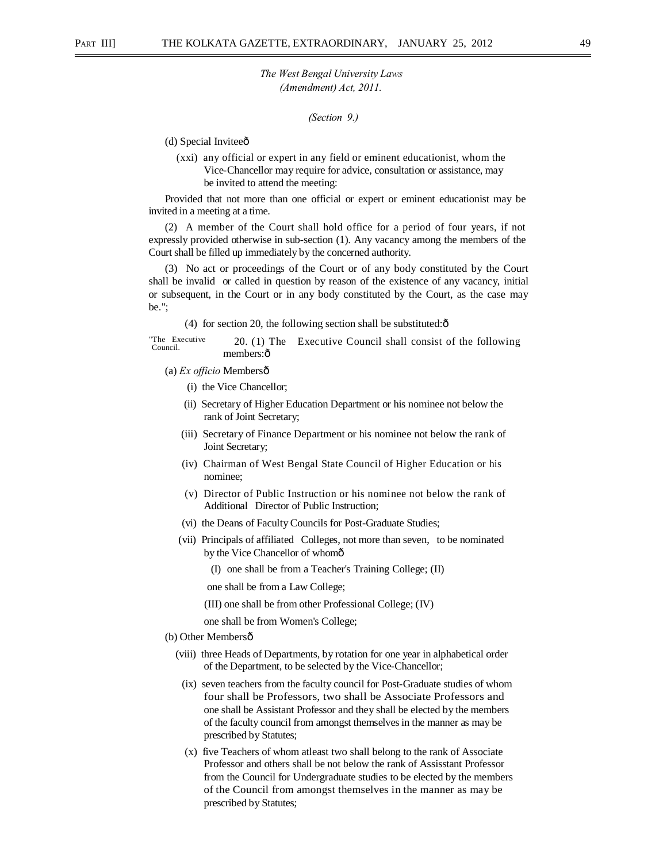*(Section 9.)* 

(d) Special Inviteeô

(xxi) any official or expert in any field or eminent educationist, whom the Vice-Chancellor may require for advice, consultation or assistance, may be invited to attend the meeting:

Provided that not more than one official or expert or eminent educationist may be invited in a meeting at a time.

(2) A member of the Court shall hold office for a period of four years, if not expressly provided otherwise in sub-section (1). Any vacancy among the members of the Court shall be filled up immediately by the concerned authority.

(3) No act or proceedings of the Court or of any body constituted by the Court shall be invalid or called in question by reason of the existence of any vacancy, initial or subsequent, in the Court or in any body constituted by the Court, as the case may be.";

(4) for section 20, the following section shall be substituted: $\hat{o}$ 

"The Executive<br>Council. 20. (1) The Executive Council shall consist of the following members:ô

(a) *Ex officio* Members—

(i) the Vice Chancellor;

- (ii) Secretary of Higher Education Department or his nominee not below the rank of Joint Secretary;
- (iii) Secretary of Finance Department or his nominee not below the rank of Joint Secretary;
- (iv) Chairman of West Bengal State Council of Higher Education or his nominee;
- (v) Director of Public Instruction or his nominee not below the rank of Additional Director of Public Instruction;
- (vi) the Deans of Faculty Councils for Post-Graduate Studies;
- (vii) Principals of affiliated Colleges, not more than seven, to be nominated by the Vice Chancellor of whomô
	- (I) one shall be from a Teacher's Training College; (II)

one shall be from a Law College;

(III) one shall be from other Professional College; (IV)

one shall be from Women's College;

#### (b) Other Membersô

- (viii) three Heads of Departments, by rotation for one year in alphabetical order of the Department, to be selected by the Vice-Chancellor;
- (ix) seven teachers from the faculty council for Post-Graduate studies of whom four shall be Professors, two shall be Associate Professors and one shall be Assistant Professor and they shall be elected by the members of the faculty council from amongst themselves in the manner as may be prescribed by Statutes;
- (x) five Teachers of whom atleast two shall belong to the rank of Associate Professor and others shall be not below the rank of Assisstant Professor from the Council for Undergraduate studies to be elected by the members of the Council from amongst themselves in the manner as may be prescribed by Statutes;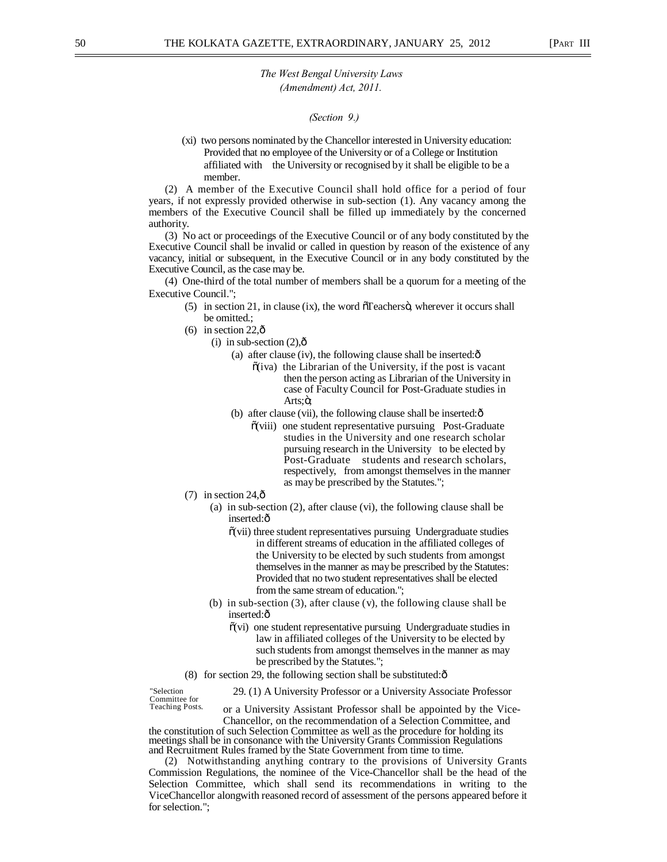#### *(Section 9.)*

(xi) two persons nominated by the Chancellor interested in University education: Provided that no employee of the University or of a College or Institution affiliated with the University or recognised by it shall be eligible to be a member.

(2) A member of the Executive Council shall hold office for a period of four years, if not expressly provided otherwise in sub-section (1). Any vacancy among the members of the Executive Council shall be filled up immediately by the concerned authority.

(3) No act or proceedings of the Executive Council or of any body constituted by the Executive Council shall be invalid or called in question by reason of the existence of any vacancy, initial or subsequent, in the Executive Council or in any body constituted by the Executive Council, as the case may be.

(4) One-third of the total number of members shall be a quorum for a meeting of the Executive Council.";

- $(5)$  in section 21, in clause (ix), the word  $\delta$ Teachers $\ddot{o}$ , wherever it occurs shall be omitted.;
- (6) in section  $22,\hat{0}$ 
	- (i) in sub-section  $(2)$ , $\hat{0}$ 
		- (a) after clause (iv), the following clause shall be inserted: $\delta$ 
			- $\tilde{o}(iva)$  the Librarian of the University, if the post is vacant then the person acting as Librarian of the University in case of Faculty Council for Post-Graduate studies in Arts;ö;
		- (b) after clause (vii), the following clause shall be inserted: $\hat{o}$ 
			- $\tilde{o}$ (viii) one student representative pursuing Post-Graduate studies in the University and one research scholar pursuing research in the University to be elected by Post-Graduate students and research scholars, respectively, from amongst themselves in the manner as may be prescribed by the Statutes.";
- $(7)$  in section 24, $\hat{\text{o}}$ 
	- (a) in sub-section (2), after clause (vi), the following clause shall be inserted: ô
		- $\tilde{o}$ (vii) three student representatives pursuing Undergraduate studies in different streams of education in the affiliated colleges of the University to be elected by such students from amongst themselves in the manner as may be prescribed by the Statutes: Provided that no two student representatives shall be elected from the same stream of education.";
	- (b) in sub-section (3), after clause (v), the following clause shall be inserted:ô
		- $\tilde{o}(vi)$  one student representative pursuing Undergraduate studies in law in affiliated colleges of the University to be elected by such students from amongst themselves in the manner as may be prescribed by the Statutes.";
- (8) for section 29, the following section shall be substituted: $\hat{o}$

"Selection 29. (1) A University Professor or a University Associate Professor<br>
Committee for<br>
Teaching Posts. Lorger Liniversity Assistant Professor shall be annointed by the Vic or a University Assistant Professor shall be appointed by the Vice-Chancellor, on the recommendation of a Selection Committee, and the constitution of such Selection Committee as well as the procedure for holding its meetings shall be in consonance with the University Grants Commission Regulations and Recruitment Rules framed by the State Government from time to time.

(2) Notwithstanding anything contrary to the provisions of University Grants Commission Regulations, the nominee of the Vice-Chancellor shall be the head of the Selection Committee, which shall send its recommendations in writing to the ViceChancellor alongwith reasoned record of assessment of the persons appeared before it for selection.";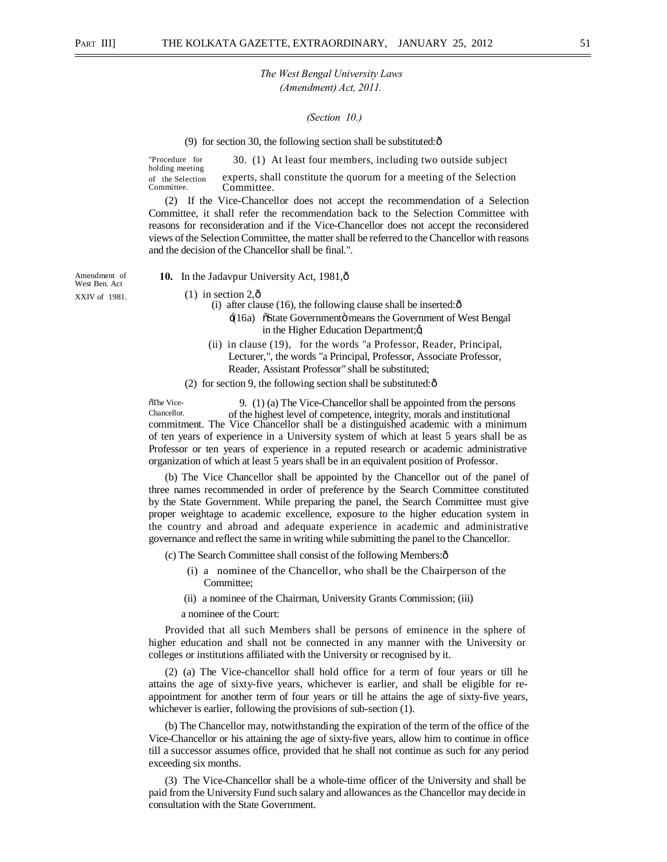#### *(Section 10.)*

(9) for section 30, the following section shall be substituted: $\hat{\text{o}}$ 

"Procedure for 30. (1) At least four members, including two outside subject holding meeting of the Selection experts, shall constitute the quorum for a meeting of the Selection Committee. Committee.

(2) If the Vice-Chancellor does not accept the recommendation of a Selection Committee, it shall refer the recommendation back to the Selection Committee with reasons for reconsideration and if the Vice-Chancellor does not accept the reconsidered views of the Selection Committee, the matter shall be referred to the Chancellor with reasons and the decision of the Chancellor shall be final.".

West Ben. Act

Amendment of **10.** In the Jadavpur University Act, 1981,  $\delta$ 

XXIV of 1981.  $(1)$  in section 2, $\hat{0}$ 

(i) after clause  $(16)$ , the following clause shall be inserted: $\hat{\text{o}}$ 

- $\div(16a)$   $\tilde{\text{c}}$ State Government $\ddot{\text{o}}$  means the Government of West Bengal in the Higher Education Department; $\alpha$
- (ii) in clause (19), for the words "a Professor, Reader, Principal, Lecturer,", the words "a Principal, Professor, Associate Professor, Reader, Assistant Professor" shall be substituted;
- (2) for section 9, the following section shall be substituted: $\hat{o}$

 $^{\circ}$ The Vice- 9. (1) (a) The Vice-Chancellor shall be appointed from the persons<br>Chancellor of the highest level of competence, integrity, morals and institutional commitment. The Vice Chancellor shall be a distinguished academic with a minimum of ten years of experience in a University system of which at least 5 years shall be as Professor or ten years of experience in a reputed research or academic administrative organization of which at least 5 years shall be in an equivalent position of Professor.

(b) The Vice Chancellor shall be appointed by the Chancellor out of the panel of three names recommended in order of preference by the Search Committee constituted by the State Government. While preparing the panel, the Search Committee must give proper weightage to academic excellence, exposure to the higher education system in the country and abroad and adequate experience in academic and administrative governance and reflect the same in writing while submitting the panel to the Chancellor.

(c) The Search Committee shall consist of the following Members:—

- (i) a nominee of the Chancellor, who shall be the Chairperson of the Committee;
- (ii) a nominee of the Chairman, University Grants Commission; (iii)
- a nominee of the Court:

Provided that all such Members shall be persons of eminence in the sphere of higher education and shall not be connected in any manner with the University or colleges or institutions affiliated with the University or recognised by it.

(2) (a) The Vice-chancellor shall hold office for a term of four years or till he attains the age of sixty-five years, whichever is earlier, and shall be eligible for reappointment for another term of four years or till he attains the age of sixty-five years, whichever is earlier, following the provisions of sub-section (1).

(b) The Chancellor may, notwithstanding the expiration of the term of the office of the Vice-Chancellor or his attaining the age of sixty-five years, allow him to continue in office till a successor assumes office, provided that he shall not continue as such for any period exceeding six months.

(3) The Vice-Chancellor shall be a whole-time officer of the University and shall be paid from the University Fund such salary and allowances as the Chancellor may decide in consultation with the State Government.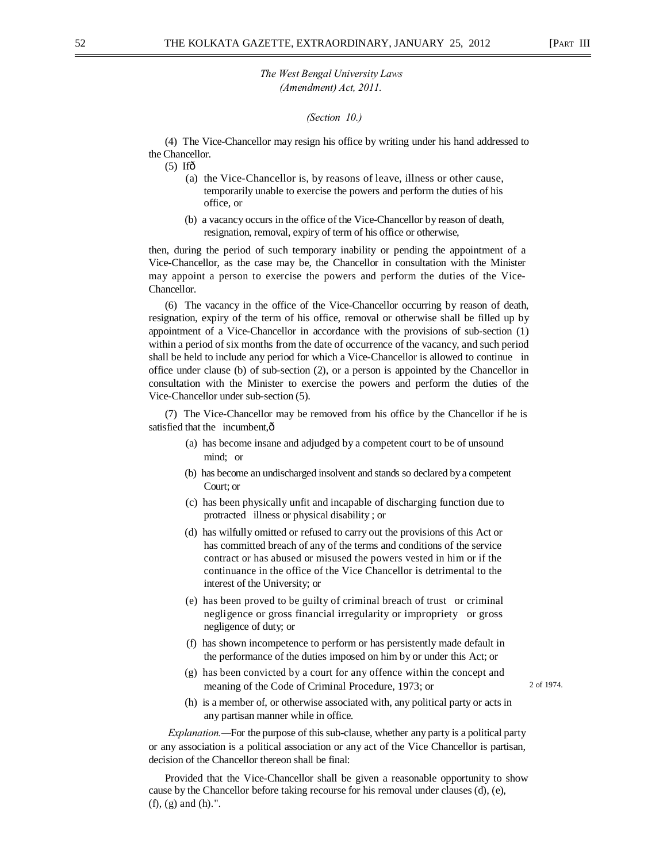*(Section 10.)* 

(4) The Vice-Chancellor may resign his office by writing under his hand addressed to the Chancellor.

 $(5)$  Ifô

- (a) the Vice-Chancellor is, by reasons of leave, illness or other cause, temporarily unable to exercise the powers and perform the duties of his office, or
- (b) a vacancy occurs in the office of the Vice-Chancellor by reason of death, resignation, removal, expiry of term of his office or otherwise,

then, during the period of such temporary inability or pending the appointment of a Vice-Chancellor, as the case may be, the Chancellor in consultation with the Minister may appoint a person to exercise the powers and perform the duties of the Vice-Chancellor.

(6) The vacancy in the office of the Vice-Chancellor occurring by reason of death, resignation, expiry of the term of his office, removal or otherwise shall be filled up by appointment of a Vice-Chancellor in accordance with the provisions of sub-section (1) within a period of six months from the date of occurrence of the vacancy, and such period shall be held to include any period for which a Vice-Chancellor is allowed to continue in office under clause (b) of sub-section (2), or a person is appointed by the Chancellor in consultation with the Minister to exercise the powers and perform the duties of the Vice-Chancellor under sub-section (5).

(7) The Vice-Chancellor may be removed from his office by the Chancellor if he is satisfied that the incumbent, $\hat{o}$ 

- (a) has become insane and adjudged by a competent court to be of unsound mind; or
- (b) has become an undischarged insolvent and stands so declared by a competent Court; or
- (c) has been physically unfit and incapable of discharging function due to protracted illness or physical disability ; or
- (d) has wilfully omitted or refused to carry out the provisions of this Act or has committed breach of any of the terms and conditions of the service contract or has abused or misused the powers vested in him or if the continuance in the office of the Vice Chancellor is detrimental to the interest of the University; or
- (e) has been proved to be guilty of criminal breach of trust or criminal negligence or gross financial irregularity or impropriety or gross negligence of duty; or
- (f) has shown incompetence to perform or has persistently made default in the performance of the duties imposed on him by or under this Act; or
- (g) has been convicted by a court for any offence within the concept and meaning of the Code of Criminal Procedure, 1973; or 2 of 1974.

(h) is a member of, or otherwise associated with, any political party or acts in any partisan manner while in office.

*Explanation.—*For the purpose of this sub-clause, whether any party is a political party or any association is a political association or any act of the Vice Chancellor is partisan, decision of the Chancellor thereon shall be final:

Provided that the Vice-Chancellor shall be given a reasonable opportunity to show cause by the Chancellor before taking recourse for his removal under clauses (d), (e), (f), (g) and (h).".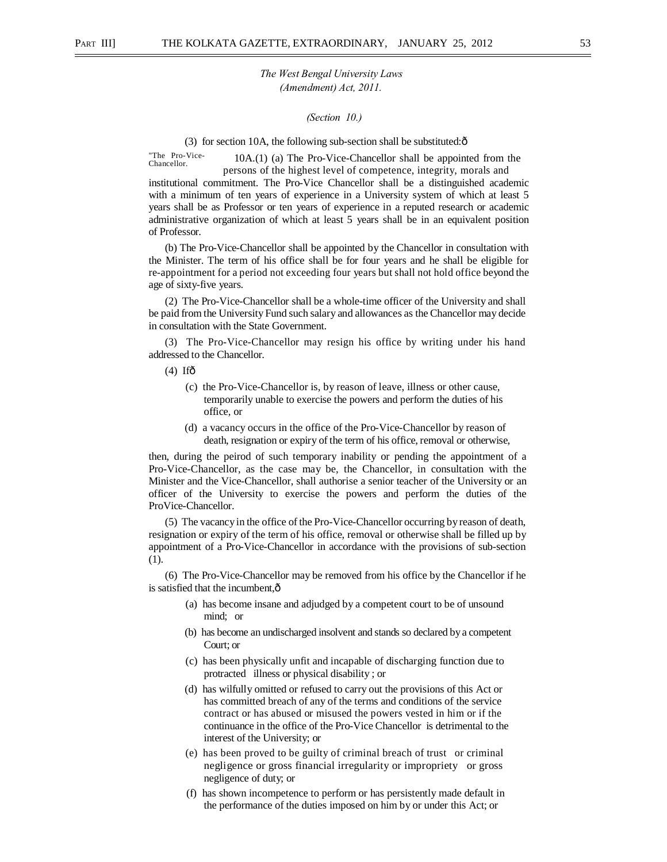*(Section 10.)* 

(3) for section 10A, the following sub-section shall be substituted: $\hat{o}$ 

"The Pro-Vice-  $10A(1)$  (a) The Pro-Vice-Chancellor shall be appointed from the persons of the highest level of competence, integrity, morals and institutional commitment. The Pro-Vice Chancellor shall be a distinguished academic with a minimum of ten years of experience in a University system of which at least 5 years shall be as Professor or ten years of experience in a reputed research or academic administrative organization of which at least 5 years shall be in an equivalent position of Professor.

(b) The Pro-Vice-Chancellor shall be appointed by the Chancellor in consultation with the Minister. The term of his office shall be for four years and he shall be eligible for re-appointment for a period not exceeding four years but shall not hold office beyond the age of sixty-five years.

(2) The Pro-Vice-Chancellor shall be a whole-time officer of the University and shall be paid from the University Fund such salary and allowances as the Chancellor may decide in consultation with the State Government.

(3) The Pro-Vice-Chancellor may resign his office by writing under his hand addressed to the Chancellor.

 $(4)$  Ifô

- (c) the Pro-Vice-Chancellor is, by reason of leave, illness or other cause, temporarily unable to exercise the powers and perform the duties of his office, or
- (d) a vacancy occurs in the office of the Pro-Vice-Chancellor by reason of death, resignation or expiry of the term of his office, removal or otherwise,

then, during the peirod of such temporary inability or pending the appointment of a Pro-Vice-Chancellor, as the case may be, the Chancellor, in consultation with the Minister and the Vice-Chancellor, shall authorise a senior teacher of the University or an officer of the University to exercise the powers and perform the duties of the ProVice-Chancellor.

(5) The vacancy in the office of the Pro-Vice-Chancellor occurring by reason of death, resignation or expiry of the term of his office, removal or otherwise shall be filled up by appointment of a Pro-Vice-Chancellor in accordance with the provisions of sub-section (1).

(6) The Pro-Vice-Chancellor may be removed from his office by the Chancellor if he is satisfied that the incumbent, $\hat{o}$ 

- (a) has become insane and adjudged by a competent court to be of unsound mind; or
- (b) has become an undischarged insolvent and stands so declared by a competent Court; or
- (c) has been physically unfit and incapable of discharging function due to protracted illness or physical disability ; or
- (d) has wilfully omitted or refused to carry out the provisions of this Act or has committed breach of any of the terms and conditions of the service contract or has abused or misused the powers vested in him or if the continuance in the office of the Pro-Vice Chancellor is detrimental to the interest of the University; or
- (e) has been proved to be guilty of criminal breach of trust or criminal negligence or gross financial irregularity or impropriety or gross negligence of duty; or
- (f) has shown incompetence to perform or has persistently made default in the performance of the duties imposed on him by or under this Act; or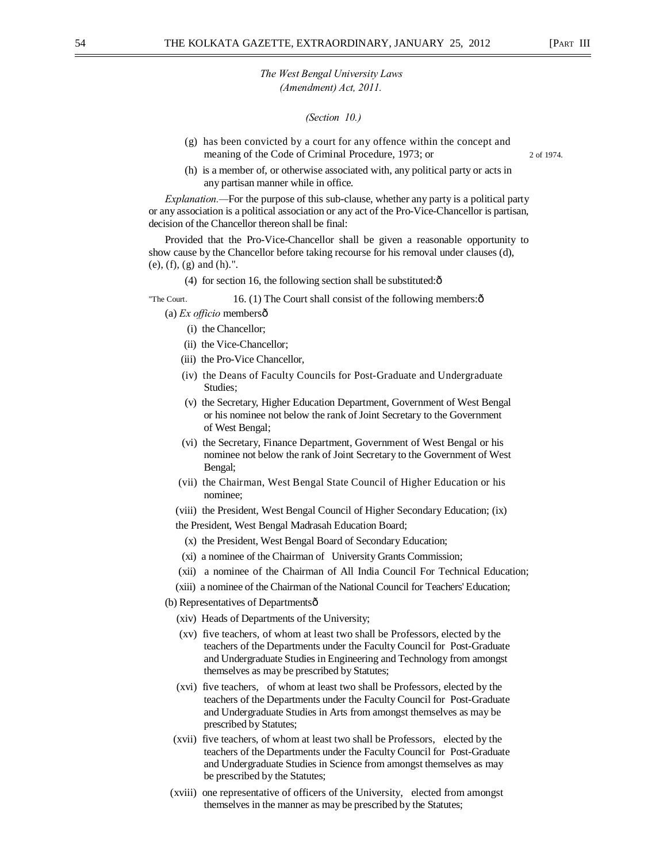*(Section 10.)* 

- (g) has been convicted by a court for any offence within the concept and meaning of the Code of Criminal Procedure, 1973; or 2 of 1974.
	-
- (h) is a member of, or otherwise associated with, any political party or acts in any partisan manner while in office.

*Explanation.—*For the purpose of this sub-clause, whether any party is a political party or any association is a political association or any act of the Pro-Vice-Chancellor is partisan, decision of the Chancellor thereon shall be final:

Provided that the Pro-Vice-Chancellor shall be given a reasonable opportunity to show cause by the Chancellor before taking recourse for his removal under clauses (d), (e), (f), (g) and (h).".

(4) for section 16, the following section shall be substituted: $\hat{o}$ 

## "The Court.  $16. (1)$  The Court shall consist of the following members: $\hat{\text{o}}$

(a) *Ex officio* members—

- (i) the Chancellor;
- (ii) the Vice-Chancellor;
- (iii) the Pro-Vice Chancellor,
- (iv) the Deans of Faculty Councils for Post-Graduate and Undergraduate Studies;
- (v) the Secretary, Higher Education Department, Government of West Bengal or his nominee not below the rank of Joint Secretary to the Government of West Bengal;
- (vi) the Secretary, Finance Department, Government of West Bengal or his nominee not below the rank of Joint Secretary to the Government of West Bengal;
- (vii) the Chairman, West Bengal State Council of Higher Education or his nominee;
- (viii) the President, West Bengal Council of Higher Secondary Education; (ix)

the President, West Bengal Madrasah Education Board;

- (x) the President, West Bengal Board of Secondary Education;
- (xi) a nominee of the Chairman of University Grants Commission;
- (xii) a nominee of the Chairman of All India Council For Technical Education;
- (xiii) a nominee of the Chairman of the National Council for Teachers' Education;
- (b) Representatives of Departmentsô
	- (xiv) Heads of Departments of the University;
	- (xv) five teachers, of whom at least two shall be Professors, elected by the teachers of the Departments under the Faculty Council for Post-Graduate and Undergraduate Studies in Engineering and Technology from amongst themselves as may be prescribed by Statutes;
	- (xvi) five teachers, of whom at least two shall be Professors, elected by the teachers of the Departments under the Faculty Council for Post-Graduate and Undergraduate Studies in Arts from amongst themselves as may be prescribed by Statutes;
	- (xvii) five teachers, of whom at least two shall be Professors, elected by the teachers of the Departments under the Faculty Council for Post-Graduate and Undergraduate Studies in Science from amongst themselves as may be prescribed by the Statutes;
- (xviii) one representative of officers of the University, elected from amongst themselves in the manner as may be prescribed by the Statutes;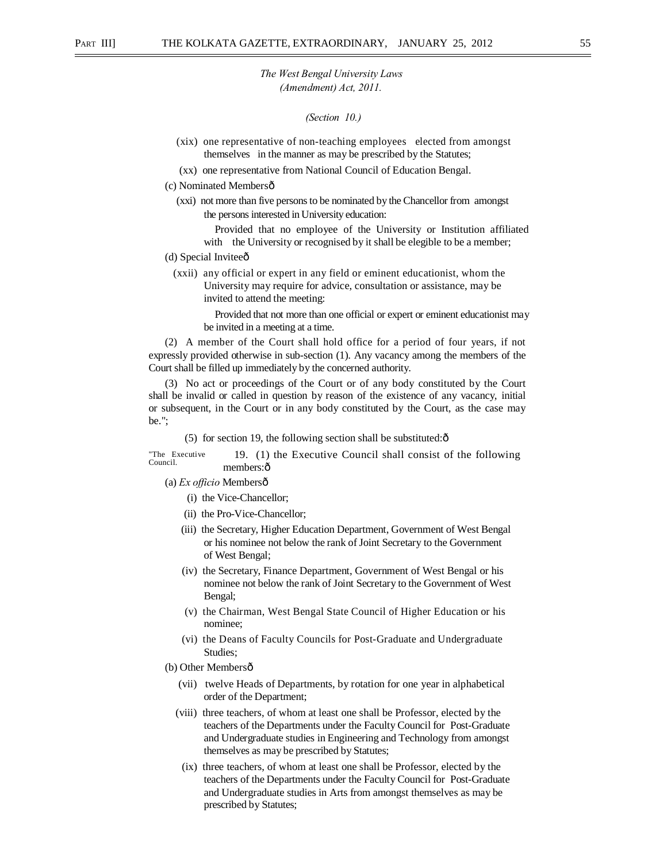*(Section 10.)* 

- (xix) one representative of non-teaching employees elected from amongst themselves in the manner as may be prescribed by the Statutes;
- (xx) one representative from National Council of Education Bengal.
- (c) Nominated Members—
	- (xxi) not more than five persons to be nominated by the Chancellor from amongst the persons interested in University education:

Provided that no employee of the University or Institution affiliated with the University or recognised by it shall be elegible to be a member;

- (d) Special Inviteeô
	- (xxii) any official or expert in any field or eminent educationist, whom the University may require for advice, consultation or assistance, may be invited to attend the meeting:

Provided that not more than one official or expert or eminent educationist may be invited in a meeting at a time.

(2) A member of the Court shall hold office for a period of four years, if not expressly provided otherwise in sub-section (1). Any vacancy among the members of the Court shall be filled up immediately by the concerned authority.

(3) No act or proceedings of the Court or of any body constituted by the Court shall be invalid or called in question by reason of the existence of any vacancy, initial or subsequent, in the Court or in any body constituted by the Court, as the case may be.";

 $(5)$  for section 19, the following section shall be substituted: $\hat{\text{o}}$ 

"The Executive<br>Council. 19. (1) the Executive Council shall consist of the following members:ô

(a) *Ex officio* Membersô

- (i) the Vice-Chancellor;
- (ii) the Pro-Vice-Chancellor;
- (iii) the Secretary, Higher Education Department, Government of West Bengal or his nominee not below the rank of Joint Secretary to the Government of West Bengal;
- (iv) the Secretary, Finance Department, Government of West Bengal or his nominee not below the rank of Joint Secretary to the Government of West Bengal;
- (v) the Chairman, West Bengal State Council of Higher Education or his nominee;
- (vi) the Deans of Faculty Councils for Post-Graduate and Undergraduate Studies;
- (b) Other Membersô
	- (vii) twelve Heads of Departments, by rotation for one year in alphabetical order of the Department;
	- (viii) three teachers, of whom at least one shall be Professor, elected by the teachers of the Departments under the Faculty Council for Post-Graduate and Undergraduate studies in Engineering and Technology from amongst themselves as may be prescribed by Statutes;
	- (ix) three teachers, of whom at least one shall be Professor, elected by the teachers of the Departments under the Faculty Council for Post-Graduate and Undergraduate studies in Arts from amongst themselves as may be prescribed by Statutes;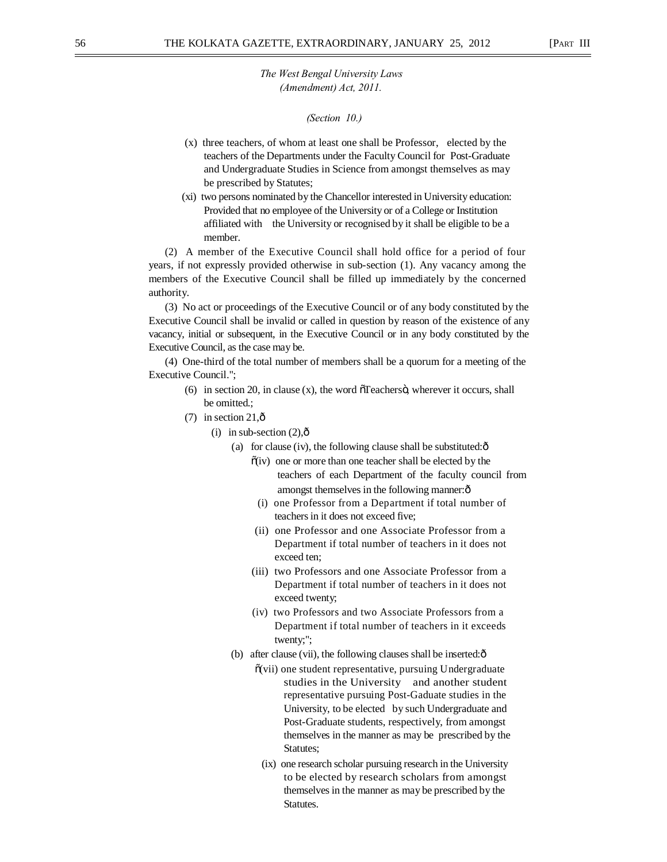*(Section 10.)* 

- (x) three teachers, of whom at least one shall be Professor, elected by the teachers of the Departments under the Faculty Council for Post-Graduate and Undergraduate Studies in Science from amongst themselves as may be prescribed by Statutes;
- (xi) two persons nominated by the Chancellor interested in University education: Provided that no employee of the University or of a College or Institution affiliated with the University or recognised by it shall be eligible to be a member.

(2) A member of the Executive Council shall hold office for a period of four years, if not expressly provided otherwise in sub-section (1). Any vacancy among the members of the Executive Council shall be filled up immediately by the concerned authority.

(3) No act or proceedings of the Executive Council or of any body constituted by the Executive Council shall be invalid or called in question by reason of the existence of any vacancy, initial or subsequent, in the Executive Council or in any body constituted by the Executive Council, as the case may be.

(4) One-third of the total number of members shall be a quorum for a meeting of the Executive Council.";

- (6) in section 20, in clause  $(x)$ , the word  $\tilde{O}$  Teachers $\ddot{O}$ , wherever it occurs, shall be omitted.;
- (7) in section  $21,\hat{0}$ 
	- (i) in sub-section  $(2),\hat{0}$ 
		- (a) for clause (iv), the following clause shall be substituted: $\hat{o}$ 
			- $\tilde{o}(iv)$  one or more than one teacher shall be elected by the teachers of each Department of the faculty council from amongst themselves in the following manner: $\hat{o}$
			- (i) one Professor from a Department if total number of teachers in it does not exceed five;
			- (ii) one Professor and one Associate Professor from a Department if total number of teachers in it does not exceed ten;
			- (iii) two Professors and one Associate Professor from a Department if total number of teachers in it does not exceed twenty;
			- (iv) two Professors and two Associate Professors from a Department if total number of teachers in it exceeds twenty;";
		- (b) after clause (vii), the following clauses shall be inserted: $\hat{o}$ 
			- $\tilde{o}$ (vii) one student representative, pursuing Undergraduate studies in the University and another student representative pursuing Post-Gaduate studies in the University, to be elected by such Undergraduate and Post-Graduate students, respectively, from amongst themselves in the manner as may be prescribed by the Statutes;
			- (ix) one research scholar pursuing research in the University to be elected by research scholars from amongst themselves in the manner as may be prescribed by the Statutes.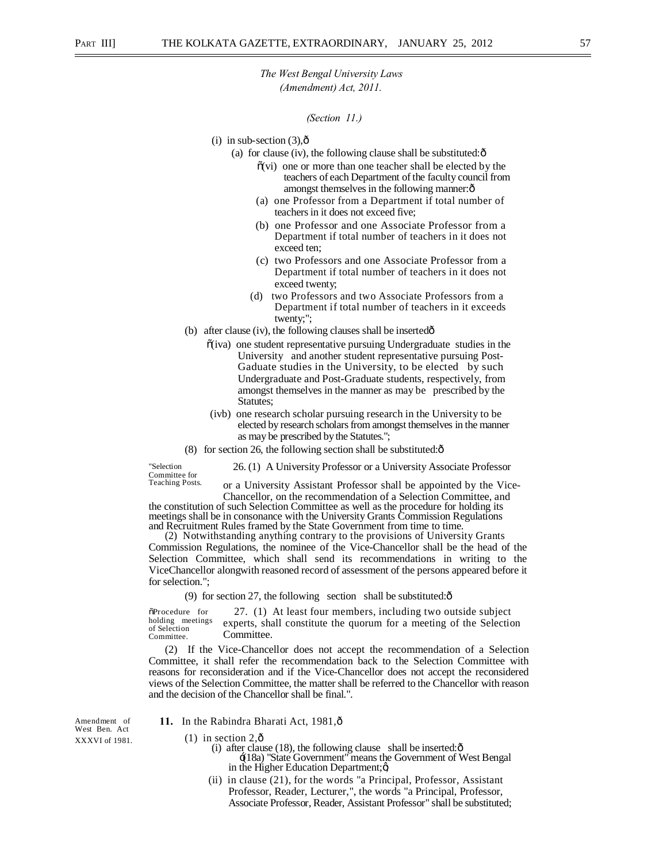#### *(Section 11.)*

- $(i)$  in sub-section  $(3)$ ,  $\hat{0}$ 
	- (a) for clause (iv), the following clause shall be substituted: $\delta$ 
		- $\tilde{o}(vi)$  one or more than one teacher shall be elected by the teachers of each Department of the faculty council from amongst themselves in the following manner:  $\delta$
		- (a) one Professor from a Department if total number of teachers in it does not exceed five;
		- (b) one Professor and one Associate Professor from a Department if total number of teachers in it does not exceed ten;
		- (c) two Professors and one Associate Professor from a Department if total number of teachers in it does not exceed twenty;
		- (d) two Professors and two Associate Professors from a Department if total number of teachers in it exceeds twenty;";
- (b) after clause (iv), the following clauses shall be inserted $\hat{\text{o}}$ 
	- $\tilde{o}(iva)$  one student representative pursuing Undergraduate studies in the University and another student representative pursuing Post-Gaduate studies in the University, to be elected by such Undergraduate and Post-Graduate students, respectively, from amongst themselves in the manner as may be prescribed by the Statutes;
	- (ivb) one research scholar pursuing research in the University to be elected by research scholars from amongst themselves in the manner as may be prescribed by the Statutes.";
- (8) for section 26, the following section shall be substituted: $\hat{o}$

"Selection 26. (1) A University Professor or a University Associate Professor<br>
Committee for<br>
Teaching Posts. Cor a University Assistant Professor shall be appointed by the Vic

or a University Assistant Professor shall be appointed by the Vice-Chancellor, on the recommendation of a Selection Committee, and

the constitution of such Selection Committee as well as the procedure for holding its meetings shall be in consonance with the University Grants Commission Regulations and Recruitment Rules framed by the State Government from time to time.<br>
(2) Notwithstanding anything contrary to the provisions of University Grants

Commission Regulations, the nominee of the Vice-Chancellor shall be the head of the Selection Committee, which shall send its recommendations in writing to the ViceChancellor alongwith reasoned record of assessment of the persons appeared before it for selection.";

(9) for section 27, the following section shall be substituted: $\hat{o}$ 

 $\delta$ Procedure for holding meetings of Selection Committee. 27. (1) At least four members, including two outside subject experts, shall constitute the quorum for a meeting of the Selection Committee.

(2) If the Vice-Chancellor does not accept the recommendation of a Selection Committee, it shall refer the recommendation back to the Selection Committee with reasons for reconsideration and if the Vice-Chancellor does not accept the reconsidered views of the Selection Committee, the matter shall be referred to the Chancellor with reason and the decision of the Chancellor shall be final.".

West Ben. Act

## Amendment of **11.** In the Rabindra Bharati Act, 1981, ô

XXXVI of 1981. (1) in section  $2, \hat{0}$ 

- (i) after clause (18), the following clause shall be inserted: $\hat{o}$ 
	- '(18a) "State Government" means the Government of West Bengal in the Higher Education Department; $\alpha$
	- (ii) in clause (21), for the words "a Principal, Professor, Assistant Professor, Reader, Lecturer,", the words "a Principal, Professor, Associate Professor, Reader, Assistant Professor" shall be substituted;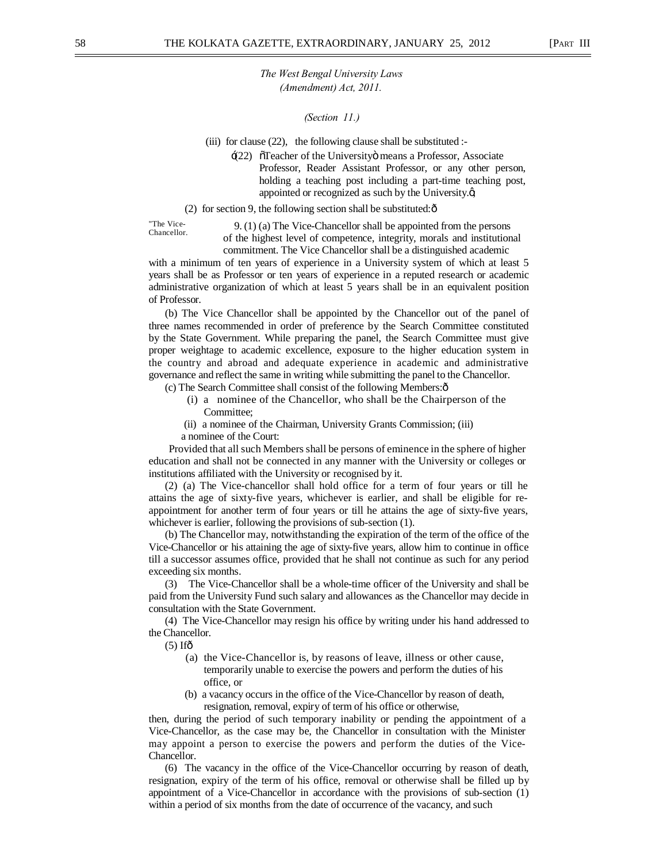*(Section 11.)* 

(iii) for clause (22), the following clause shall be substituted :-

 $\div$ (22)  $\tilde{\sigma}$ Teacher of the University means a Professor, Associate Professor, Reader Assistant Professor, or any other person, holding a teaching post including a part-time teaching post, appointed or recognized as such by the University. $\phi$ ,

#### (2) for section 9, the following section shall be substituted: $\hat{\text{o}}$

"The Vice-

 $(9. (1)$  (a) The Vice-Chancellor shall be appointed from the persons of the highest level of competence, integrity, morals and institutional commitment. The Vice Chancellor shall be a distinguished academic

with a minimum of ten years of experience in a University system of which at least 5 years shall be as Professor or ten years of experience in a reputed research or academic administrative organization of which at least 5 years shall be in an equivalent position of Professor.

(b) The Vice Chancellor shall be appointed by the Chancellor out of the panel of three names recommended in order of preference by the Search Committee constituted by the State Government. While preparing the panel, the Search Committee must give proper weightage to academic excellence, exposure to the higher education system in the country and abroad and adequate experience in academic and administrative governance and reflect the same in writing while submitting the panel to the Chancellor.

(c) The Search Committee shall consist of the following Members:—

- (i) a nominee of the Chancellor, who shall be the Chairperson of the Committee;
- (ii) a nominee of the Chairman, University Grants Commission; (iii) a nominee of the Court:

Provided that all such Members shall be persons of eminence in the sphere of higher education and shall not be connected in any manner with the University or colleges or institutions affiliated with the University or recognised by it.

(2) (a) The Vice-chancellor shall hold office for a term of four years or till he attains the age of sixty-five years, whichever is earlier, and shall be eligible for reappointment for another term of four years or till he attains the age of sixty-five years, whichever is earlier, following the provisions of sub-section (1).

(b) The Chancellor may, notwithstanding the expiration of the term of the office of the Vice-Chancellor or his attaining the age of sixty-five years, allow him to continue in office till a successor assumes office, provided that he shall not continue as such for any period exceeding six months.

(3) The Vice-Chancellor shall be a whole-time officer of the University and shall be paid from the University Fund such salary and allowances as the Chancellor may decide in consultation with the State Government.

(4) The Vice-Chancellor may resign his office by writing under his hand addressed to the Chancellor.

 $(5)$  If $\hat{\sigma}$ 

- (a) the Vice-Chancellor is, by reasons of leave, illness or other cause, temporarily unable to exercise the powers and perform the duties of his office, or
- (b) a vacancy occurs in the office of the Vice-Chancellor by reason of death, resignation, removal, expiry of term of his office or otherwise,

then, during the period of such temporary inability or pending the appointment of a Vice-Chancellor, as the case may be, the Chancellor in consultation with the Minister may appoint a person to exercise the powers and perform the duties of the Vice-Chancellor.

(6) The vacancy in the office of the Vice-Chancellor occurring by reason of death, resignation, expiry of the term of his office, removal or otherwise shall be filled up by appointment of a Vice-Chancellor in accordance with the provisions of sub-section (1) within a period of six months from the date of occurrence of the vacancy, and such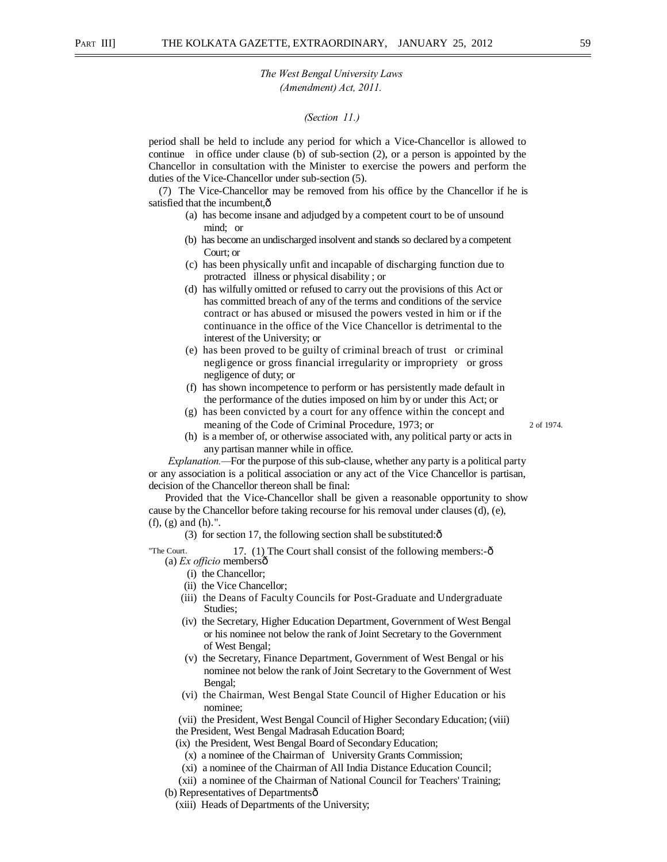#### *(Section 11.)*

period shall be held to include any period for which a Vice-Chancellor is allowed to continue in office under clause (b) of sub-section (2), or a person is appointed by the Chancellor in consultation with the Minister to exercise the powers and perform the duties of the Vice-Chancellor under sub-section (5).

(7) The Vice-Chancellor may be removed from his office by the Chancellor if he is satisfied that the incumbent, $\hat{o}$ 

- (a) has become insane and adjudged by a competent court to be of unsound mind; or
- (b) has become an undischarged insolvent and stands so declared by a competent Court; or
- (c) has been physically unfit and incapable of discharging function due to protracted illness or physical disability ; or
- (d) has wilfully omitted or refused to carry out the provisions of this Act or has committed breach of any of the terms and conditions of the service contract or has abused or misused the powers vested in him or if the continuance in the office of the Vice Chancellor is detrimental to the interest of the University; or
- (e) has been proved to be guilty of criminal breach of trust or criminal negligence or gross financial irregularity or impropriety or gross negligence of duty; or
- (f) has shown incompetence to perform or has persistently made default in the performance of the duties imposed on him by or under this Act; or
- (g) has been convicted by a court for any offence within the concept and meaning of the Code of Criminal Procedure, 1973; or 2 of 1974.
- (h) is a member of, or otherwise associated with, any political party or acts in any partisan manner while in office.

*Explanation.—*For the purpose of this sub-clause, whether any party is a political party or any association is a political association or any act of the Vice Chancellor is partisan, decision of the Chancellor thereon shall be final:

Provided that the Vice-Chancellor shall be given a reasonable opportunity to show cause by the Chancellor before taking recourse for his removal under clauses (d), (e), (f), (g) and (h).".

(3) for section 17, the following section shall be substituted: $\hat{\text{o}}$ 

"The Court.  $17. (1)$  The Court shall consist of the following members: $-\hat{0}$ (a) *Ex officio* members—

- (i) the Chancellor;
- (ii) the Vice Chancellor;
- (iii) the Deans of Faculty Councils for Post-Graduate and Undergraduate Studies;
- (iv) the Secretary, Higher Education Department, Government of West Bengal or his nominee not below the rank of Joint Secretary to the Government of West Bengal;
- (v) the Secretary, Finance Department, Government of West Bengal or his nominee not below the rank of Joint Secretary to the Government of West Bengal;
- (vi) the Chairman, West Bengal State Council of Higher Education or his nominee;

(vii) the President, West Bengal Council of Higher Secondary Education; (viii) the President, West Bengal Madrasah Education Board;

(ix) the President, West Bengal Board of Secondary Education;

- (x) a nominee of the Chairman of University Grants Commission;
- (xi) a nominee of the Chairman of All India Distance Education Council;
- (xii) a nominee of the Chairman of National Council for Teachers' Training;

(b) Representatives of Departmentsô

(xiii) Heads of Departments of the University;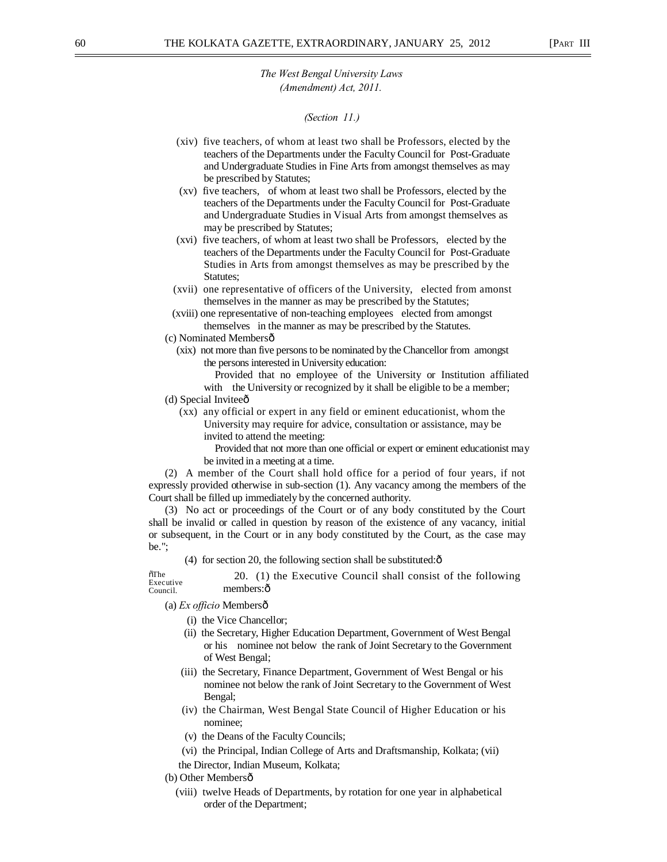#### *(Section 11.)*

- (xiv) five teachers, of whom at least two shall be Professors, elected by the teachers of the Departments under the Faculty Council for Post-Graduate and Undergraduate Studies in Fine Arts from amongst themselves as may be prescribed by Statutes;
- (xv) five teachers, of whom at least two shall be Professors, elected by the teachers of the Departments under the Faculty Council for Post-Graduate and Undergraduate Studies in Visual Arts from amongst themselves as may be prescribed by Statutes;
- (xvi) five teachers, of whom at least two shall be Professors, elected by the teachers of the Departments under the Faculty Council for Post-Graduate Studies in Arts from amongst themselves as may be prescribed by the Statutes;
- (xvii) one representative of officers of the University, elected from amonst themselves in the manner as may be prescribed by the Statutes;
- (xviii) one representative of non-teaching employees elected from amongst themselves in the manner as may be prescribed by the Statutes.
- (c) Nominated Members—
	- (xix) not more than five persons to be nominated by the Chancellor from amongst the persons interested in University education:
		- Provided that no employee of the University or Institution affiliated with the University or recognized by it shall be eligible to be a member;
- (d) Special Inviteeô
	- (xx) any official or expert in any field or eminent educationist, whom the University may require for advice, consultation or assistance, may be invited to attend the meeting:
		- Provided that not more than one official or expert or eminent educationist may be invited in a meeting at a time.

(2) A member of the Court shall hold office for a period of four years, if not expressly provided otherwise in sub-section (1). Any vacancy among the members of the Court shall be filled up immediately by the concerned authority.

(3) No act or proceedings of the Court or of any body constituted by the Court shall be invalid or called in question by reason of the existence of any vacancy, initial or subsequent, in the Court or in any body constituted by the Court, as the case may be.";

(4) for section 20, the following section shall be substituted: $\hat{o}$ 

 $\tilde{o}$ The Executive Council. 20. (1) the Executive Council shall consist of the following members: ô

(a) *Ex officio* Members—

- (i) the Vice Chancellor;
- (ii) the Secretary, Higher Education Department, Government of West Bengal or his nominee not below the rank of Joint Secretary to the Government of West Bengal;
- (iii) the Secretary, Finance Department, Government of West Bengal or his nominee not below the rank of Joint Secretary to the Government of West Bengal;
- (iv) the Chairman, West Bengal State Council of Higher Education or his nominee;
- (v) the Deans of the Faculty Councils;
- (vi) the Principal, Indian College of Arts and Draftsmanship, Kolkata; (vii)
- the Director, Indian Museum, Kolkata;
- (b) Other Membersô
	- (viii) twelve Heads of Departments, by rotation for one year in alphabetical order of the Department;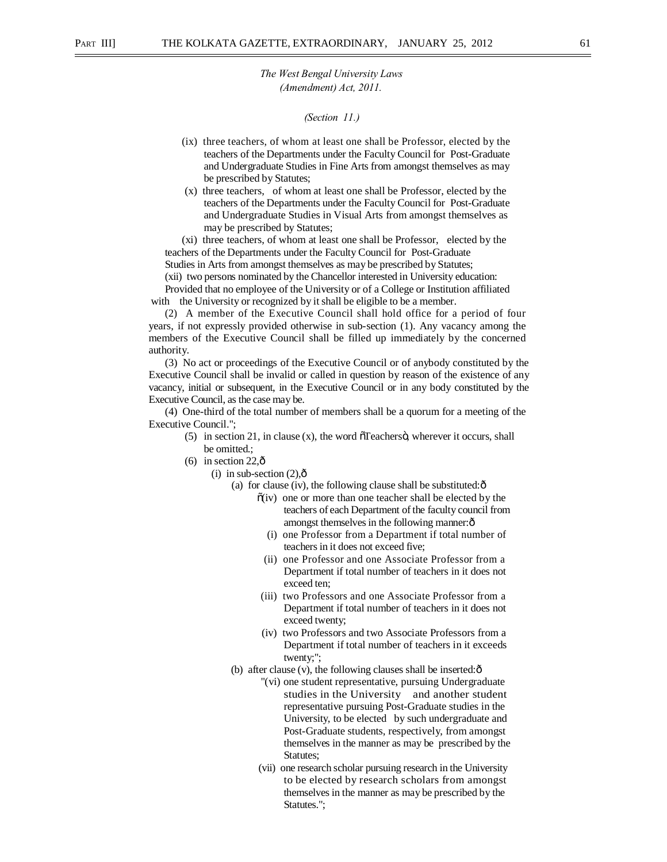#### *(Section 11.)*

- (ix) three teachers, of whom at least one shall be Professor, elected by the teachers of the Departments under the Faculty Council for Post-Graduate and Undergraduate Studies in Fine Arts from amongst themselves as may be prescribed by Statutes;
- (x) three teachers, of whom at least one shall be Professor, elected by the teachers of the Departments under the Faculty Council for Post-Graduate and Undergraduate Studies in Visual Arts from amongst themselves as may be prescribed by Statutes;

(xi) three teachers, of whom at least one shall be Professor, elected by the teachers of the Departments under the Faculty Council for Post-Graduate

Studies in Arts from amongst themselves as may be prescribed by Statutes;

(xii) two persons nominated by the Chancellor interested in University education:

Provided that no employee of the University or of a College or Institution affiliated with the University or recognized by it shall be eligible to be a member.

(2) A member of the Executive Council shall hold office for a period of four years, if not expressly provided otherwise in sub-section (1). Any vacancy among the members of the Executive Council shall be filled up immediately by the concerned authority.

(3) No act or proceedings of the Executive Council or of anybody constituted by the Executive Council shall be invalid or called in question by reason of the existence of any vacancy, initial or subsequent, in the Executive Council or in any body constituted by the Executive Council, as the case may be.

(4) One-third of the total number of members shall be a quorum for a meeting of the Executive Council.";

- $(5)$  in section 21, in clause  $(x)$ , the word  $\tilde{0}$  Teachers $\ddot{0}$ , wherever it occurs, shall be omitted.;
- $(6)$  in section 22, $\hat{0}$ 
	- $(i)$  in sub-section  $(2),\hat{0}$ 
		- (a) for clause (iv), the following clause shall be substituted: $\hat{o}$ 
			- $\tilde{o}(iv)$  one or more than one teacher shall be elected by the teachers of each Department of the faculty council from amongst themselves in the following manner: $\hat{o}$ 
				- (i) one Professor from a Department if total number of teachers in it does not exceed five;
				- (ii) one Professor and one Associate Professor from a Department if total number of teachers in it does not exceed ten;
			- (iii) two Professors and one Associate Professor from a Department if total number of teachers in it does not exceed twenty;
			- (iv) two Professors and two Associate Professors from a Department if total number of teachers in it exceeds twenty;";
		- (b) after clause (v), the following clauses shall be inserted: $\hat{o}$ 
			- "(vi) one student representative, pursuing Undergraduate studies in the University and another student representative pursuing Post-Graduate studies in the University, to be elected by such undergraduate and Post-Graduate students, respectively, from amongst themselves in the manner as may be prescribed by the Statutes;
			- (vii) one research scholar pursuing research in the University to be elected by research scholars from amongst themselves in the manner as may be prescribed by the Statutes.";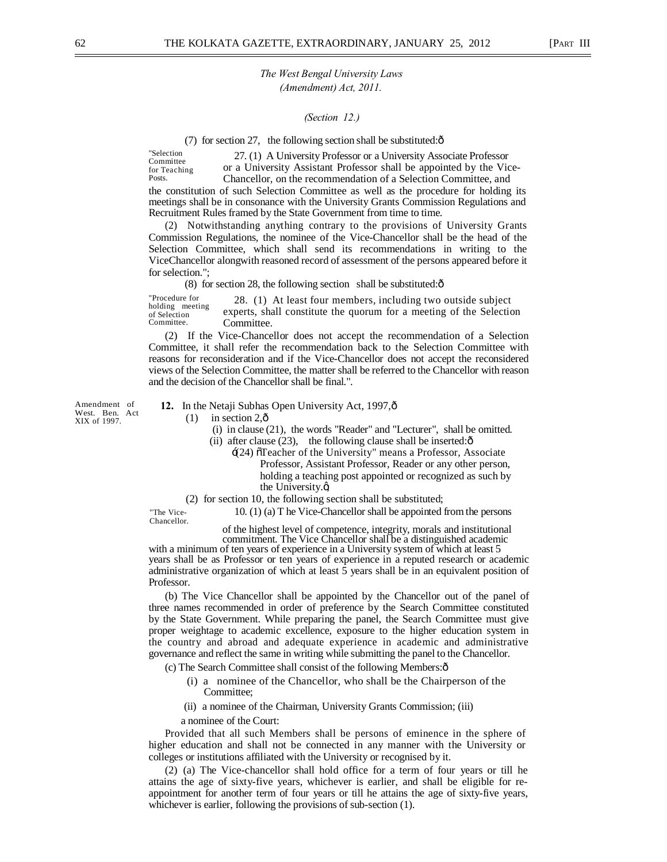*(Section 12.)* 

(7) for section 27, the following section shall be substituted: $\delta$ 

"Selection Committee for Teaching Posts. 27. (1) A University Professor or a University Associate Professor or a University Assistant Professor shall be appointed by the Vice-Chancellor, on the recommendation of a Selection Committee, and the constitution of such Selection Committee as well as the procedure for holding its meetings shall be in consonance with the University Grants Commission Regulations and Recruitment Rules framed by the State Government from time to time.

(2) Notwithstanding anything contrary to the provisions of University Grants Commission Regulations, the nominee of the Vice-Chancellor shall be the head of the Selection Committee, which shall send its recommendations in writing to the ViceChancellor alongwith reasoned record of assessment of the persons appeared before it for selection.";

 $(8)$  for section 28, the following section shall be substituted: $\hat{\text{o}}$ 

"Procedure for holding meeting of Selection Committee. 28. (1) At least four members, including two outside subject experts, shall constitute the quorum for a meeting of the Selection Committee.

(2) If the Vice-Chancellor does not accept the recommendation of a Selection Committee, it shall refer the recommendation back to the Selection Committee with reasons for reconsideration and if the Vice-Chancellor does not accept the reconsidered views of the Selection Committee, the matter shall be referred to the Chancellor with reason and the decision of the Chancellor shall be final.".

Amendment of West. Ben. Act XIX of 1997.

- **12.** In the Netaji Subhas Open University Act, 1997, $\hat{o}$ 
	- $(1)$  in section 2, $\hat{\text{o}}$ 
		- (i) in clause (21), the words "Reader" and "Lecturer", shall be omitted.
		- (ii) after clause  $(23)$ , the following clause shall be inserted: $\hat{\text{o}}$ 
			- '(24) "Teacher of the University" means a Professor, Associate Professor, Assistant Professor, Reader or any other person, holding a teaching post appointed or recognized as such by the University. $\alpha$
	- (2) for section 10, the following section shall be substituted;

The Vice- 10. (1) (a) T he Vice-Chancellor shall be appointed from the persons Chancellor.

of the highest level of competence, integrity, morals and institutional

commitment. The Vice Chancellor shall be a distinguished academic with a minimum of ten years of experience in a University system of which at least 5 years shall be as Professor or ten years of experience in a reputed research or academic administrative organization of which at least 5 years shall be in an equivalent position of Professor.

(b) The Vice Chancellor shall be appointed by the Chancellor out of the panel of three names recommended in order of preference by the Search Committee constituted by the State Government. While preparing the panel, the Search Committee must give proper weightage to academic excellence, exposure to the higher education system in the country and abroad and adequate experience in academic and administrative governance and reflect the same in writing while submitting the panel to the Chancellor.

(c) The Search Committee shall consist of the following Members:—

- (i) a nominee of the Chancellor, who shall be the Chairperson of the Committee:
- (ii) a nominee of the Chairman, University Grants Commission; (iii)
- a nominee of the Court:

Provided that all such Members shall be persons of eminence in the sphere of higher education and shall not be connected in any manner with the University or colleges or institutions affiliated with the University or recognised by it.

(2) (a) The Vice-chancellor shall hold office for a term of four years or till he attains the age of sixty-five years, whichever is earlier, and shall be eligible for reappointment for another term of four years or till he attains the age of sixty-five years, whichever is earlier, following the provisions of sub-section (1).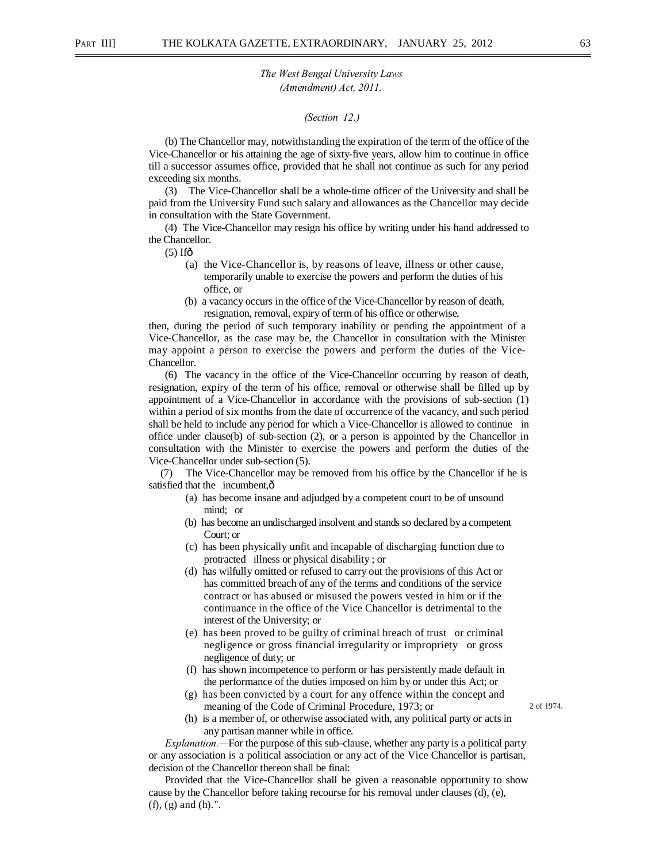#### *(Section 12.)*

(b) The Chancellor may, notwithstanding the expiration of the term of the office of the Vice-Chancellor or his attaining the age of sixty-five years, allow him to continue in office till a successor assumes office, provided that he shall not continue as such for any period exceeding six months.

(3) The Vice-Chancellor shall be a whole-time officer of the University and shall be paid from the University Fund such salary and allowances as the Chancellor may decide in consultation with the State Government.

(4) The Vice-Chancellor may resign his office by writing under his hand addressed to the Chancellor.

 $(5)$  If $\hat{0}$ 

- (a) the Vice-Chancellor is, by reasons of leave, illness or other cause, temporarily unable to exercise the powers and perform the duties of his office, or
- (b) a vacancy occurs in the office of the Vice-Chancellor by reason of death, resignation, removal, expiry of term of his office or otherwise,

then, during the period of such temporary inability or pending the appointment of a Vice-Chancellor, as the case may be, the Chancellor in consultation with the Minister may appoint a person to exercise the powers and perform the duties of the Vice-Chancellor.

(6) The vacancy in the office of the Vice-Chancellor occurring by reason of death, resignation, expiry of the term of his office, removal or otherwise shall be filled up by appointment of a Vice-Chancellor in accordance with the provisions of sub-section (1) within a period of six months from the date of occurrence of the vacancy, and such period shall be held to include any period for which a Vice-Chancellor is allowed to continue in office under clause(b) of sub-section  $(2)$ , or a person is appointed by the Chancellor in consultation with the Minister to exercise the powers and perform the duties of the Vice-Chancellor under sub-section (5).

(7) The Vice-Chancellor may be removed from his office by the Chancellor if he is satisfied that the incumbent, $\hat{o}$ 

- (a) has become insane and adjudged by a competent court to be of unsound mind; or
- (b) has become an undischarged insolvent and stands so declared by a competent Court; or
- (c) has been physically unfit and incapable of discharging function due to protracted illness or physical disability ; or
- (d) has wilfully omitted or refused to carry out the provisions of this Act or has committed breach of any of the terms and conditions of the service contract or has abused or misused the powers vested in him or if the continuance in the office of the Vice Chancellor is detrimental to the interest of the University; or
- (e) has been proved to be guilty of criminal breach of trust or criminal negligence or gross financial irregularity or impropriety or gross negligence of duty; or
- (f) has shown incompetence to perform or has persistently made default in the performance of the duties imposed on him by or under this Act; or
- (g) has been convicted by a court for any offence within the concept and meaning of the Code of Criminal Procedure, 1973; or 2 of 1974.
- (h) is a member of, or otherwise associated with, any political party or acts in any partisan manner while in office.

*Explanation.—*For the purpose of this sub-clause, whether any party is a political party or any association is a political association or any act of the Vice Chancellor is partisan, decision of the Chancellor thereon shall be final:

Provided that the Vice-Chancellor shall be given a reasonable opportunity to show cause by the Chancellor before taking recourse for his removal under clauses (d), (e), (f), (g) and (h).".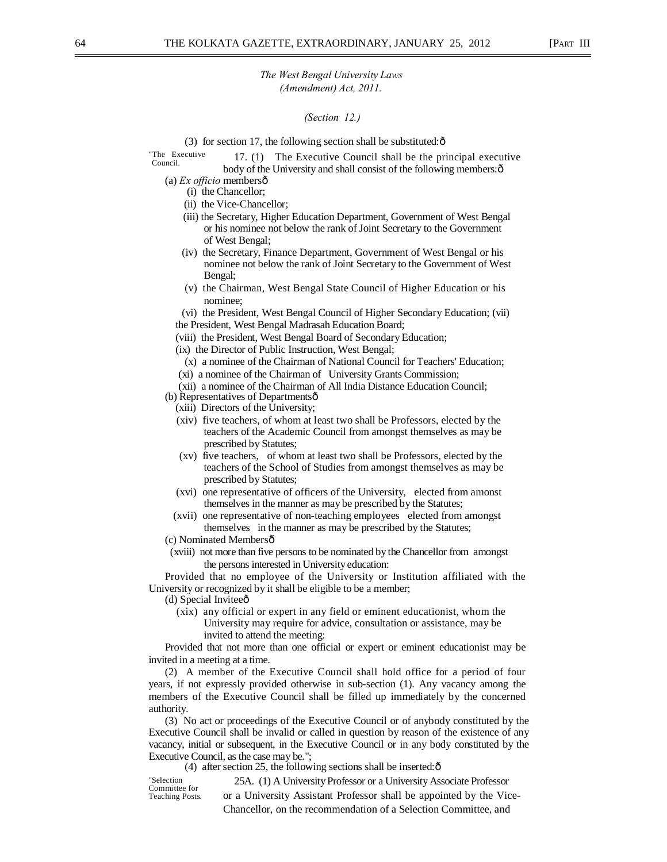### *(Section 12.)*

(3) for section 17, the following section shall be substituted: $\hat{\text{o}}$ 

- "The Executive  $17. (1)$  The Executive Council shall be the principal executive body of the University and shall consist of the following members: $\hat{o}$ 
	- (a) *Ex officio* members—
		- (i) the Chancellor;
		- (ii) the Vice-Chancellor;
		- (iii) the Secretary, Higher Education Department, Government of West Bengal or his nominee not below the rank of Joint Secretary to the Government of West Bengal;
		- (iv) the Secretary, Finance Department, Government of West Bengal or his nominee not below the rank of Joint Secretary to the Government of West Bengal;
		- (v) the Chairman, West Bengal State Council of Higher Education or his nominee;
		- (vi) the President, West Bengal Council of Higher Secondary Education; (vii) the President, West Bengal Madrasah Education Board;
		- (viii) the President, West Bengal Board of Secondary Education;
		- (ix) the Director of Public Instruction, West Bengal;
		- (x) a nominee of the Chairman of National Council for Teachers' Education; (xi) a nominee of the Chairman of University Grants Commission;
		- (xii) a nominee of the Chairman of All India Distance Education Council;
	- (b) Representatives of Departmentsô
		- (xiii) Directors of the University;
		- (xiv) five teachers, of whom at least two shall be Professors, elected by the teachers of the Academic Council from amongst themselves as may be prescribed by Statutes;
		- (xv) five teachers, of whom at least two shall be Professors, elected by the teachers of the School of Studies from amongst themselves as may be prescribed by Statutes;
		- (xvi) one representative of officers of the University, elected from amonst themselves in the manner as may be prescribed by the Statutes;
		- (xvii) one representative of non-teaching employees elected from amongst themselves in the manner as may be prescribed by the Statutes;
	- (c) Nominated Membersô
	- (xviii) not more than five persons to be nominated by the Chancellor from amongst the persons interested in University education:

Provided that no employee of the University or Institution affiliated with the University or recognized by it shall be eligible to be a member;

- (d) Special Invitee $\hat{o}$ 
	- (xix) any official or expert in any field or eminent educationist, whom the University may require for advice, consultation or assistance, may be invited to attend the meeting:

Provided that not more than one official or expert or eminent educationist may be invited in a meeting at a time.

(2) A member of the Executive Council shall hold office for a period of four years, if not expressly provided otherwise in sub-section (1). Any vacancy among the members of the Executive Council shall be filled up immediately by the concerned authority.

(3) No act or proceedings of the Executive Council or of anybody constituted by the Executive Council shall be invalid or called in question by reason of the existence of any vacancy, initial or subsequent, in the Executive Council or in any body constituted by the Executive Council, as the case may be.";

(4) after section 25, the following sections shall be inserted: $\hat{\sigma}$ 

"Selection Committee for Teaching Posts. 25A. (1) A University Professor or a University Associate Professor or a University Assistant Professor shall be appointed by the Vice-Chancellor, on the recommendation of a Selection Committee, and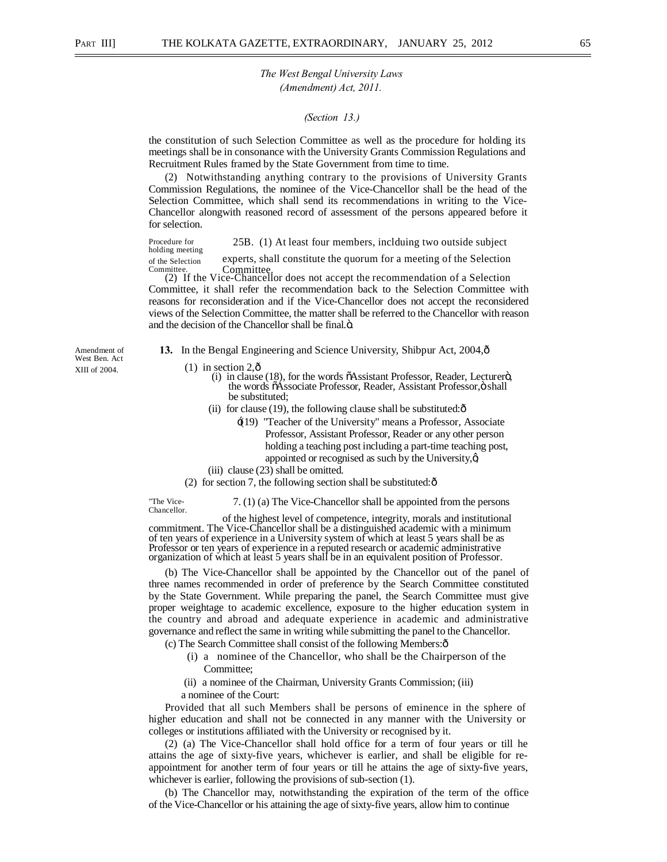#### *(Section 13.)*

the constitution of such Selection Committee as well as the procedure for holding its meetings shall be in consonance with the University Grants Commission Regulations and Recruitment Rules framed by the State Government from time to time.

(2) Notwithstanding anything contrary to the provisions of University Grants Commission Regulations, the nominee of the Vice-Chancellor shall be the head of the Selection Committee, which shall send its recommendations in writing to the Vice-Chancellor alongwith reasoned record of assessment of the persons appeared before it for selection.

Procedure for 25B. (1) At least four members, inclduing two outside subject holding meeting of the Selection experts, shall constitute the quorum for a meeting of the Selection **Committee.** 

(2) If the Vice-Chancellor does not accept the recommendation of a Selection Committee, it shall refer the recommendation back to the Selection Committee with reasons for reconsideration and if the Vice-Chancellor does not accept the reconsidered views of the Selection Committee, the matter shall be referred to the Chancellor with reason and the decision of the Chancellor shall be final. $\ddot{o}$ .

Amendment of **13.** In the Bengal Engineering and Science University, Shibpur Act, 2004,  $\hat{o}$ 

XIII of 2004. (1) in section  $2, \delta$ 

- (i) in clause (18), for the words  $\tilde{o}$ Assistant Professor, Reader, Lecturerö, the words  $\tilde{o}$ Associate Professor, Reader, Assistant Professor, $\ddot{o}$  shall be substituted;
- (ii) for clause (19), the following clause shall be substituted: $\hat{o}$ 
	- $\pm$ (19) "Teacher of the University" means a Professor, Associate Professor, Assistant Professor, Reader or any other person holding a teaching post including a part-time teaching post, appointed or recognised as such by the University, $\alpha$
- (iii) clause (23) shall be omitted.

(2) for section 7, the following section shall be substituted: $\hat{o}$ 

"The Vice- 7. (1) (a) The Vice-Chancellor shall be appointed from the persons Chancellor. commitment. The Vice-Chancellor shall be a distinguished academic with a minimum of ten years of experience in a University system of which at least 5 years shall be as Professor or ten years of experience in a reputed research or academic administrative organization of which at least 5 years shall be in an equivalent position of Professor.

(b) The Vice-Chancellor shall be appointed by the Chancellor out of the panel of three names recommended in order of preference by the Search Committee constituted by the State Government. While preparing the panel, the Search Committee must give proper weightage to academic excellence, exposure to the higher education system in the country and abroad and adequate experience in academic and administrative governance and reflect the same in writing while submitting the panel to the Chancellor.

- (c) The Search Committee shall consist of the following Members:—
	- (i) a nominee of the Chancellor, who shall be the Chairperson of the Committee;

(ii) a nominee of the Chairman, University Grants Commission; (iii)

a nominee of the Court:

Provided that all such Members shall be persons of eminence in the sphere of higher education and shall not be connected in any manner with the University or colleges or institutions affiliated with the University or recognised by it.

(2) (a) The Vice-Chancellor shall hold office for a term of four years or till he attains the age of sixty-five years, whichever is earlier, and shall be eligible for reappointment for another term of four years or till he attains the age of sixty-five years, whichever is earlier, following the provisions of sub-section (1).

(b) The Chancellor may, notwithstanding the expiration of the term of the office of the Vice-Chancellor or his attaining the age of sixty-five years, allow him to continue

West Ben. Act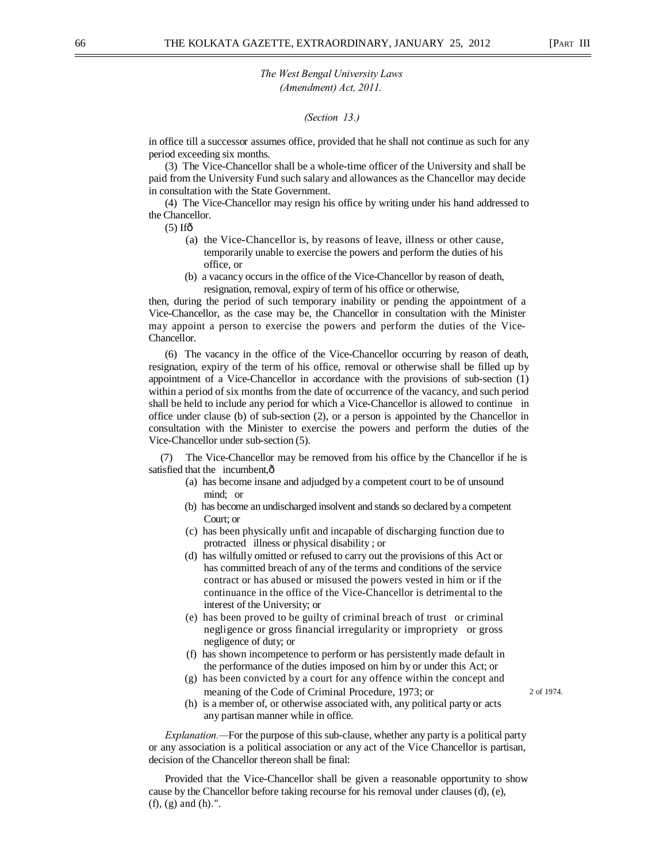#### *(Section 13.)*

in office till a successor assumes office, provided that he shall not continue as such for any period exceeding six months.

(3) The Vice-Chancellor shall be a whole-time officer of the University and shall be paid from the University Fund such salary and allowances as the Chancellor may decide in consultation with the State Government.

(4) The Vice-Chancellor may resign his office by writing under his hand addressed to the Chancellor.

 $(5)$  Ifô

- (a) the Vice-Chancellor is, by reasons of leave, illness or other cause, temporarily unable to exercise the powers and perform the duties of his office, or
- (b) a vacancy occurs in the office of the Vice-Chancellor by reason of death, resignation, removal, expiry of term of his office or otherwise,

then, during the period of such temporary inability or pending the appointment of a Vice-Chancellor, as the case may be, the Chancellor in consultation with the Minister may appoint a person to exercise the powers and perform the duties of the Vice-Chancellor.

(6) The vacancy in the office of the Vice-Chancellor occurring by reason of death, resignation, expiry of the term of his office, removal or otherwise shall be filled up by appointment of a Vice-Chancellor in accordance with the provisions of sub-section (1) within a period of six months from the date of occurrence of the vacancy, and such period shall be held to include any period for which a Vice-Chancellor is allowed to continue in office under clause (b) of sub-section (2), or a person is appointed by the Chancellor in consultation with the Minister to exercise the powers and perform the duties of the Vice-Chancellor under sub-section (5).

The Vice-Chancellor may be removed from his office by the Chancellor if he is satisfied that the incumbent, $\hat{o}$ 

- (a) has become insane and adjudged by a competent court to be of unsound mind; or
- (b) has become an undischarged insolvent and stands so declared by a competent Court; or
- (c) has been physically unfit and incapable of discharging function due to protracted illness or physical disability ; or
- (d) has wilfully omitted or refused to carry out the provisions of this Act or has committed breach of any of the terms and conditions of the service contract or has abused or misused the powers vested in him or if the continuance in the office of the Vice-Chancellor is detrimental to the interest of the University; or
- (e) has been proved to be guilty of criminal breach of trust or criminal negligence or gross financial irregularity or impropriety or gross negligence of duty; or
- (f) has shown incompetence to perform or has persistently made default in the performance of the duties imposed on him by or under this Act; or
- (g) has been convicted by a court for any offence within the concept and meaning of the Code of Criminal Procedure, 1973; or 2 of 1974.

(h) is a member of, or otherwise associated with, any political party or acts any partisan manner while in office.

*Explanation.—*For the purpose of this sub-clause, whether any party is a political party or any association is a political association or any act of the Vice Chancellor is partisan, decision of the Chancellor thereon shall be final:

Provided that the Vice-Chancellor shall be given a reasonable opportunity to show cause by the Chancellor before taking recourse for his removal under clauses (d), (e), (f), (g) and (h).".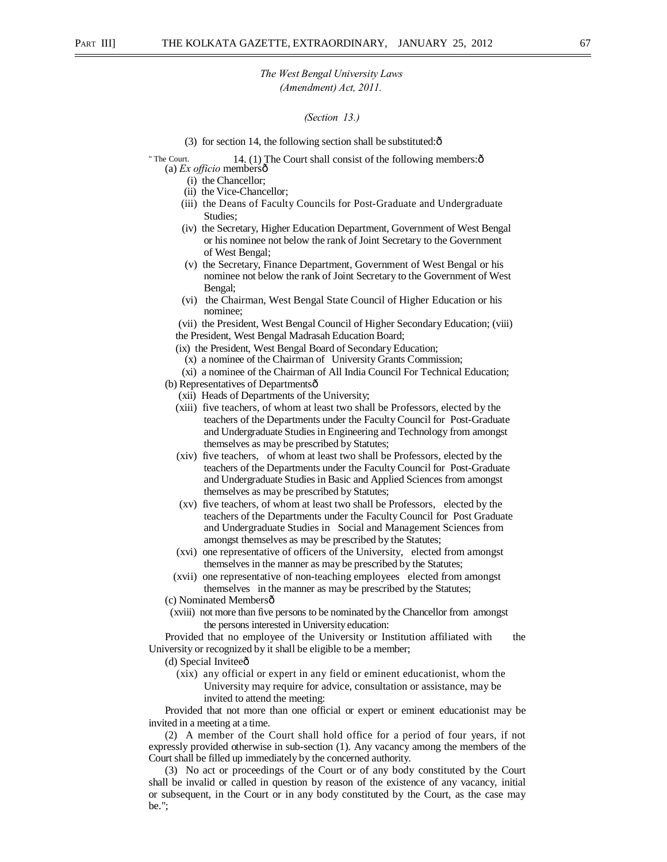#### *(Section 13.)*

(3) for section 14, the following section shall be substituted: $\hat{o}$ 

" The Court. 14. (1) The Court shall consist of the following members: $\hat{o}$ (a) *Ex officio* members—

- (i) the Chancellor;
- (ii) the Vice-Chancellor;
- 
- (iii) the Deans of Faculty Councils for Post-Graduate and Undergraduate Studies;
- (iv) the Secretary, Higher Education Department, Government of West Bengal or his nominee not below the rank of Joint Secretary to the Government of West Bengal;
- (v) the Secretary, Finance Department, Government of West Bengal or his nominee not below the rank of Joint Secretary to the Government of West Bengal;
- (vi) the Chairman, West Bengal State Council of Higher Education or his nominee;

(vii) the President, West Bengal Council of Higher Secondary Education; (viii) the President, West Bengal Madrasah Education Board;

(ix) the President, West Bengal Board of Secondary Education;

(x) a nominee of the Chairman of University Grants Commission;

(xi) a nominee of the Chairman of All India Council For Technical Education; (b) Representatives of Departments $\hat{o}$ 

(xii) Heads of Departments of the University;

- (xiii) five teachers, of whom at least two shall be Professors, elected by the teachers of the Departments under the Faculty Council for Post-Graduate and Undergraduate Studies in Engineering and Technology from amongst themselves as may be prescribed by Statutes;
- (xiv) five teachers, of whom at least two shall be Professors, elected by the teachers of the Departments under the Faculty Council for Post-Graduate and Undergraduate Studies in Basic and Applied Sciences from amongst themselves as may be prescribed by Statutes;
- (xv) five teachers, of whom at least two shall be Professors, elected by the teachers of the Departments under the Faculty Council for Post Graduate and Undergraduate Studies in Social and Management Sciences from amongst themselves as may be prescribed by the Statutes;
- (xvi) one representative of officers of the University, elected from amongst themselves in the manner as may be prescribed by the Statutes;
- (xvii) one representative of non-teaching employees elected from amongst themselves in the manner as may be prescribed by the Statutes;

(c) Nominated Members—

(xviii) not more than five persons to be nominated by the Chancellor from amongst the persons interested in University education:

Provided that no employee of the University or Institution affiliated with the University or recognized by it shall be eligible to be a member;

(d) Special Inviteeô

(xix) any official or expert in any field or eminent educationist, whom the University may require for advice, consultation or assistance, may be invited to attend the meeting:

Provided that not more than one official or expert or eminent educationist may be invited in a meeting at a time.

(2) A member of the Court shall hold office for a period of four years, if not expressly provided otherwise in sub-section (1). Any vacancy among the members of the Court shall be filled up immediately by the concerned authority.

(3) No act or proceedings of the Court or of any body constituted by the Court shall be invalid or called in question by reason of the existence of any vacancy, initial or subsequent, in the Court or in any body constituted by the Court, as the case may be.";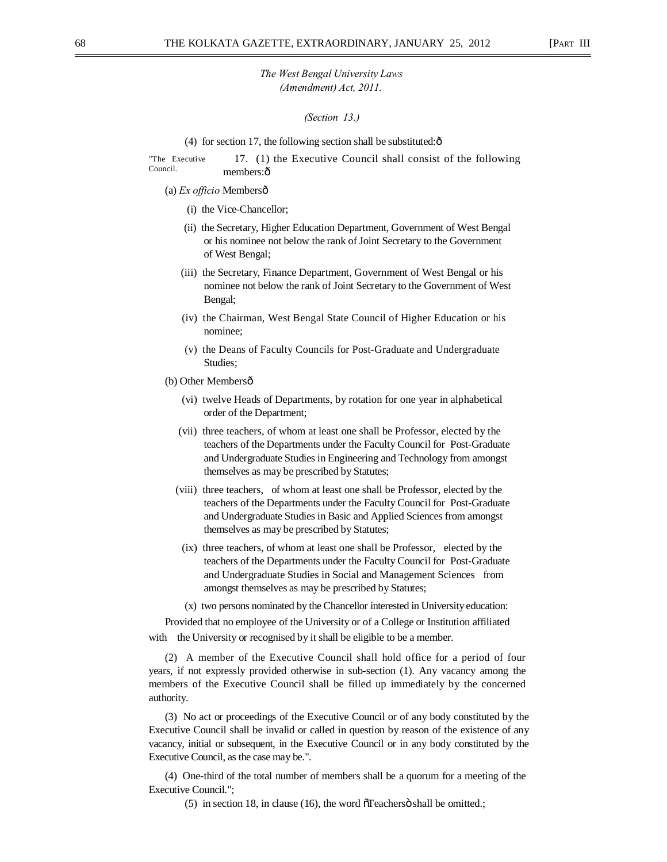#### *(Section 13.)*

#### (4) for section 17, the following section shall be substituted: $\hat{\text{o}}$

"The Executive Council. 17. (1) the Executive Council shall consist of the following members:ô

- (a) *Ex officio* Members—
	- (i) the Vice-Chancellor;
	- (ii) the Secretary, Higher Education Department, Government of West Bengal or his nominee not below the rank of Joint Secretary to the Government of West Bengal;
	- (iii) the Secretary, Finance Department, Government of West Bengal or his nominee not below the rank of Joint Secretary to the Government of West Bengal;
	- (iv) the Chairman, West Bengal State Council of Higher Education or his nominee;
	- (v) the Deans of Faculty Councils for Post-Graduate and Undergraduate Studies;
- (b) Other Membersô
	- (vi) twelve Heads of Departments, by rotation for one year in alphabetical order of the Department;
	- (vii) three teachers, of whom at least one shall be Professor, elected by the teachers of the Departments under the Faculty Council for Post-Graduate and Undergraduate Studies in Engineering and Technology from amongst themselves as may be prescribed by Statutes;
	- (viii) three teachers, of whom at least one shall be Professor, elected by the teachers of the Departments under the Faculty Council for Post-Graduate and Undergraduate Studies in Basic and Applied Sciences from amongst themselves as may be prescribed by Statutes;
	- (ix) three teachers, of whom at least one shall be Professor, elected by the teachers of the Departments under the Faculty Council for Post-Graduate and Undergraduate Studies in Social and Management Sciences from amongst themselves as may be prescribed by Statutes;
	- (x) two persons nominated by the Chancellor interested in University education:

Provided that no employee of the University or of a College or Institution affiliated with the University or recognised by it shall be eligible to be a member.

(2) A member of the Executive Council shall hold office for a period of four years, if not expressly provided otherwise in sub-section (1). Any vacancy among the members of the Executive Council shall be filled up immediately by the concerned authority.

(3) No act or proceedings of the Executive Council or of any body constituted by the Executive Council shall be invalid or called in question by reason of the existence of any vacancy, initial or subsequent, in the Executive Council or in any body constituted by the Executive Council, as the case may be.".

(4) One-third of the total number of members shall be a quorum for a meeting of the Executive Council.";

 $(5)$  in section 18, in clause (16), the word  $\tilde{c}$  reachers  $\ddot{o}$  shall be omitted.;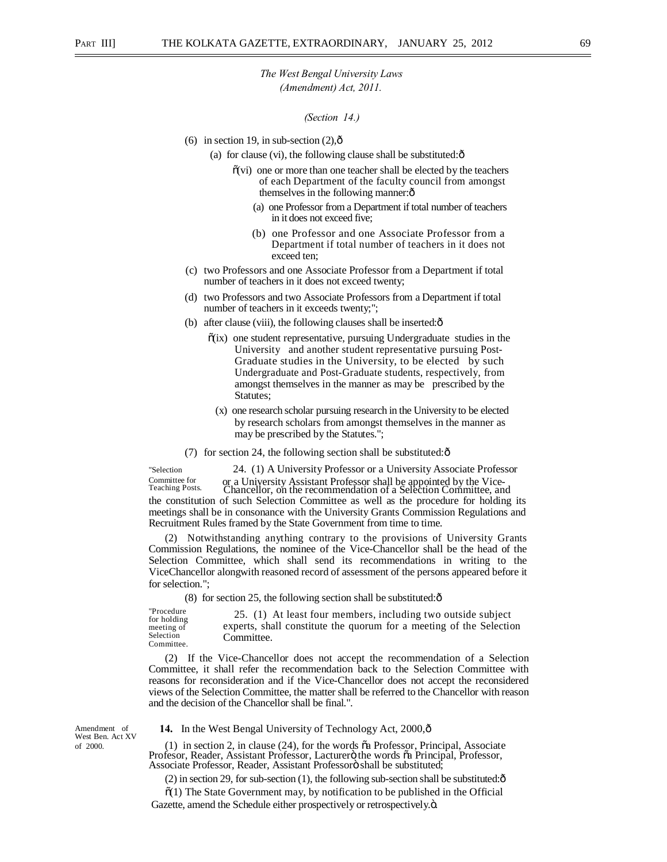#### *(Section 14.)*

- (6) in section 19, in sub-section  $(2)$ ,  $\hat{0}$ 
	- (a) for clause (vi), the following clause shall be substituted: $\hat{o}$ 
		- $\tilde{\mathbf{o}}(\mathbf{vi})$  one or more than one teacher shall be elected by the teachers of each Department of the faculty council from amongst themselves in the following manner: $\hat{o}$ 
			- (a) one Professor from a Department if total number of teachers in it does not exceed five;
			- (b) one Professor and one Associate Professor from a Department if total number of teachers in it does not exceed ten;
- (c) two Professors and one Associate Professor from a Department if total number of teachers in it does not exceed twenty;
- (d) two Professors and two Associate Professors from a Department if total number of teachers in it exceeds twenty;";
- (b) after clause (viii), the following clauses shall be inserted: $\delta$ 
	- $\tilde{o}(ix)$  one student representative, pursuing Undergraduate studies in the University and another student representative pursuing Post-Graduate studies in the University, to be elected by such Undergraduate and Post-Graduate students, respectively, from amongst themselves in the manner as may be prescribed by the Statutes;
		- (x) one research scholar pursuing research in the University to be elected by research scholars from amongst themselves in the manner as may be prescribed by the Statutes.";
- (7) for section 24, the following section shall be substituted: $\hat{\text{o}}$

"Selection 24. (1) A University Professor or a University Associate Professor Committee for or a University Assistant Professor shall be appointed by the Vice- Teaching Posts. Chancellor, on the recommendation of a Selection Committee, and the constitution of such Selection Committee as well as the procedure for holding its meetings shall be in consonance with the University Grants Commission Regulations and Recruitment Rules framed by the State Government from time to time.

(2) Notwithstanding anything contrary to the provisions of University Grants Commission Regulations, the nominee of the Vice-Chancellor shall be the head of the Selection Committee, which shall send its recommendations in writing to the ViceChancellor alongwith reasoned record of assessment of the persons appeared before it for selection.";

(8) for section 25, the following section shall be substituted: $\hat{\text{o}}$ 

"Procedure for holding meeting of Selection Committee. 25. (1) At least four members, including two outside subject experts, shall constitute the quorum for a meeting of the Selection Committee.

(2) If the Vice-Chancellor does not accept the recommendation of a Selection Committee, it shall refer the recommendation back to the Selection Committee with reasons for reconsideration and if the Vice-Chancellor does not accept the reconsidered views of the Selection Committee, the matter shall be referred to the Chancellor with reason and the decision of the Chancellor shall be final.".

West Ben. Act XV

Amendment of **14.** In the West Bengal University of Technology Act, 2000,  $\hat{\theta}$ 

of 2000. (1) in section 2, in clause (24), for the words õa Professor, Principal, Associate<br>Professor, Reader, Assistant Professor, Lacturero the words õa Principal, Professor,<br>Associate Professor, Reader, Assistant Profes

(2) in section 29, for sub-section (1), the following sub-section shall be substituted: $\hat{\sigma}$ 

 $\tilde{\sigma}(1)$  The State Government may, by notification to be published in the Official Gazette, amend the Schedule either prospectively or retrospectively. $\ddot{o}$ .